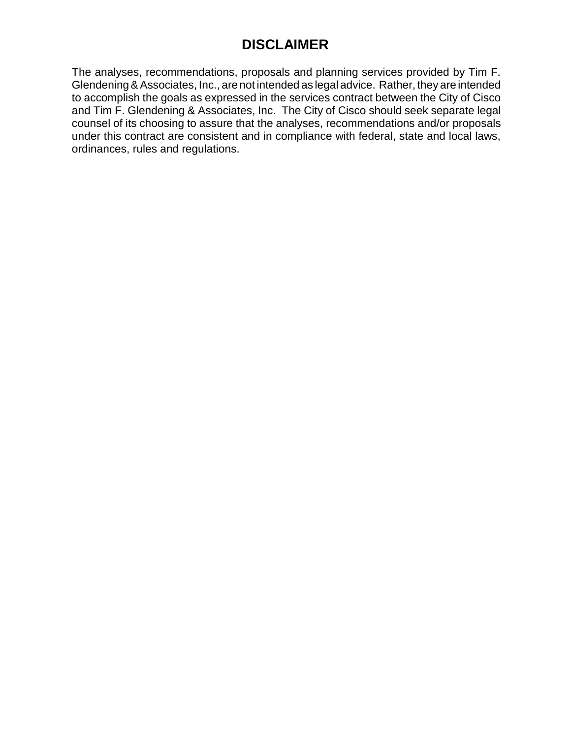# **DISCLAIMER**

The analyses, recommendations, proposals and planning services provided by Tim F. Glendening&Associates, Inc., are not intended as legal advice. Rather, they are intended to accomplish the goals as expressed in the services contract between the City of Cisco and Tim F. Glendening & Associates, Inc. The City of Cisco should seek separate legal counsel of its choosing to assure that the analyses, recommendations and/or proposals under this contract are consistent and in compliance with federal, state and local laws, ordinances, rules and regulations.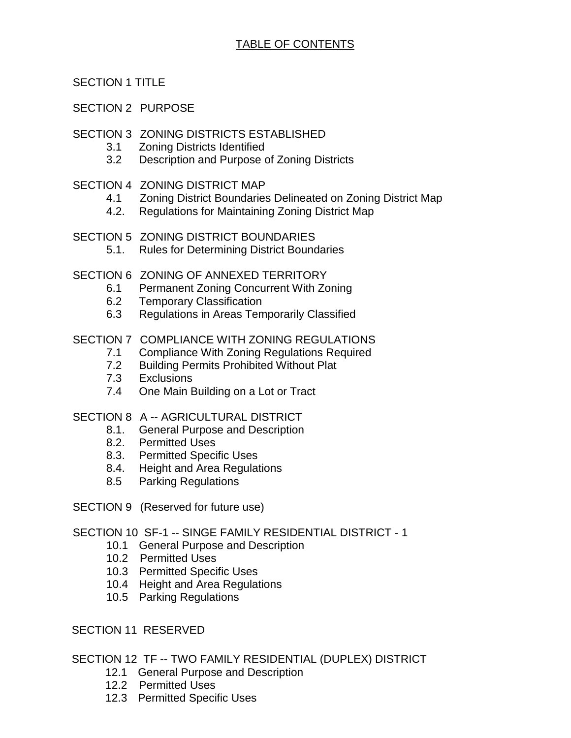SECTION 1 TITLE

SECTION 2 PURPOSE

## SECTION 3 ZONING DISTRICTS ESTABLISHED

- 3.1 Zoning Districts Identified
- 3.2 Description and Purpose of Zoning Districts
- SECTION 4 ZONING DISTRICT MAP
	- 4.1 Zoning District Boundaries Delineated on Zoning District Map
	- 4.2. Regulations for Maintaining Zoning District Map
- SECTION 5 ZONING DISTRICT BOUNDARIES
	- 5.1. Rules for Determining District Boundaries
- SECTION 6 ZONING OF ANNEXED TERRITORY
	- 6.1 Permanent Zoning Concurrent With Zoning
	- 6.2 Temporary Classification
	- 6.3 Regulations in Areas Temporarily Classified

## SECTION 7 COMPLIANCE WITH ZONING REGULATIONS

- 7.1 Compliance With Zoning Regulations Required
- 7.2 Building Permits Prohibited Without Plat
- 7.3 Exclusions
- 7.4 One Main Building on a Lot or Tract

SECTION 8 A -- AGRICULTURAL DISTRICT

- 8.1. General Purpose and Description
- 8.2. Permitted Uses
- 8.3. Permitted Specific Uses
- 8.4. Height and Area Regulations
- 8.5 Parking Regulations
- SECTION 9 (Reserved for future use)

SECTION 10 SF-1 -- SINGE FAMILY RESIDENTIAL DISTRICT - 1

- 10.1 General Purpose and Description
- 10.2 Permitted Uses
- 10.3 Permitted Specific Uses
- 10.4 Height and Area Regulations
- 10.5 Parking Regulations

SECTION 11 RESERVED

SECTION 12 TF -- TWO FAMILY RESIDENTIAL (DUPLEX) DISTRICT

- 12.1 General Purpose and Description
- 12.2 Permitted Uses
- 12.3 Permitted Specific Uses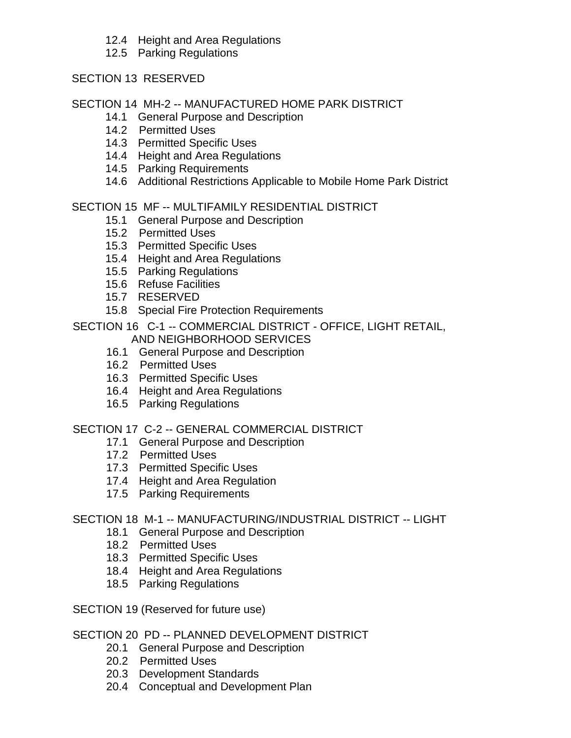- 12.4 Height and Area Regulations
- 12.5 Parking Regulations

## SECTION 13 RESERVED

## SECTION 14 MH-2 -- MANUFACTURED HOME PARK DISTRICT

- 14.1 General Purpose and Description
- 14.2 Permitted Uses
- 14.3 Permitted Specific Uses
- 14.4 Height and Area Regulations
- 14.5 Parking Requirements
- 14.6 Additional Restrictions Applicable to Mobile Home Park District

## SECTION 15 MF -- MULTIFAMILY RESIDENTIAL DISTRICT

- 15.1 General Purpose and Description
- 15.2 Permitted Uses
- 15.3 Permitted Specific Uses
- 15.4 Height and Area Regulations
- 15.5 Parking Regulations
- 15.6 Refuse Facilities
- 15.7 RESERVED
- 15.8 Special Fire Protection Requirements

SECTION 16 C-1 -- COMMERCIAL DISTRICT - OFFICE, LIGHT RETAIL, AND NEIGHBORHOOD SERVICES

- 16.1 General Purpose and Description
- 16.2 Permitted Uses
- 16.3 Permitted Specific Uses
- 16.4 Height and Area Regulations
- 16.5 Parking Regulations

## SECTION 17 C-2 -- GENERAL COMMERCIAL DISTRICT

- 17.1 General Purpose and Description
	- 17.2 Permitted Uses
	- 17.3 Permitted Specific Uses
	- 17.4 Height and Area Regulation
	- 17.5 Parking Requirements

## SECTION 18 M-1 -- MANUFACTURING/INDUSTRIAL DISTRICT -- LIGHT

- 18.1 General Purpose and Description
- 18.2 Permitted Uses
- 18.3 Permitted Specific Uses
- 18.4 Height and Area Regulations
- 18.5 Parking Regulations
- SECTION 19 (Reserved for future use)

## SECTION 20 PD -- PLANNED DEVELOPMENT DISTRICT

- 20.1 General Purpose and Description
- 20.2 Permitted Uses
- 20.3 Development Standards
- 20.4 Conceptual and Development Plan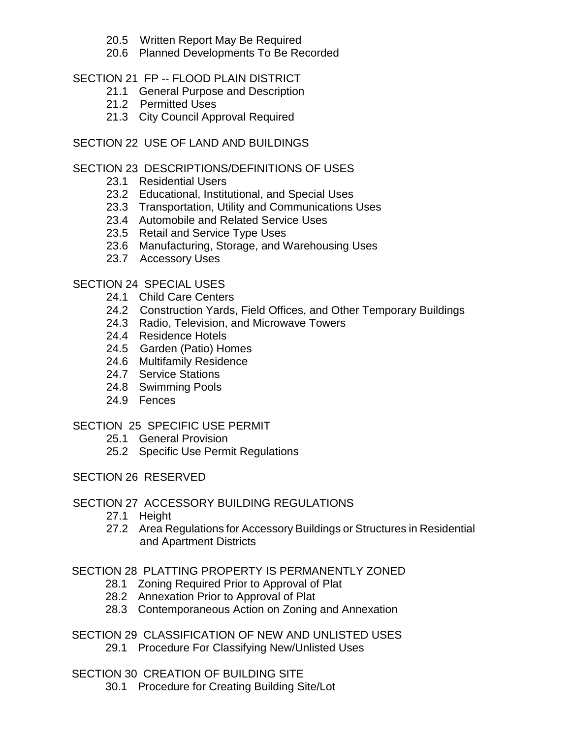- 20.5 Written Report May Be Required
- 20.6 Planned Developments To Be Recorded

## SECTION 21 FP -- FLOOD PLAIN DISTRICT

- 21.1 General Purpose and Description
- 21.2 Permitted Uses
- 21.3 City Council Approval Required

## SECTION 22 USE OF LAND AND BUILDINGS

## SECTION 23 DESCRIPTIONS/DEFINITIONS OF USES

- 23.1 Residential Users
- 23.2 Educational, Institutional, and Special Uses
- 23.3 Transportation, Utility and Communications Uses
- 23.4 Automobile and Related Service Uses
- 23.5 Retail and Service Type Uses
- 23.6 Manufacturing, Storage, and Warehousing Uses
- 23.7 Accessory Uses

## SECTION 24 SPECIAL USES

- 24.1 Child Care Centers
- 24.2 Construction Yards, Field Offices, and Other Temporary Buildings
- 24.3 Radio, Television, and Microwave Towers
- 24.4 Residence Hotels
- 24.5 Garden (Patio) Homes
- 24.6 Multifamily Residence
- 24.7 Service Stations
- 24.8 Swimming Pools
- 24.9 Fences

## SECTION 25 SPECIFIC USE PERMIT

- 25.1 General Provision
- 25.2 Specific Use Permit Regulations
- SECTION 26 RESERVED

## SECTION 27 ACCESSORY BUILDING REGULATIONS

- 27.1 Height
- 27.2 Area Regulations for Accessory Buildings or Structures in Residential and Apartment Districts

SECTION 28 PLATTING PROPERTY IS PERMANENTLY ZONED

- 28.1 Zoning Required Prior to Approval of Plat
- 28.2 Annexation Prior to Approval of Plat
- 28.3 Contemporaneous Action on Zoning and Annexation
- SECTION 29 CLASSIFICATION OF NEW AND UNLISTED USES 29.1 Procedure For Classifying New/Unlisted Uses
- SECTION 30 CREATION OF BUILDING SITE
	- 30.1 Procedure for Creating Building Site/Lot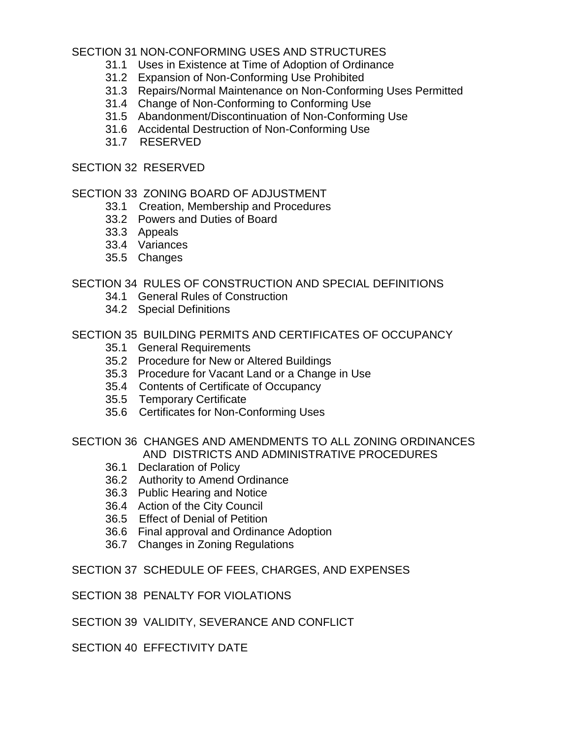## SECTION 31 NON-CONFORMING USES AND STRUCTURES

- 31.1 Uses in Existence at Time of Adoption of Ordinance
- 31.2 Expansion of Non-Conforming Use Prohibited
- 31.3 Repairs/Normal Maintenance on Non-Conforming Uses Permitted
- 31.4 Change of Non-Conforming to Conforming Use
- 31.5 Abandonment/Discontinuation of Non-Conforming Use
- 31.6 Accidental Destruction of Non-Conforming Use
- 31.7 RESERVED

## SECTION 32 RESERVED

## SECTION 33 ZONING BOARD OF ADJUSTMENT

- 33.1 Creation, Membership and Procedures
- 33.2 Powers and Duties of Board
- 33.3 Appeals
- 33.4 Variances
- 35.5 Changes

## SECTION 34 RULES OF CONSTRUCTION AND SPECIAL DEFINITIONS

- 34.1 General Rules of Construction
- 34.2 Special Definitions

## SECTION 35 BUILDING PERMITS AND CERTIFICATES OF OCCUPANCY

- 35.1 General Requirements
- 35.2 Procedure for New or Altered Buildings
- 35.3 Procedure for Vacant Land or a Change in Use
- 35.4 Contents of Certificate of Occupancy
- 35.5 Temporary Certificate
- 35.6 Certificates for Non-Conforming Uses

## SECTION 36 CHANGES AND AMENDMENTS TO ALL ZONING ORDINANCES AND DISTRICTS AND ADMINISTRATIVE PROCEDURES

- 36.1 Declaration of Policy
- 36.2 Authority to Amend Ordinance
- 36.3 Public Hearing and Notice
- 36.4 Action of the City Council
- 36.5 Effect of Denial of Petition
- 36.6 Final approval and Ordinance Adoption
- 36.7 Changes in Zoning Regulations

## SECTION 37 SCHEDULE OF FEES, CHARGES, AND EXPENSES

## SECTION 38 PENALTY FOR VIOLATIONS

## SECTION 39 VALIDITY, SEVERANCE AND CONFLICT

SECTION 40 FFFECTIVITY DATE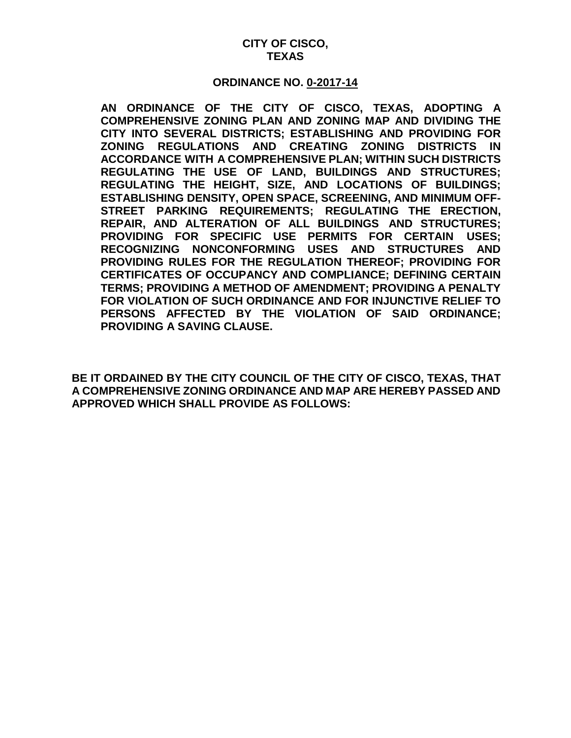### **CITY OF CISCO, TEXAS**

#### **ORDINANCE NO. 0-2017-14**

**AN ORDINANCE OF THE CITY OF CISCO, TEXAS, ADOPTING A COMPREHENSIVE ZONING PLAN AND ZONING MAP AND DIVIDING THE CITY INTO SEVERAL DISTRICTS; ESTABLISHING AND PROVIDING FOR ZONING REGULATIONS AND CREATING ZONING DISTRICTS IN ACCORDANCE WITH A COMPREHENSIVE PLAN; WITHIN SUCH DISTRICTS REGULATING THE USE OF LAND, BUILDINGS AND STRUCTURES; REGULATING THE HEIGHT, SIZE, AND LOCATIONS OF BUILDINGS; ESTABLISHING DENSITY, OPEN SPACE, SCREENING, AND MINIMUM OFF-STREET PARKING REQUIREMENTS; REGULATING THE ERECTION, REPAIR, AND ALTERATION OF ALL BUILDINGS AND STRUCTURES; PROVIDING FOR SPECIFIC USE PERMITS FOR CERTAIN USES; RECOGNIZING NONCONFORMING USES AND STRUCTURES AND PROVIDING RULES FOR THE REGULATION THEREOF; PROVIDING FOR CERTIFICATES OF OCCUPANCY AND COMPLIANCE; DEFINING CERTAIN TERMS; PROVIDING A METHOD OF AMENDMENT; PROVIDING A PENALTY FOR VIOLATION OF SUCH ORDINANCE AND FOR INJUNCTIVE RELIEF TO PERSONS AFFECTED BY THE VIOLATION OF SAID ORDINANCE; PROVIDING A SAVING CLAUSE.**

**BE IT ORDAINED BY THE CITY COUNCIL OF THE CITY OF CISCO, TEXAS, THAT A COMPREHENSIVE ZONING ORDINANCE AND MAP ARE HEREBY PASSED AND APPROVED WHICH SHALL PROVIDE AS FOLLOWS:**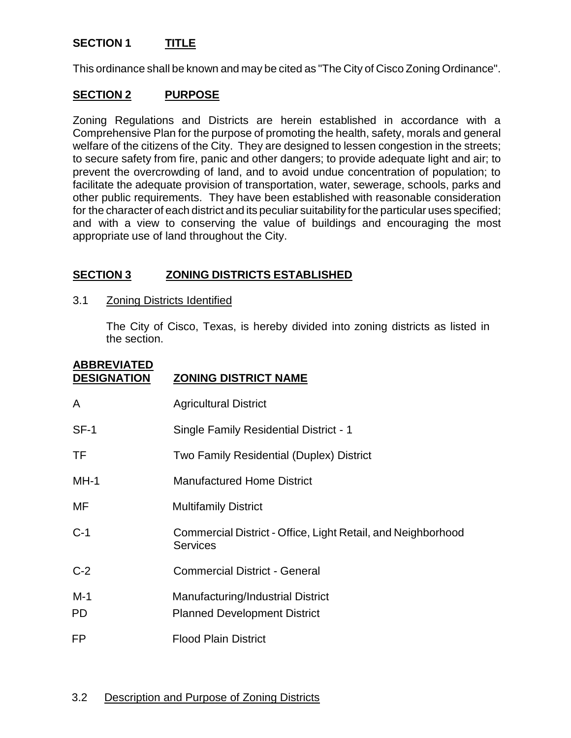## **SECTION 1 TITLE**

This ordinance shall be known and may be cited as "The City of Cisco Zoning Ordinance".

## **SECTION 2 PURPOSE**

Zoning Regulations and Districts are herein established in accordance with a Comprehensive Plan for the purpose of promoting the health, safety, morals and general welfare of the citizens of the City. They are designed to lessen congestion in the streets; to secure safety from fire, panic and other dangers; to provide adequate light and air; to prevent the overcrowding of land, and to avoid undue concentration of population; to facilitate the adequate provision of transportation, water, sewerage, schools, parks and other public requirements. They have been established with reasonable consideration for the character of each district and its peculiar suitability for the particular uses specified; and with a view to conserving the value of buildings and encouraging the most appropriate use of land throughout the City.

## **SECTION 3 ZONING DISTRICTS ESTABLISHED**

### 3.1 Zoning Districts Identified

The City of Cisco, Texas, is hereby divided into zoning districts as listed in the section.

| <b>ABBREVIATED</b><br><b>DESIGNATION</b> | <b>ZONING DISTRICT NAME</b>                                                     |
|------------------------------------------|---------------------------------------------------------------------------------|
| A                                        | <b>Agricultural District</b>                                                    |
| $SF-1$                                   | Single Family Residential District - 1                                          |
| TF                                       | Two Family Residential (Duplex) District                                        |
| $MH-1$                                   | <b>Manufactured Home District</b>                                               |
| MF                                       | <b>Multifamily District</b>                                                     |
| $C-1$                                    | Commercial District - Office, Light Retail, and Neighborhood<br><b>Services</b> |
| $C-2$                                    | <b>Commercial District - General</b>                                            |
| $M-1$<br>PD                              | Manufacturing/Industrial District<br><b>Planned Development District</b>        |
| <b>FP</b>                                | <b>Flood Plain District</b>                                                     |

## 3.2 Description and Purpose of Zoning Districts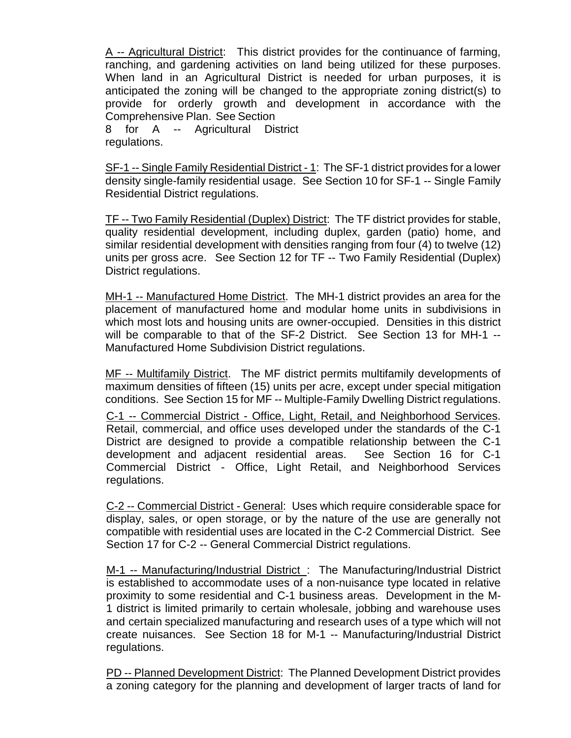A -- Agricultural District: This district provides for the continuance of farming, ranching, and gardening activities on land being utilized for these purposes. When land in an Agricultural District is needed for urban purposes, it is anticipated the zoning will be changed to the appropriate zoning district(s) to provide for orderly growth and development in accordance with the Comprehensive Plan. See Section

8 for A -- Agricultural District regulations.

SF-1 -- Single Family Residential District - 1: The SF-1 district provides for a lower density single-family residential usage. See Section 10 for SF-1 -- Single Family Residential District regulations.

TF -- Two Family Residential (Duplex) District: The TF district provides for stable, quality residential development, including duplex, garden (patio) home, and similar residential development with densities ranging from four (4) to twelve (12) units per gross acre. See Section 12 for TF -- Two Family Residential (Duplex) District regulations.

MH-1 -- Manufactured Home District. The MH-1 district provides an area for the placement of manufactured home and modular home units in subdivisions in which most lots and housing units are owner-occupied. Densities in this district will be comparable to that of the SF-2 District. See Section 13 for MH-1 -- Manufactured Home Subdivision District regulations.

MF -- Multifamily District. The MF district permits multifamily developments of maximum densities of fifteen (15) units per acre, except under special mitigation conditions. See Section 15 for MF -- Multiple-Family Dwelling District regulations.

C-1 -- Commercial District - Office, Light, Retail, and Neighborhood Services. Retail, commercial, and office uses developed under the standards of the C-1 District are designed to provide a compatible relationship between the C-1 development and adjacent residential areas. See Section 16 for C-1 Commercial District - Office, Light Retail, and Neighborhood Services regulations.

C-2 -- Commercial District - General: Uses which require considerable space for display, sales, or open storage, or by the nature of the use are generally not compatible with residential uses are located in the C-2 Commercial District. See Section 17 for C-2 -- General Commercial District regulations.

M-1 -- Manufacturing/Industrial District : The Manufacturing/Industrial District is established to accommodate uses of a non-nuisance type located in relative proximity to some residential and C-1 business areas. Development in the M-1 district is limited primarily to certain wholesale, jobbing and warehouse uses and certain specialized manufacturing and research uses of a type which will not create nuisances. See Section 18 for M-1 -- Manufacturing/Industrial District regulations.

PD -- Planned Development District: The Planned Development District provides a zoning category for the planning and development of larger tracts of land for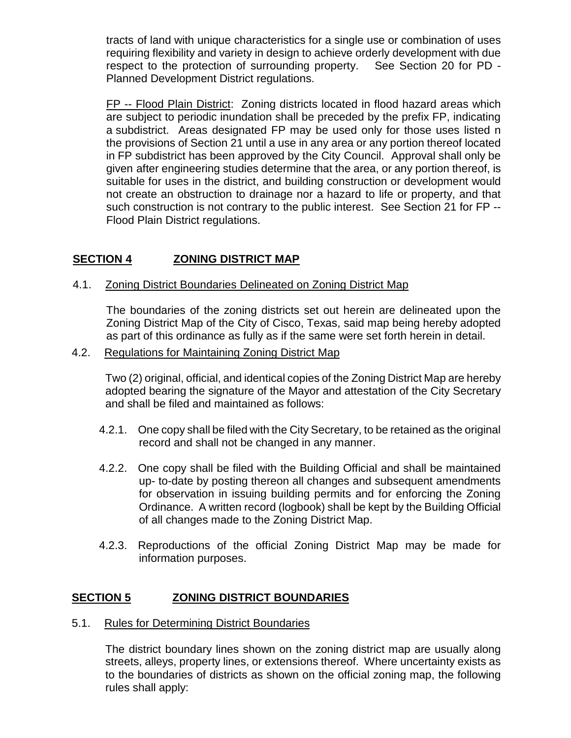tracts of land with unique characteristics for a single use or combination of uses requiring flexibility and variety in design to achieve orderly development with due respect to the protection of surrounding property. See Section 20 for PD - Planned Development District regulations.

FP -- Flood Plain District: Zoning districts located in flood hazard areas which are subject to periodic inundation shall be preceded by the prefix FP, indicating a subdistrict. Areas designated FP may be used only for those uses listed n the provisions of Section 21 until a use in any area or any portion thereof located in FP subdistrict has been approved by the City Council. Approval shall only be given after engineering studies determine that the area, or any portion thereof, is suitable for uses in the district, and building construction or development would not create an obstruction to drainage nor a hazard to life or property, and that such construction is not contrary to the public interest. See Section 21 for FP -- Flood Plain District regulations.

## **SECTION 4 ZONING DISTRICT MAP**

## 4.1. Zoning District Boundaries Delineated on Zoning District Map

The boundaries of the zoning districts set out herein are delineated upon the Zoning District Map of the City of Cisco, Texas, said map being hereby adopted as part of this ordinance as fully as if the same were set forth herein in detail.

## 4.2. Regulations for Maintaining Zoning District Map

Two (2) original, official, and identical copies of the Zoning District Map are hereby adopted bearing the signature of the Mayor and attestation of the City Secretary and shall be filed and maintained as follows:

- 4.2.1. One copy shall be filed with the City Secretary, to be retained as the original record and shall not be changed in any manner.
- 4.2.2. One copy shall be filed with the Building Official and shall be maintained up- to-date by posting thereon all changes and subsequent amendments for observation in issuing building permits and for enforcing the Zoning Ordinance. A written record (logbook) shall be kept by the Building Official of all changes made to the Zoning District Map.
- 4.2.3. Reproductions of the official Zoning District Map may be made for information purposes.

## **SECTION 5 ZONING DISTRICT BOUNDARIES**

5.1. Rules for Determining District Boundaries

The district boundary lines shown on the zoning district map are usually along streets, alleys, property lines, or extensions thereof. Where uncertainty exists as to the boundaries of districts as shown on the official zoning map, the following rules shall apply: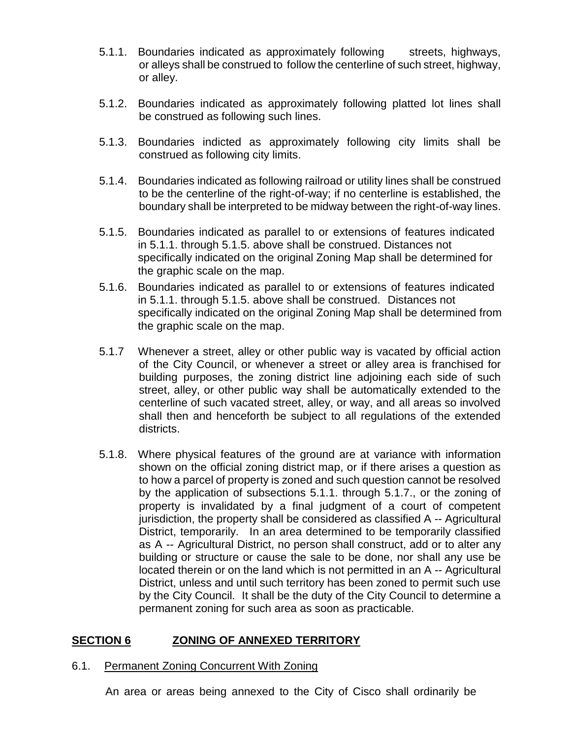- 5.1.1. Boundaries indicated as approximately following streets, highways, or alleys shall be construed to follow the centerline of such street, highway, or alley.
- 5.1.2. Boundaries indicated as approximately following platted lot lines shall be construed as following such lines.
- 5.1.3. Boundaries indicted as approximately following city limits shall be construed as following city limits.
- 5.1.4. Boundaries indicated as following railroad or utility lines shall be construed to be the centerline of the right-of-way; if no centerline is established, the boundary shall be interpreted to be midway between the right-of-way lines.
- 5.1.5. Boundaries indicated as parallel to or extensions of features indicated in 5.1.1. through 5.1.5. above shall be construed. Distances not specifically indicated on the original Zoning Map shall be determined for the graphic scale on the map.
- 5.1.6. Boundaries indicated as parallel to or extensions of features indicated in 5.1.1. through 5.1.5. above shall be construed. Distances not specifically indicated on the original Zoning Map shall be determined from the graphic scale on the map.
- 5.1.7 Whenever a street, alley or other public way is vacated by official action of the City Council, or whenever a street or alley area is franchised for building purposes, the zoning district line adjoining each side of such street, alley, or other public way shall be automatically extended to the centerline of such vacated street, alley, or way, and all areas so involved shall then and henceforth be subject to all regulations of the extended districts.
- 5.1.8. Where physical features of the ground are at variance with information shown on the official zoning district map, or if there arises a question as to how a parcel of property is zoned and such question cannot be resolved by the application of subsections 5.1.1. through 5.1.7., or the zoning of property is invalidated by a final judgment of a court of competent jurisdiction, the property shall be considered as classified A -- Agricultural District, temporarily. In an area determined to be temporarily classified as A -- Agricultural District, no person shall construct, add or to alter any building or structure or cause the sale to be done, nor shall any use be located therein or on the land which is not permitted in an A -- Agricultural District, unless and until such territory has been zoned to permit such use by the City Council. It shall be the duty of the City Council to determine a permanent zoning for such area as soon as practicable.

## **SECTION 6 ZONING OF ANNEXED TERRITORY**

#### 6.1. Permanent Zoning Concurrent With Zoning

An area or areas being annexed to the City of Cisco shall ordinarily be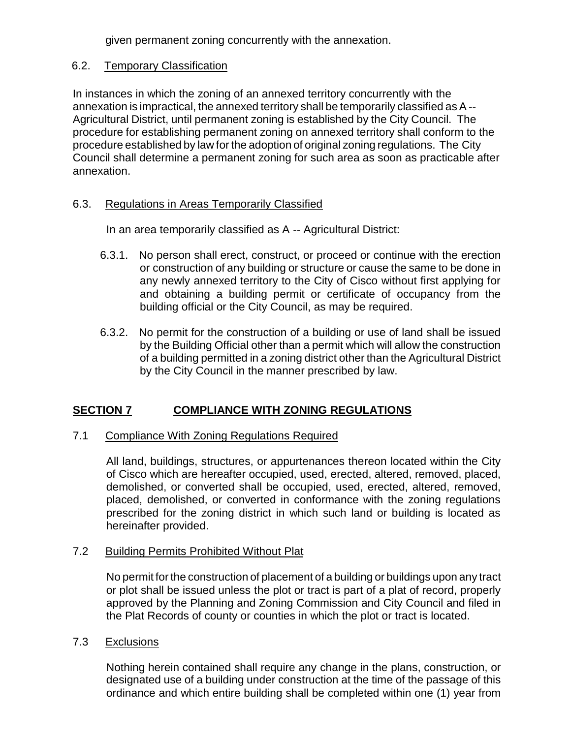given permanent zoning concurrently with the annexation.

## 6.2. Temporary Classification

In instances in which the zoning of an annexed territory concurrently with the annexation is impractical, the annexed territory shall be temporarily classified as A -- Agricultural District, until permanent zoning is established by the City Council. The procedure for establishing permanent zoning on annexed territory shall conform to the procedure established by law for the adoption of original zoning regulations. The City Council shall determine a permanent zoning for such area as soon as practicable after annexation.

## 6.3. Regulations in Areas Temporarily Classified

In an area temporarily classified as A -- Agricultural District:

- 6.3.1. No person shall erect, construct, or proceed or continue with the erection or construction of any building or structure or cause the same to be done in any newly annexed territory to the City of Cisco without first applying for and obtaining a building permit or certificate of occupancy from the building official or the City Council, as may be required.
- 6.3.2. No permit for the construction of a building or use of land shall be issued by the Building Official other than a permit which will allow the construction of a building permitted in a zoning district other than the Agricultural District by the City Council in the manner prescribed by law.

## **SECTION 7 COMPLIANCE WITH ZONING REGULATIONS**

## 7.1 Compliance With Zoning Regulations Required

All land, buildings, structures, or appurtenances thereon located within the City of Cisco which are hereafter occupied, used, erected, altered, removed, placed, demolished, or converted shall be occupied, used, erected, altered, removed, placed, demolished, or converted in conformance with the zoning regulations prescribed for the zoning district in which such land or building is located as hereinafter provided.

## 7.2 Building Permits Prohibited Without Plat

No permit for the construction of placement of a building or buildings upon any tract or plot shall be issued unless the plot or tract is part of a plat of record, properly approved by the Planning and Zoning Commission and City Council and filed in the Plat Records of county or counties in which the plot or tract is located.

## 7.3 Exclusions

Nothing herein contained shall require any change in the plans, construction, or designated use of a building under construction at the time of the passage of this ordinance and which entire building shall be completed within one (1) year from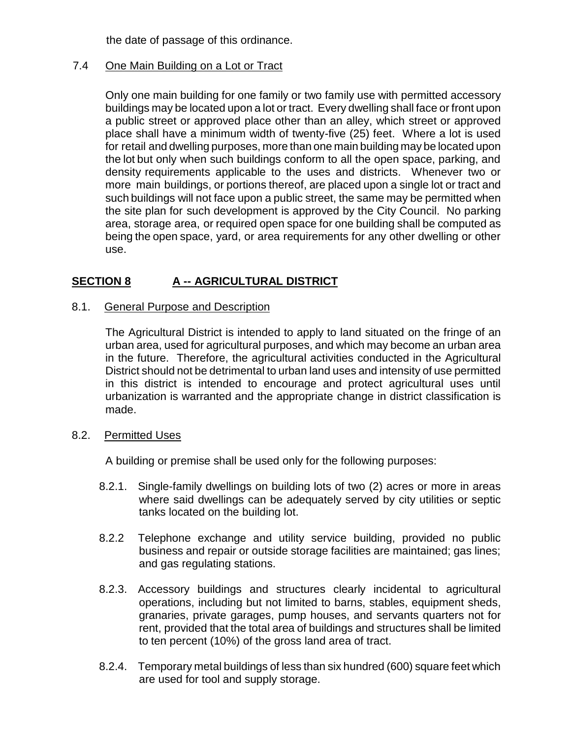the date of passage of this ordinance.

## 7.4 One Main Building on a Lot or Tract

Only one main building for one family or two family use with permitted accessory buildings may be located upon a lot or tract. Every dwelling shall face or front upon a public street or approved place other than an alley, which street or approved place shall have a minimum width of twenty-five (25) feet. Where a lot is used for retail and dwelling purposes, more than one main building may be located upon the lot but only when such buildings conform to all the open space, parking, and density requirements applicable to the uses and districts. Whenever two or more main buildings, or portions thereof, are placed upon a single lot or tract and such buildings will not face upon a public street, the same may be permitted when the site plan for such development is approved by the City Council. No parking area, storage area, or required open space for one building shall be computed as being the open space, yard, or area requirements for any other dwelling or other use.

## **SECTION 8 A -- AGRICULTURAL DISTRICT**

## 8.1. General Purpose and Description

The Agricultural District is intended to apply to land situated on the fringe of an urban area, used for agricultural purposes, and which may become an urban area in the future. Therefore, the agricultural activities conducted in the Agricultural District should not be detrimental to urban land uses and intensity of use permitted in this district is intended to encourage and protect agricultural uses until urbanization is warranted and the appropriate change in district classification is made.

## 8.2. Permitted Uses

A building or premise shall be used only for the following purposes:

- 8.2.1. Single-family dwellings on building lots of two (2) acres or more in areas where said dwellings can be adequately served by city utilities or septic tanks located on the building lot.
- 8.2.2 Telephone exchange and utility service building, provided no public business and repair or outside storage facilities are maintained; gas lines; and gas regulating stations.
- 8.2.3. Accessory buildings and structures clearly incidental to agricultural operations, including but not limited to barns, stables, equipment sheds, granaries, private garages, pump houses, and servants quarters not for rent, provided that the total area of buildings and structures shall be limited to ten percent (10%) of the gross land area of tract.
- 8.2.4. Temporary metal buildings of less than six hundred (600) square feet which are used for tool and supply storage.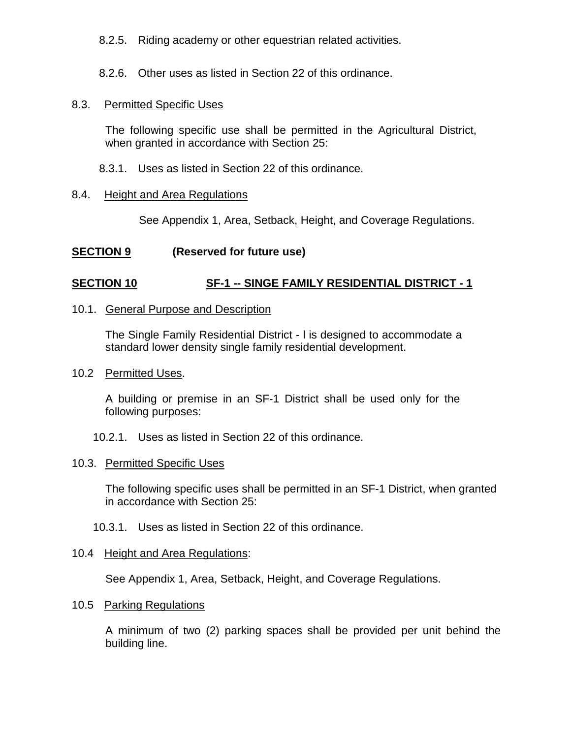8.2.5. Riding academy or other equestrian related activities.

8.2.6. Other uses as listed in Section 22 of this ordinance.

## 8.3. Permitted Specific Uses

The following specific use shall be permitted in the Agricultural District, when granted in accordance with Section 25:

8.3.1. Uses as listed in Section 22 of this ordinance.

## 8.4. Height and Area Regulations

See Appendix 1, Area, Setback, Height, and Coverage Regulations.

## **SECTION 9 (Reserved for future use)**

## **SECTION 10 SF-1 -- SINGE FAMILY RESIDENTIAL DISTRICT - 1**

### 10.1. General Purpose and Description

The Single Family Residential District - l is designed to accommodate a standard lower density single family residential development.

## 10.2 Permitted Uses.

A building or premise in an SF-1 District shall be used only for the following purposes:

## 10.2.1. Uses as listed in Section 22 of this ordinance.

## 10.3. Permitted Specific Uses

The following specific uses shall be permitted in an SF-1 District, when granted in accordance with Section 25:

10.3.1. Uses as listed in Section 22 of this ordinance.

## 10.4 Height and Area Regulations:

See Appendix 1, Area, Setback, Height, and Coverage Regulations.

## 10.5 Parking Regulations

A minimum of two (2) parking spaces shall be provided per unit behind the building line.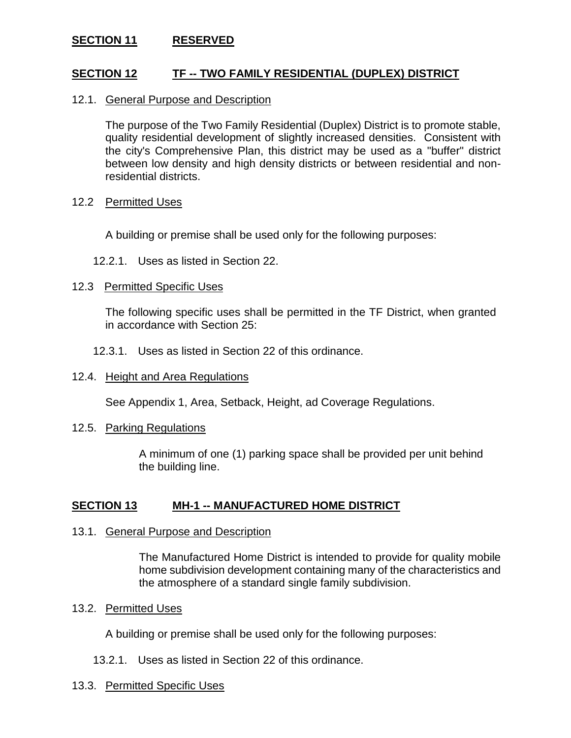## **SECTION 11 RESERVED**

### **SECTION 12 TF -- TWO FAMILY RESIDENTIAL (DUPLEX) DISTRICT**

#### 12.1. General Purpose and Description

The purpose of the Two Family Residential (Duplex) District is to promote stable, quality residential development of slightly increased densities. Consistent with the city's Comprehensive Plan, this district may be used as a "buffer" district between low density and high density districts or between residential and nonresidential districts.

#### 12.2 Permitted Uses

A building or premise shall be used only for the following purposes:

12.2.1. Uses as listed in Section 22.

#### 12.3 Permitted Specific Uses

The following specific uses shall be permitted in the TF District, when granted in accordance with Section 25:

12.3.1. Uses as listed in Section 22 of this ordinance.

#### 12.4. Height and Area Regulations

See Appendix 1, Area, Setback, Height, ad Coverage Regulations.

#### 12.5. Parking Regulations

A minimum of one (1) parking space shall be provided per unit behind the building line.

#### **SECTION 13 MH-1 -- MANUFACTURED HOME DISTRICT**

#### 13.1. General Purpose and Description

The Manufactured Home District is intended to provide for quality mobile home subdivision development containing many of the characteristics and the atmosphere of a standard single family subdivision.

#### 13.2. Permitted Uses

A building or premise shall be used only for the following purposes:

13.2.1. Uses as listed in Section 22 of this ordinance.

#### 13.3. Permitted Specific Uses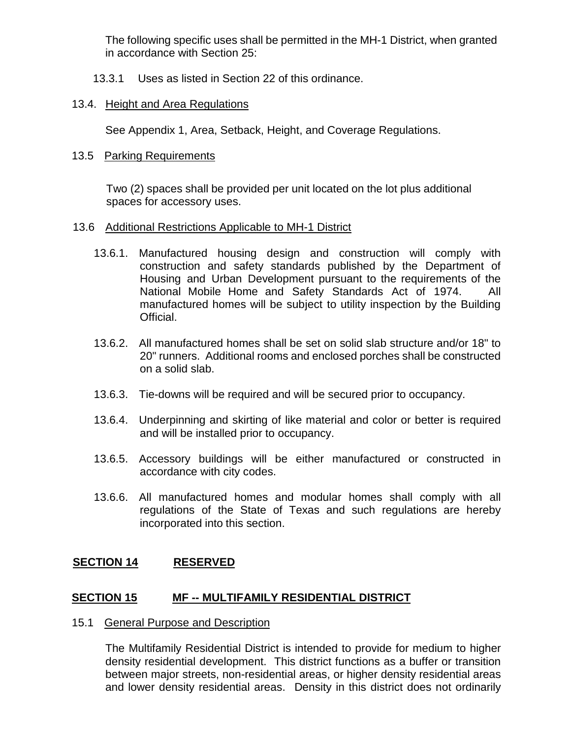The following specific uses shall be permitted in the MH-1 District, when granted in accordance with Section 25:

13.3.1 Uses as listed in Section 22 of this ordinance.

## 13.4. Height and Area Regulations

See Appendix 1, Area, Setback, Height, and Coverage Regulations.

## 13.5 Parking Requirements

Two (2) spaces shall be provided per unit located on the lot plus additional spaces for accessory uses.

## 13.6 Additional Restrictions Applicable to MH-1 District

- 13.6.1. Manufactured housing design and construction will comply with construction and safety standards published by the Department of Housing and Urban Development pursuant to the requirements of the National Mobile Home and Safety Standards Act of 1974. All manufactured homes will be subject to utility inspection by the Building Official.
- 13.6.2. All manufactured homes shall be set on solid slab structure and/or 18" to 20" runners. Additional rooms and enclosed porches shall be constructed on a solid slab.
- 13.6.3. Tie-downs will be required and will be secured prior to occupancy.
- 13.6.4. Underpinning and skirting of like material and color or better is required and will be installed prior to occupancy.
- 13.6.5. Accessory buildings will be either manufactured or constructed in accordance with city codes.
- 13.6.6. All manufactured homes and modular homes shall comply with all regulations of the State of Texas and such regulations are hereby incorporated into this section.

## **SECTION 14 RESERVED**

## **SECTION 15 MF -- MULTIFAMILY RESIDENTIAL DISTRICT**

## 15.1 General Purpose and Description

The Multifamily Residential District is intended to provide for medium to higher density residential development. This district functions as a buffer or transition between major streets, non-residential areas, or higher density residential areas and lower density residential areas. Density in this district does not ordinarily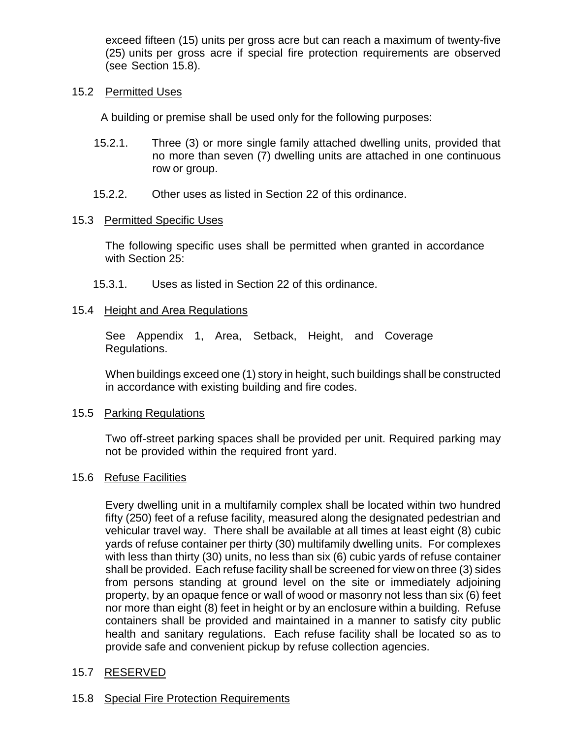exceed fifteen (15) units per gross acre but can reach a maximum of twenty-five (25) units per gross acre if special fire protection requirements are observed (see Section 15.8).

### 15.2 Permitted Uses

A building or premise shall be used only for the following purposes:

- 15.2.1. Three (3) or more single family attached dwelling units, provided that no more than seven (7) dwelling units are attached in one continuous row or group.
- 15.2.2. Other uses as listed in Section 22 of this ordinance.

### 15.3 Permitted Specific Uses

The following specific uses shall be permitted when granted in accordance with Section 25:

15.3.1. Uses as listed in Section 22 of this ordinance.

### 15.4 Height and Area Regulations

See Appendix 1, Area, Setback, Height, and Coverage Regulations.

When buildings exceed one (1) story in height, such buildings shall be constructed in accordance with existing building and fire codes.

#### 15.5 Parking Regulations

Two off-street parking spaces shall be provided per unit. Required parking may not be provided within the required front yard.

#### 15.6 Refuse Facilities

Every dwelling unit in a multifamily complex shall be located within two hundred fifty (250) feet of a refuse facility, measured along the designated pedestrian and vehicular travel way. There shall be available at all times at least eight (8) cubic yards of refuse container per thirty (30) multifamily dwelling units. For complexes with less than thirty (30) units, no less than six (6) cubic yards of refuse container shall be provided. Each refuse facility shall be screened for view on three (3) sides from persons standing at ground level on the site or immediately adjoining property, by an opaque fence or wall of wood or masonry not less than six (6) feet nor more than eight (8) feet in height or by an enclosure within a building. Refuse containers shall be provided and maintained in a manner to satisfy city public health and sanitary regulations. Each refuse facility shall be located so as to provide safe and convenient pickup by refuse collection agencies.

## 15.7 RESERVED

## 15.8 Special Fire Protection Requirements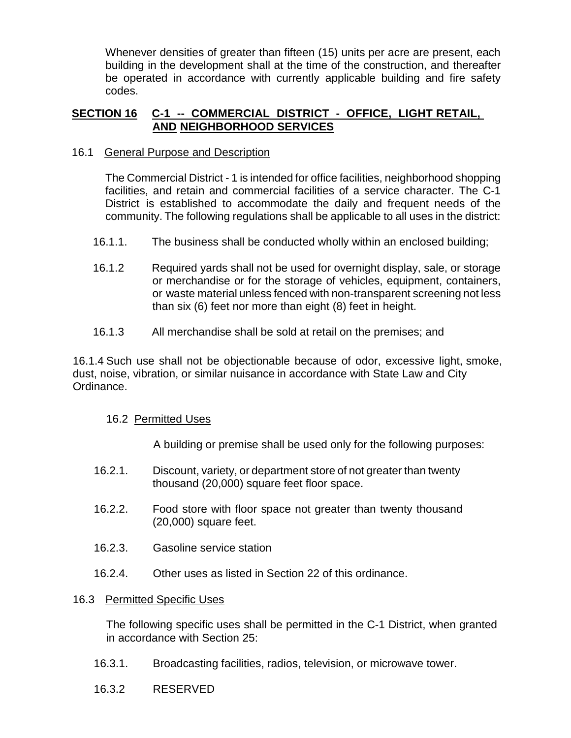Whenever densities of greater than fifteen (15) units per acre are present, each building in the development shall at the time of the construction, and thereafter be operated in accordance with currently applicable building and fire safety codes.

## **SECTION 16 C-1 -- COMMERCIAL DISTRICT - OFFICE, LIGHT RETAIL, AND NEIGHBORHOOD SERVICES**

### 16.1 General Purpose and Description

The Commercial District - 1 is intended for office facilities, neighborhood shopping facilities, and retain and commercial facilities of a service character. The C-1 District is established to accommodate the daily and frequent needs of the community. The following regulations shall be applicable to all uses in the district:

- 16.1.1. The business shall be conducted wholly within an enclosed building;
- 16.1.2 Required yards shall not be used for overnight display, sale, or storage or merchandise or for the storage of vehicles, equipment, containers, or waste material unless fenced with non-transparent screening not less than six (6) feet nor more than eight (8) feet in height.
- 16.1.3 All merchandise shall be sold at retail on the premises; and

16.1.4 Such use shall not be objectionable because of odor, excessive light, smoke, dust, noise, vibration, or similar nuisance in accordance with State Law and City Ordinance.

## 16.2 Permitted Uses

A building or premise shall be used only for the following purposes:

- 16.2.1. Discount, variety, or department store of not greater than twenty thousand (20,000) square feet floor space.
- 16.2.2. Food store with floor space not greater than twenty thousand (20,000) square feet.
- 16.2.3. Gasoline service station
- 16.2.4. Other uses as listed in Section 22 of this ordinance.

#### 16.3 Permitted Specific Uses

The following specific uses shall be permitted in the C-1 District, when granted in accordance with Section 25:

- 16.3.1. Broadcasting facilities, radios, television, or microwave tower.
- 16.3.2 RESERVED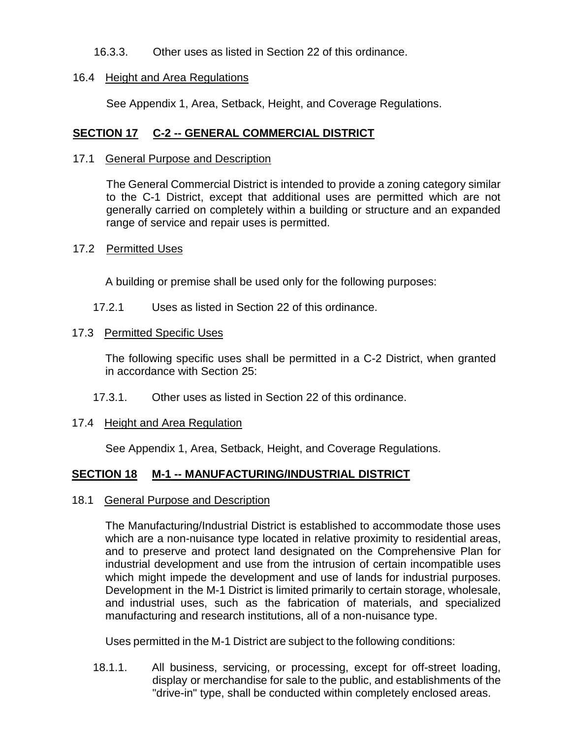16.3.3. Other uses as listed in Section 22 of this ordinance.

### 16.4 Height and Area Regulations

See Appendix 1, Area, Setback, Height, and Coverage Regulations.

## **SECTION 17 C-2 -- GENERAL COMMERCIAL DISTRICT**

### 17.1 General Purpose and Description

The General Commercial District is intended to provide a zoning category similar to the C-1 District, except that additional uses are permitted which are not generally carried on completely within a building or structure and an expanded range of service and repair uses is permitted.

## 17.2 Permitted Uses

A building or premise shall be used only for the following purposes:

17.2.1 Uses as listed in Section 22 of this ordinance.

### 17.3 Permitted Specific Uses

The following specific uses shall be permitted in a C-2 District, when granted in accordance with Section 25:

17.3.1. Other uses as listed in Section 22 of this ordinance.

## 17.4 Height and Area Regulation

See Appendix 1, Area, Setback, Height, and Coverage Regulations.

## **SECTION 18 M-1 -- MANUFACTURING/INDUSTRIAL DISTRICT**

#### 18.1 General Purpose and Description

The Manufacturing/Industrial District is established to accommodate those uses which are a non-nuisance type located in relative proximity to residential areas, and to preserve and protect land designated on the Comprehensive Plan for industrial development and use from the intrusion of certain incompatible uses which might impede the development and use of lands for industrial purposes. Development in the M-1 District is limited primarily to certain storage, wholesale, and industrial uses, such as the fabrication of materials, and specialized manufacturing and research institutions, all of a non-nuisance type.

Uses permitted in the M-1 District are subject to the following conditions:

18.1.1. All business, servicing, or processing, except for off-street loading, display or merchandise for sale to the public, and establishments of the "drive-in" type, shall be conducted within completely enclosed areas.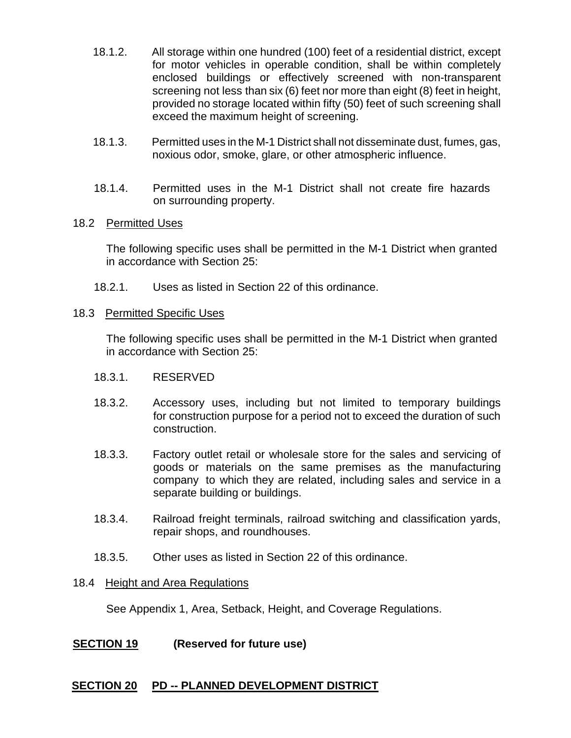- 18.1.2. All storage within one hundred (100) feet of a residential district, except for motor vehicles in operable condition, shall be within completely enclosed buildings or effectively screened with non-transparent screening not less than six (6) feet nor more than eight (8) feet in height, provided no storage located within fifty (50) feet of such screening shall exceed the maximum height of screening.
- 18.1.3. Permitted uses in the M-1 District shall not disseminate dust, fumes, gas, noxious odor, smoke, glare, or other atmospheric influence.
- 18.1.4. Permitted uses in the M-1 District shall not create fire hazards on surrounding property.

#### 18.2 Permitted Uses

The following specific uses shall be permitted in the M-1 District when granted in accordance with Section 25:

18.2.1. Uses as listed in Section 22 of this ordinance.

### 18.3 Permitted Specific Uses

The following specific uses shall be permitted in the M-1 District when granted in accordance with Section 25:

- 18.3.1. RESERVED
- 18.3.2. Accessory uses, including but not limited to temporary buildings for construction purpose for a period not to exceed the duration of such construction.
- 18.3.3. Factory outlet retail or wholesale store for the sales and servicing of goods or materials on the same premises as the manufacturing company to which they are related, including sales and service in a separate building or buildings.
- 18.3.4. Railroad freight terminals, railroad switching and classification yards, repair shops, and roundhouses.
- 18.3.5. Other uses as listed in Section 22 of this ordinance.

## 18.4 Height and Area Regulations

See Appendix 1, Area, Setback, Height, and Coverage Regulations.

## **SECTION 19 (Reserved for future use)**

## **SECTION 20 PD -- PLANNED DEVELOPMENT DISTRICT**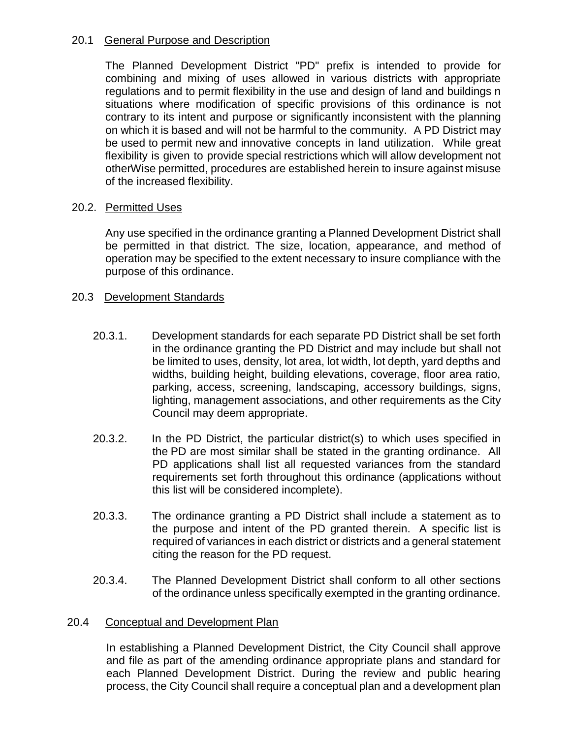## 20.1 General Purpose and Description

The Planned Development District "PD" prefix is intended to provide for combining and mixing of uses allowed in various districts with appropriate regulations and to permit flexibility in the use and design of land and buildings n situations where modification of specific provisions of this ordinance is not contrary to its intent and purpose or significantly inconsistent with the planning on which it is based and will not be harmful to the community. A PD District may be used to permit new and innovative concepts in land utilization. While great flexibility is given to provide special restrictions which will allow development not otherWise permitted, procedures are established herein to insure against misuse of the increased flexibility.

## 20.2. Permitted Uses

Any use specified in the ordinance granting a Planned Development District shall be permitted in that district. The size, location, appearance, and method of operation may be specified to the extent necessary to insure compliance with the purpose of this ordinance.

## 20.3 Development Standards

- 20.3.1. Development standards for each separate PD District shall be set forth in the ordinance granting the PD District and may include but shall not be limited to uses, density, lot area, lot width, lot depth, yard depths and widths, building height, building elevations, coverage, floor area ratio, parking, access, screening, landscaping, accessory buildings, signs, lighting, management associations, and other requirements as the City Council may deem appropriate.
- 20.3.2. In the PD District, the particular district(s) to which uses specified in the PD are most similar shall be stated in the granting ordinance. All PD applications shall list all requested variances from the standard requirements set forth throughout this ordinance (applications without this list will be considered incomplete).
- 20.3.3. The ordinance granting a PD District shall include a statement as to the purpose and intent of the PD granted therein. A specific list is required of variances in each district or districts and a general statement citing the reason for the PD request.
- 20.3.4. The Planned Development District shall conform to all other sections of the ordinance unless specifically exempted in the granting ordinance.

## 20.4 Conceptual and Development Plan

In establishing a Planned Development District, the City Council shall approve and file as part of the amending ordinance appropriate plans and standard for each Planned Development District. During the review and public hearing process, the City Council shall require a conceptual plan and a development plan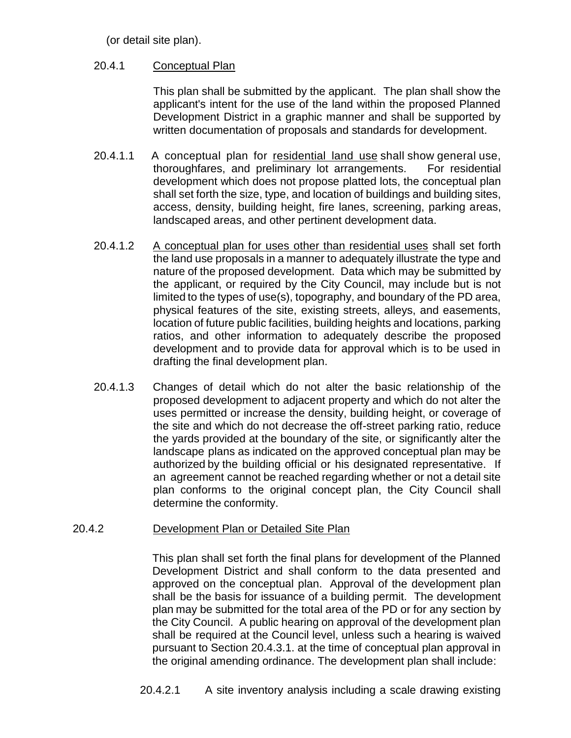(or detail site plan).

## 20.4.1 Conceptual Plan

This plan shall be submitted by the applicant. The plan shall show the applicant's intent for the use of the land within the proposed Planned Development District in a graphic manner and shall be supported by written documentation of proposals and standards for development.

- 20.4.1.1 A conceptual plan for residential land use shall show general use, thoroughfares, and preliminary lot arrangements. For residential development which does not propose platted lots, the conceptual plan shall set forth the size, type, and location of buildings and building sites, access, density, building height, fire lanes, screening, parking areas, landscaped areas, and other pertinent development data.
- 20.4.1.2 A conceptual plan for uses other than residential uses shall set forth the land use proposals in a manner to adequately illustrate the type and nature of the proposed development. Data which may be submitted by the applicant, or required by the City Council, may include but is not limited to the types of use(s), topography, and boundary of the PD area, physical features of the site, existing streets, alleys, and easements, location of future public facilities, building heights and locations, parking ratios, and other information to adequately describe the proposed development and to provide data for approval which is to be used in drafting the final development plan.
- 20.4.1.3 Changes of detail which do not alter the basic relationship of the proposed development to adjacent property and which do not alter the uses permitted or increase the density, building height, or coverage of the site and which do not decrease the off-street parking ratio, reduce the yards provided at the boundary of the site, or significantly alter the landscape plans as indicated on the approved conceptual plan may be authorized by the building official or his designated representative. If an agreement cannot be reached regarding whether or not a detail site plan conforms to the original concept plan, the City Council shall determine the conformity.

## 20.4.2 Development Plan or Detailed Site Plan

This plan shall set forth the final plans for development of the Planned Development District and shall conform to the data presented and approved on the conceptual plan. Approval of the development plan shall be the basis for issuance of a building permit. The development plan may be submitted for the total area of the PD or for any section by the City Council. A public hearing on approval of the development plan shall be required at the Council level, unless such a hearing is waived pursuant to Section 20.4.3.1. at the time of conceptual plan approval in the original amending ordinance. The development plan shall include: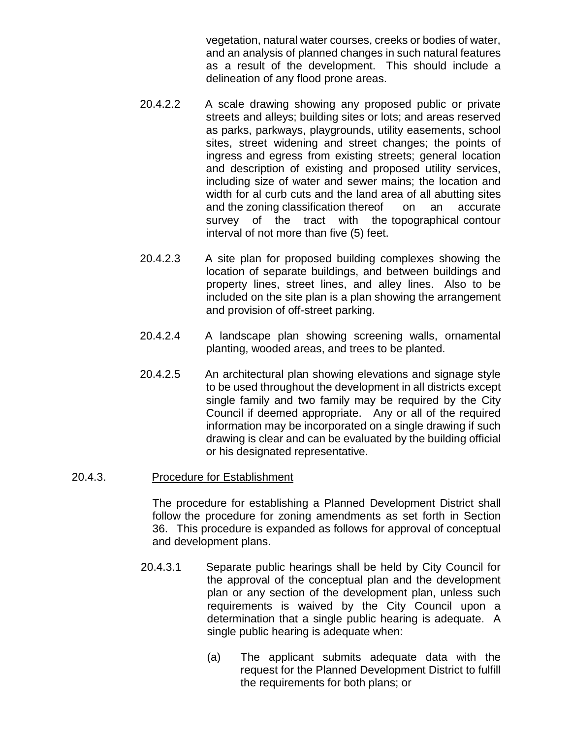vegetation, natural water courses, creeks or bodies of water, and an analysis of planned changes in such natural features as a result of the development. This should include a delineation of any flood prone areas.

- 20.4.2.2 A scale drawing showing any proposed public or private streets and alleys; building sites or lots; and areas reserved as parks, parkways, playgrounds, utility easements, school sites, street widening and street changes; the points of ingress and egress from existing streets; general location and description of existing and proposed utility services, including size of water and sewer mains; the location and width for al curb cuts and the land area of all abutting sites and the zoning classification thereof on an accurate survey of the tract with the topographical contour interval of not more than five (5) feet.
- 20.4.2.3 A site plan for proposed building complexes showing the location of separate buildings, and between buildings and property lines, street lines, and alley lines. Also to be included on the site plan is a plan showing the arrangement and provision of off-street parking.
- 20.4.2.4 A landscape plan showing screening walls, ornamental planting, wooded areas, and trees to be planted.
- 20.4.2.5 An architectural plan showing elevations and signage style to be used throughout the development in all districts except single family and two family may be required by the City Council if deemed appropriate. Any or all of the required information may be incorporated on a single drawing if such drawing is clear and can be evaluated by the building official or his designated representative.

#### 20.4.3. Procedure for Establishment

The procedure for establishing a Planned Development District shall follow the procedure for zoning amendments as set forth in Section 36. This procedure is expanded as follows for approval of conceptual and development plans.

- 20.4.3.1 Separate public hearings shall be held by City Council for the approval of the conceptual plan and the development plan or any section of the development plan, unless such requirements is waived by the City Council upon a determination that a single public hearing is adequate. A single public hearing is adequate when:
	- (a) The applicant submits adequate data with the request for the Planned Development District to fulfill the requirements for both plans; or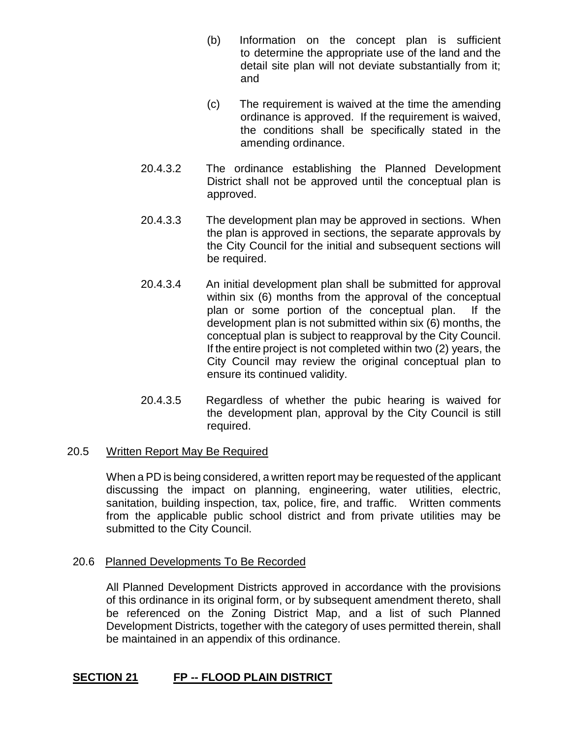- (b) Information on the concept plan is sufficient to determine the appropriate use of the land and the detail site plan will not deviate substantially from it; and
- (c) The requirement is waived at the time the amending ordinance is approved. If the requirement is waived, the conditions shall be specifically stated in the amending ordinance.
- 20.4.3.2 The ordinance establishing the Planned Development District shall not be approved until the conceptual plan is approved.
- 20.4.3.3 The development plan may be approved in sections. When the plan is approved in sections, the separate approvals by the City Council for the initial and subsequent sections will be required.
- 20.4.3.4 An initial development plan shall be submitted for approval within six (6) months from the approval of the conceptual plan or some portion of the conceptual plan. If the development plan is not submitted within six (6) months, the conceptual plan is subject to reapproval by the City Council. If the entire project is not completed within two (2) years, the City Council may review the original conceptual plan to ensure its continued validity.
- 20.4.3.5 Regardless of whether the pubic hearing is waived for the development plan, approval by the City Council is still required.

## 20.5 Written Report May Be Required

When a PD is being considered, a written report may be requested of the applicant discussing the impact on planning, engineering, water utilities, electric, sanitation, building inspection, tax, police, fire, and traffic. Written comments from the applicable public school district and from private utilities may be submitted to the City Council.

## 20.6 Planned Developments To Be Recorded

All Planned Development Districts approved in accordance with the provisions of this ordinance in its original form, or by subsequent amendment thereto, shall be referenced on the Zoning District Map, and a list of such Planned Development Districts, together with the category of uses permitted therein, shall be maintained in an appendix of this ordinance.

## **SECTION 21 FP -- FLOOD PLAIN DISTRICT**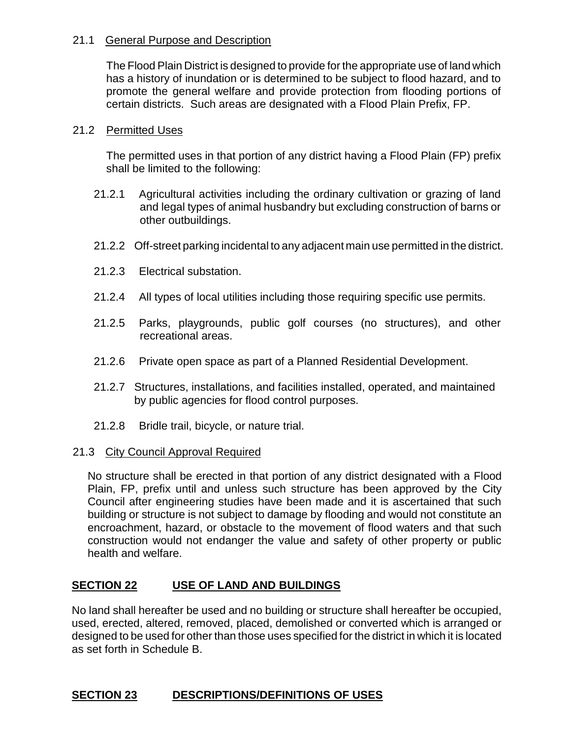## 21.1 General Purpose and Description

The Flood Plain District is designed to provide for the appropriate use of land which has a history of inundation or is determined to be subject to flood hazard, and to promote the general welfare and provide protection from flooding portions of certain districts. Such areas are designated with a Flood Plain Prefix, FP.

## 21.2 Permitted Uses

The permitted uses in that portion of any district having a Flood Plain (FP) prefix shall be limited to the following:

- 21.2.1 Agricultural activities including the ordinary cultivation or grazing of land and legal types of animal husbandry but excluding construction of barns or other outbuildings.
- 21.2.2 Off-street parking incidental to any adjacent main use permitted in the district.
- 21.2.3 Electrical substation.
- 21.2.4 All types of local utilities including those requiring specific use permits.
- 21.2.5 Parks, playgrounds, public golf courses (no structures), and other recreational areas.
- 21.2.6 Private open space as part of a Planned Residential Development.
- 21.2.7 Structures, installations, and facilities installed, operated, and maintained by public agencies for flood control purposes.
- 21.2.8 Bridle trail, bicycle, or nature trial.

## 21.3 City Council Approval Required

No structure shall be erected in that portion of any district designated with a Flood Plain, FP, prefix until and unless such structure has been approved by the City Council after engineering studies have been made and it is ascertained that such building or structure is not subject to damage by flooding and would not constitute an encroachment, hazard, or obstacle to the movement of flood waters and that such construction would not endanger the value and safety of other property or public health and welfare.

## **SECTION 22 USE OF LAND AND BUILDINGS**

No land shall hereafter be used and no building or structure shall hereafter be occupied, used, erected, altered, removed, placed, demolished or converted which is arranged or designed to be used for other than those uses specified for the district in which it is located as set forth in Schedule B.

## **SECTION 23 DESCRIPTIONS/DEFINITIONS OF USES**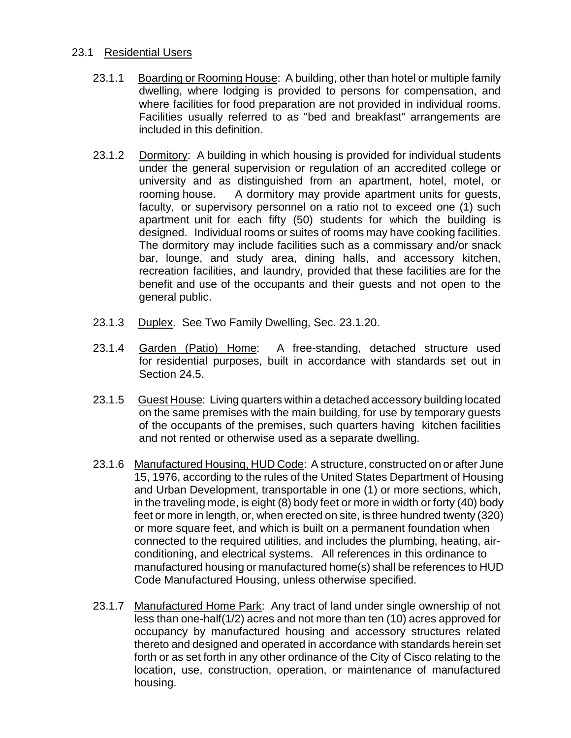### 23.1 Residential Users

- 23.1.1 Boarding or Rooming House: A building, other than hotel or multiple family dwelling, where lodging is provided to persons for compensation, and where facilities for food preparation are not provided in individual rooms. Facilities usually referred to as "bed and breakfast" arrangements are included in this definition.
- 23.1.2 Dormitory: A building in which housing is provided for individual students under the general supervision or regulation of an accredited college or university and as distinguished from an apartment, hotel, motel, or rooming house. A dormitory may provide apartment units for guests, faculty, or supervisory personnel on a ratio not to exceed one (1) such apartment unit for each fifty (50) students for which the building is designed. Individual rooms or suites of rooms may have cooking facilities. The dormitory may include facilities such as a commissary and/or snack bar, lounge, and study area, dining halls, and accessory kitchen, recreation facilities, and laundry, provided that these facilities are for the benefit and use of the occupants and their guests and not open to the general public.
- 23.1.3 Duplex. See Two Family Dwelling, Sec. 23.1.20.
- 23.1.4 Garden (Patio) Home: A free-standing, detached structure used for residential purposes, built in accordance with standards set out in Section 24.5.
- 23.1.5 Guest House: Living quarters within a detached accessory building located on the same premises with the main building, for use by temporary guests of the occupants of the premises, such quarters having kitchen facilities and not rented or otherwise used as a separate dwelling.
- 23.1.6 Manufactured Housing, HUD Code: A structure, constructed on or after June 15, 1976, according to the rules of the United States Department of Housing and Urban Development, transportable in one (1) or more sections, which, in the traveling mode, is eight (8) body feet or more in width or forty (40) body feet or more in length, or, when erected on site, is three hundred twenty (320) or more square feet, and which is built on a permanent foundation when connected to the required utilities, and includes the plumbing, heating, airconditioning, and electrical systems. All references in this ordinance to manufactured housing or manufactured home(s) shall be references to HUD Code Manufactured Housing, unless otherwise specified.
- 23.1.7 Manufactured Home Park: Any tract of land under single ownership of not less than one-half(1/2) acres and not more than ten (10) acres approved for occupancy by manufactured housing and accessory structures related thereto and designed and operated in accordance with standards herein set forth or as set forth in any other ordinance of the City of Cisco relating to the location, use, construction, operation, or maintenance of manufactured housing.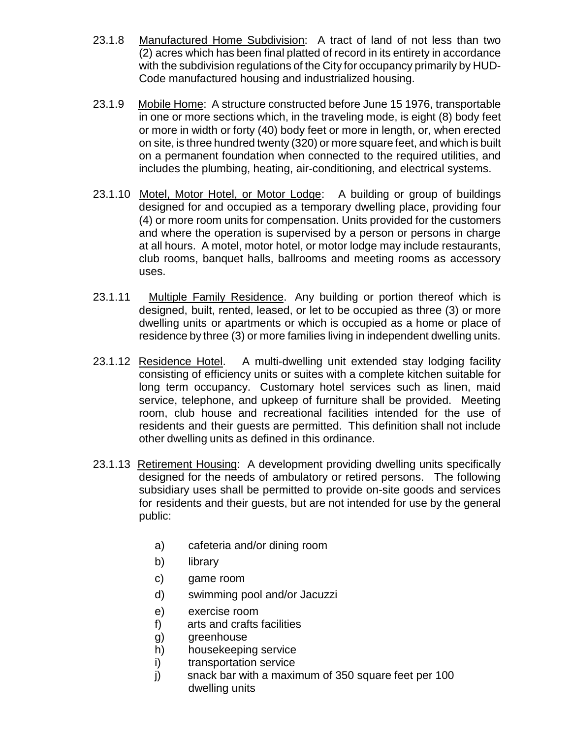- 23.1.8 Manufactured Home Subdivision: A tract of land of not less than two (2) acres which has been final platted of record in its entirety in accordance with the subdivision regulations of the City for occupancy primarily by HUD-Code manufactured housing and industrialized housing.
- 23.1.9 Mobile Home: A structure constructed before June 15 1976, transportable in one or more sections which, in the traveling mode, is eight (8) body feet or more in width or forty (40) body feet or more in length, or, when erected on site, is three hundred twenty (320) or more square feet, and which is built on a permanent foundation when connected to the required utilities, and includes the plumbing, heating, air-conditioning, and electrical systems.
- 23.1.10 Motel, Motor Hotel, or Motor Lodge: A building or group of buildings designed for and occupied as a temporary dwelling place, providing four (4) or more room units for compensation. Units provided for the customers and where the operation is supervised by a person or persons in charge at all hours. A motel, motor hotel, or motor lodge may include restaurants, club rooms, banquet halls, ballrooms and meeting rooms as accessory uses.
- 23.1.11 Multiple Family Residence. Any building or portion thereof which is designed, built, rented, leased, or let to be occupied as three (3) or more dwelling units or apartments or which is occupied as a home or place of residence by three (3) or more families living in independent dwelling units.
- 23.1.12 Residence Hotel. A multi-dwelling unit extended stay lodging facility consisting of efficiency units or suites with a complete kitchen suitable for long term occupancy. Customary hotel services such as linen, maid service, telephone, and upkeep of furniture shall be provided. Meeting room, club house and recreational facilities intended for the use of residents and their guests are permitted. This definition shall not include other dwelling units as defined in this ordinance.
- 23.1.13 Retirement Housing: A development providing dwelling units specifically designed for the needs of ambulatory or retired persons. The following subsidiary uses shall be permitted to provide on-site goods and services for residents and their guests, but are not intended for use by the general public:
	- a) cafeteria and/or dining room
	- b) library
	- c) game room
	- d) swimming pool and/or Jacuzzi
	- e) exercise room
	- f) arts and crafts facilities
	- g) greenhouse
	- h) housekeeping service
	- i) transportation service
	- j) snack bar with a maximum of 350 square feet per 100 dwelling units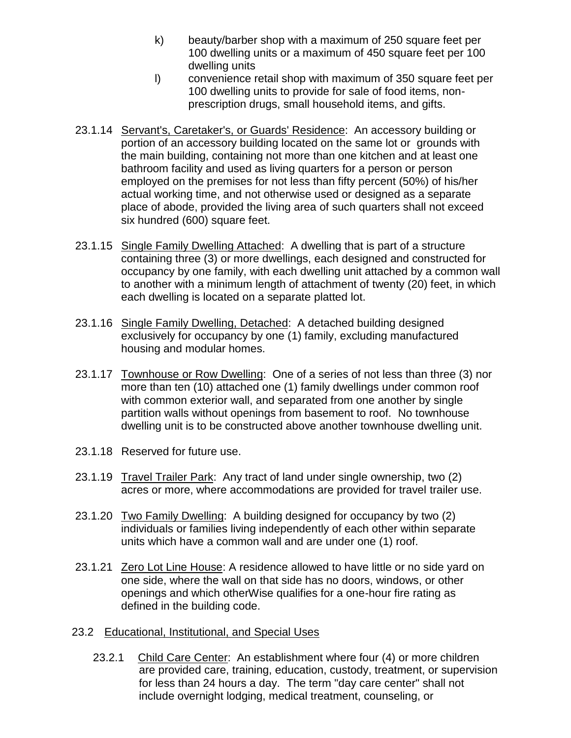- k) beauty/barber shop with a maximum of 250 square feet per 100 dwelling units or a maximum of 450 square feet per 100 dwelling units
- l) convenience retail shop with maximum of 350 square feet per 100 dwelling units to provide for sale of food items, nonprescription drugs, small household items, and gifts.
- 23.1.14 Servant's, Caretaker's, or Guards' Residence: An accessory building or portion of an accessory building located on the same lot or grounds with the main building, containing not more than one kitchen and at least one bathroom facility and used as living quarters for a person or person employed on the premises for not less than fifty percent (50%) of his/her actual working time, and not otherwise used or designed as a separate place of abode, provided the living area of such quarters shall not exceed six hundred (600) square feet.
- 23.1.15 Single Family Dwelling Attached: A dwelling that is part of a structure containing three (3) or more dwellings, each designed and constructed for occupancy by one family, with each dwelling unit attached by a common wall to another with a minimum length of attachment of twenty (20) feet, in which each dwelling is located on a separate platted lot.
- 23.1.16 Single Family Dwelling, Detached: A detached building designed exclusively for occupancy by one (1) family, excluding manufactured housing and modular homes.
- 23.1.17 Townhouse or Row Dwelling: One of a series of not less than three (3) nor more than ten (10) attached one (1) family dwellings under common roof with common exterior wall, and separated from one another by single partition walls without openings from basement to roof. No townhouse dwelling unit is to be constructed above another townhouse dwelling unit.
- 23.1.18 Reserved for future use.
- 23.1.19 Travel Trailer Park: Any tract of land under single ownership, two (2) acres or more, where accommodations are provided for travel trailer use.
- 23.1.20 Two Family Dwelling: A building designed for occupancy by two (2) individuals or families living independently of each other within separate units which have a common wall and are under one (1) roof.
- 23.1.21 Zero Lot Line House: A residence allowed to have little or no side yard on one side, where the wall on that side has no doors, windows, or other openings and which otherWise qualifies for a one-hour fire rating as defined in the building code.
- 23.2 Educational, Institutional, and Special Uses
	- 23.2.1 Child Care Center: An establishment where four (4) or more children are provided care, training, education, custody, treatment, or supervision for less than 24 hours a day. The term "day care center" shall not include overnight lodging, medical treatment, counseling, or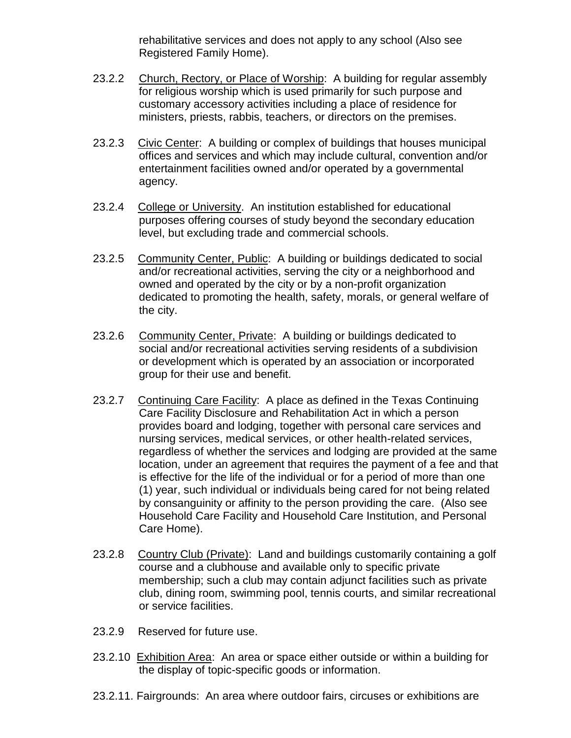rehabilitative services and does not apply to any school (Also see Registered Family Home).

- 23.2.2 Church, Rectory, or Place of Worship: A building for regular assembly for religious worship which is used primarily for such purpose and customary accessory activities including a place of residence for ministers, priests, rabbis, teachers, or directors on the premises.
- 23.2.3 Civic Center: A building or complex of buildings that houses municipal offices and services and which may include cultural, convention and/or entertainment facilities owned and/or operated by a governmental agency.
- 23.2.4 College or University. An institution established for educational purposes offering courses of study beyond the secondary education level, but excluding trade and commercial schools.
- 23.2.5 Community Center, Public: A building or buildings dedicated to social and/or recreational activities, serving the city or a neighborhood and owned and operated by the city or by a non-profit organization dedicated to promoting the health, safety, morals, or general welfare of the city.
- 23.2.6 Community Center, Private: A building or buildings dedicated to social and/or recreational activities serving residents of a subdivision or development which is operated by an association or incorporated group for their use and benefit.
- 23.2.7 Continuing Care Facility: A place as defined in the Texas Continuing Care Facility Disclosure and Rehabilitation Act in which a person provides board and lodging, together with personal care services and nursing services, medical services, or other health-related services, regardless of whether the services and lodging are provided at the same location, under an agreement that requires the payment of a fee and that is effective for the life of the individual or for a period of more than one (1) year, such individual or individuals being cared for not being related by consanguinity or affinity to the person providing the care. (Also see Household Care Facility and Household Care Institution, and Personal Care Home).
- 23.2.8 Country Club (Private): Land and buildings customarily containing a golf course and a clubhouse and available only to specific private membership; such a club may contain adjunct facilities such as private club, dining room, swimming pool, tennis courts, and similar recreational or service facilities.
- 23.2.9 Reserved for future use.
- 23.2.10 Exhibition Area: An area or space either outside or within a building for the display of topic-specific goods or information.
- 23.2.11. Fairgrounds: An area where outdoor fairs, circuses or exhibitions are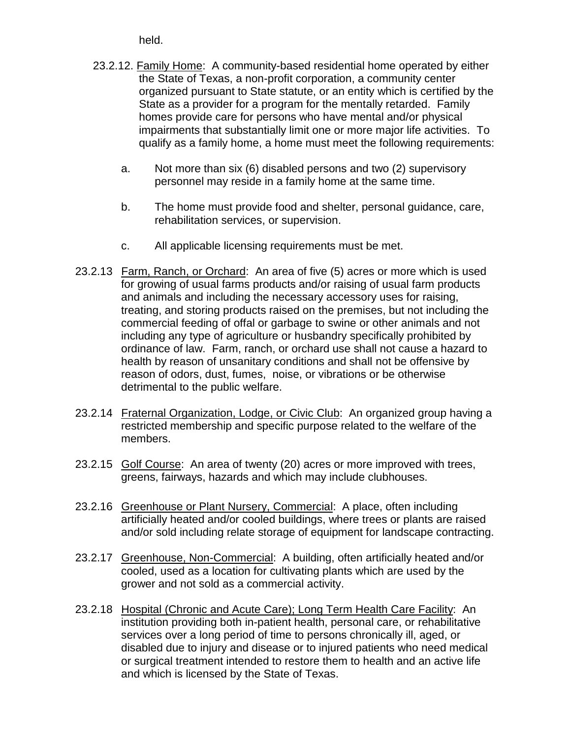held.

- 23.2.12. Family Home: A community-based residential home operated by either the State of Texas, a non-profit corporation, a community center organized pursuant to State statute, or an entity which is certified by the State as a provider for a program for the mentally retarded. Family homes provide care for persons who have mental and/or physical impairments that substantially limit one or more major life activities. To qualify as a family home, a home must meet the following requirements:
	- a. Not more than six (6) disabled persons and two (2) supervisory personnel may reside in a family home at the same time.
	- b. The home must provide food and shelter, personal guidance, care, rehabilitation services, or supervision.
	- c. All applicable licensing requirements must be met.
- 23.2.13 Farm, Ranch, or Orchard: An area of five (5) acres or more which is used for growing of usual farms products and/or raising of usual farm products and animals and including the necessary accessory uses for raising, treating, and storing products raised on the premises, but not including the commercial feeding of offal or garbage to swine or other animals and not including any type of agriculture or husbandry specifically prohibited by ordinance of law. Farm, ranch, or orchard use shall not cause a hazard to health by reason of unsanitary conditions and shall not be offensive by reason of odors, dust, fumes, noise, or vibrations or be otherwise detrimental to the public welfare.
- 23.2.14 Fraternal Organization, Lodge, or Civic Club: An organized group having a restricted membership and specific purpose related to the welfare of the members.
- 23.2.15 Golf Course: An area of twenty (20) acres or more improved with trees, greens, fairways, hazards and which may include clubhouses.
- 23.2.16 Greenhouse or Plant Nursery, Commercial: A place, often including artificially heated and/or cooled buildings, where trees or plants are raised and/or sold including relate storage of equipment for landscape contracting.
- 23.2.17 Greenhouse, Non-Commercial: A building, often artificially heated and/or cooled, used as a location for cultivating plants which are used by the grower and not sold as a commercial activity.
- 23.2.18 Hospital (Chronic and Acute Care); Long Term Health Care Facility: An institution providing both in-patient health, personal care, or rehabilitative services over a long period of time to persons chronically ill, aged, or disabled due to injury and disease or to injured patients who need medical or surgical treatment intended to restore them to health and an active life and which is licensed by the State of Texas.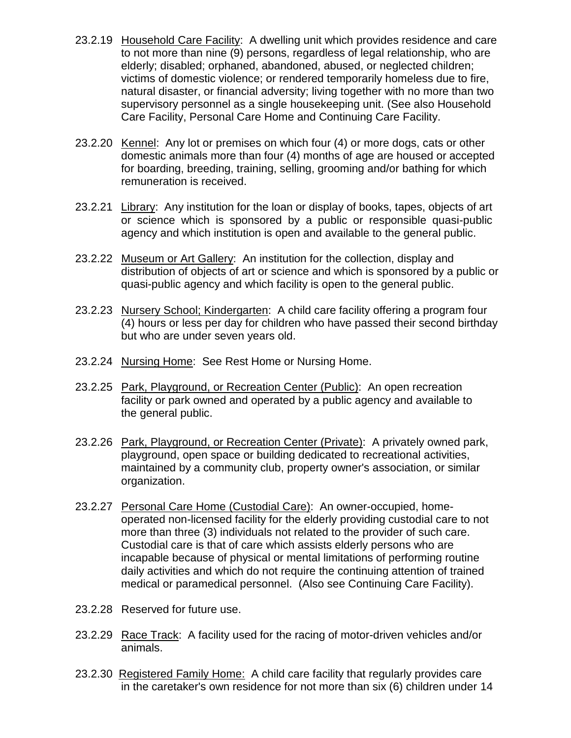- 23.2.19 Household Care Facility: A dwelling unit which provides residence and care to not more than nine (9) persons, regardless of legal relationship, who are elderly; disabled; orphaned, abandoned, abused, or neglected children; victims of domestic violence; or rendered temporarily homeless due to fire, natural disaster, or financial adversity; living together with no more than two supervisory personnel as a single housekeeping unit. (See also Household Care Facility, Personal Care Home and Continuing Care Facility.
- 23.2.20 Kennel: Any lot or premises on which four (4) or more dogs, cats or other domestic animals more than four (4) months of age are housed or accepted for boarding, breeding, training, selling, grooming and/or bathing for which remuneration is received.
- 23.2.21 Library: Any institution for the loan or display of books, tapes, objects of art or science which is sponsored by a public or responsible quasi-public agency and which institution is open and available to the general public.
- 23.2.22 Museum or Art Gallery: An institution for the collection, display and distribution of objects of art or science and which is sponsored by a public or quasi-public agency and which facility is open to the general public.
- 23.2.23 Nursery School; Kindergarten: A child care facility offering a program four (4) hours or less per day for children who have passed their second birthday but who are under seven years old.
- 23.2.24 Nursing Home: See Rest Home or Nursing Home.
- 23.2.25 Park, Playground, or Recreation Center (Public): An open recreation facility or park owned and operated by a public agency and available to the general public.
- 23.2.26 Park, Playground, or Recreation Center (Private): A privately owned park, playground, open space or building dedicated to recreational activities, maintained by a community club, property owner's association, or similar organization.
- 23.2.27 Personal Care Home (Custodial Care): An owner-occupied, homeoperated non-licensed facility for the elderly providing custodial care to not more than three (3) individuals not related to the provider of such care. Custodial care is that of care which assists elderly persons who are incapable because of physical or mental limitations of performing routine daily activities and which do not require the continuing attention of trained medical or paramedical personnel. (Also see Continuing Care Facility).
- 23.2.28 Reserved for future use.
- 23.2.29 Race Track: A facility used for the racing of motor-driven vehicles and/or animals.
- 23.2.30 Registered Family Home: A child care facility that regularly provides care in the caretaker's own residence for not more than six (6) children under 14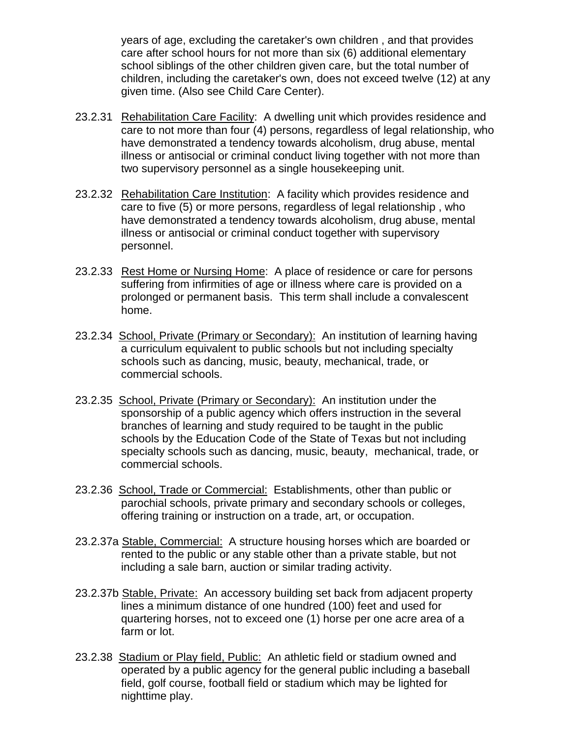years of age, excluding the caretaker's own children , and that provides care after school hours for not more than six (6) additional elementary school siblings of the other children given care, but the total number of children, including the caretaker's own, does not exceed twelve (12) at any given time. (Also see Child Care Center).

- 23.2.31 Rehabilitation Care Facility: A dwelling unit which provides residence and care to not more than four (4) persons, regardless of legal relationship, who have demonstrated a tendency towards alcoholism, drug abuse, mental illness or antisocial or criminal conduct living together with not more than two supervisory personnel as a single housekeeping unit.
- 23.2.32 Rehabilitation Care Institution: A facility which provides residence and care to five (5) or more persons, regardless of legal relationship , who have demonstrated a tendency towards alcoholism, drug abuse, mental illness or antisocial or criminal conduct together with supervisory personnel.
- 23.2.33 Rest Home or Nursing Home: A place of residence or care for persons suffering from infirmities of age or illness where care is provided on a prolonged or permanent basis. This term shall include a convalescent home.
- 23.2.34 School, Private (Primary or Secondary): An institution of learning having a curriculum equivalent to public schools but not including specialty schools such as dancing, music, beauty, mechanical, trade, or commercial schools.
- 23.2.35 School, Private (Primary or Secondary): An institution under the sponsorship of a public agency which offers instruction in the several branches of learning and study required to be taught in the public schools by the Education Code of the State of Texas but not including specialty schools such as dancing, music, beauty, mechanical, trade, or commercial schools.
- 23.2.36 School, Trade or Commercial: Establishments, other than public or parochial schools, private primary and secondary schools or colleges, offering training or instruction on a trade, art, or occupation.
- 23.2.37a Stable, Commercial: A structure housing horses which are boarded or rented to the public or any stable other than a private stable, but not including a sale barn, auction or similar trading activity.
- 23.2.37b Stable, Private: An accessory building set back from adjacent property lines a minimum distance of one hundred (100) feet and used for quartering horses, not to exceed one (1) horse per one acre area of a farm or lot.
- 23.2.38 Stadium or Play field, Public: An athletic field or stadium owned and operated by a public agency for the general public including a baseball field, golf course, football field or stadium which may be lighted for nighttime play.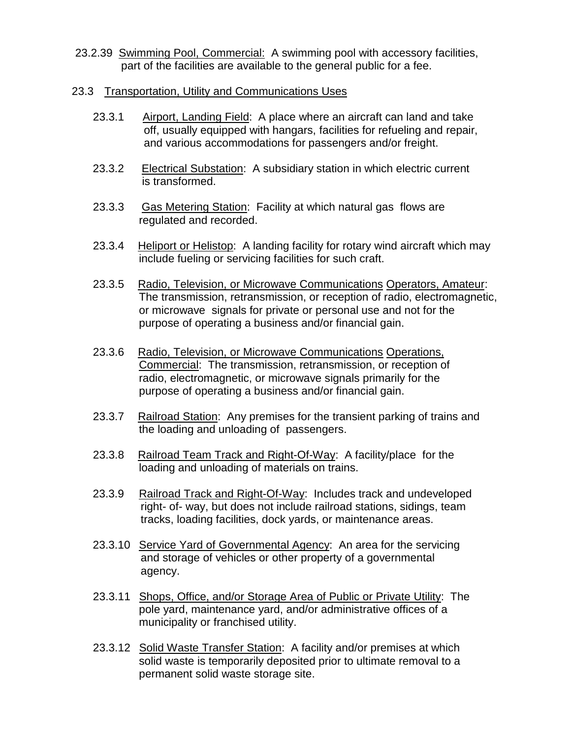- 23.2.39 Swimming Pool, Commercial: A swimming pool with accessory facilities, part of the facilities are available to the general public for a fee.
- 23.3 Transportation, Utility and Communications Uses
	- 23.3.1 Airport, Landing Field: A place where an aircraft can land and take off, usually equipped with hangars, facilities for refueling and repair, and various accommodations for passengers and/or freight.
	- 23.3.2 Electrical Substation: A subsidiary station in which electric current is transformed.
	- 23.3.3 Gas Metering Station: Facility at which natural gas flows are regulated and recorded.
	- 23.3.4 Heliport or Helistop: A landing facility for rotary wind aircraft which may include fueling or servicing facilities for such craft.
	- 23.3.5 Radio, Television, or Microwave Communications Operators, Amateur: The transmission, retransmission, or reception of radio, electromagnetic, or microwave signals for private or personal use and not for the purpose of operating a business and/or financial gain.
	- 23.3.6 Radio, Television, or Microwave Communications Operations, Commercial: The transmission, retransmission, or reception of radio, electromagnetic, or microwave signals primarily for the purpose of operating a business and/or financial gain.
	- 23.3.7 Railroad Station: Any premises for the transient parking of trains and the loading and unloading of passengers.
	- 23.3.8 Railroad Team Track and Right-Of-Way: A facility/place for the loading and unloading of materials on trains.
	- 23.3.9 Railroad Track and Right-Of-Way: Includes track and undeveloped right- of- way, but does not include railroad stations, sidings, team tracks, loading facilities, dock yards, or maintenance areas.
	- 23.3.10 Service Yard of Governmental Agency: An area for the servicing and storage of vehicles or other property of a governmental agency.
	- 23.3.11 Shops, Office, and/or Storage Area of Public or Private Utility: The pole yard, maintenance yard, and/or administrative offices of a municipality or franchised utility.
	- 23.3.12 Solid Waste Transfer Station: A facility and/or premises at which solid waste is temporarily deposited prior to ultimate removal to a permanent solid waste storage site.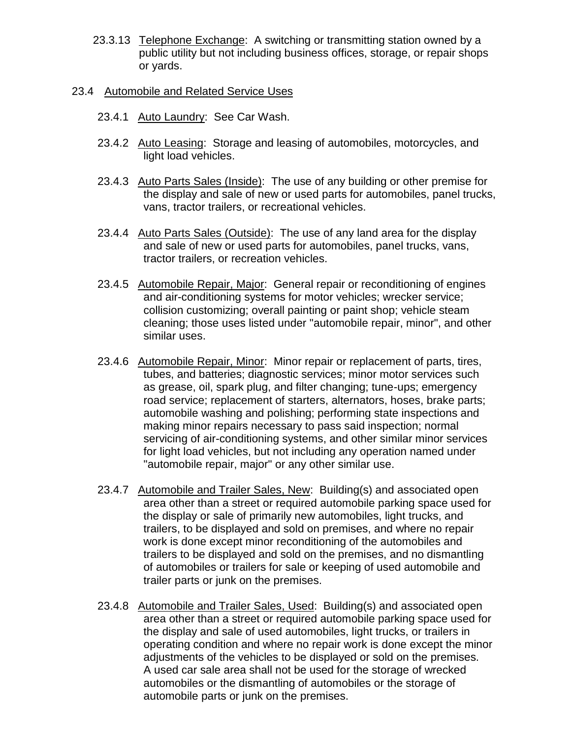- 23.3.13 Telephone Exchange: A switching or transmitting station owned by a public utility but not including business offices, storage, or repair shops or yards.
- 23.4 Automobile and Related Service Uses
	- 23.4.1 Auto Laundry: See Car Wash.
	- 23.4.2 Auto Leasing: Storage and leasing of automobiles, motorcycles, and light load vehicles.
	- 23.4.3 Auto Parts Sales (Inside): The use of any building or other premise for the display and sale of new or used parts for automobiles, panel trucks, vans, tractor trailers, or recreational vehicles.
	- 23.4.4 Auto Parts Sales (Outside): The use of any land area for the display and sale of new or used parts for automobiles, panel trucks, vans, tractor trailers, or recreation vehicles.
	- 23.4.5 Automobile Repair, Major: General repair or reconditioning of engines and air-conditioning systems for motor vehicles; wrecker service; collision customizing; overall painting or paint shop; vehicle steam cleaning; those uses listed under "automobile repair, minor", and other similar uses.
	- 23.4.6 Automobile Repair, Minor: Minor repair or replacement of parts, tires, tubes, and batteries; diagnostic services; minor motor services such as grease, oil, spark plug, and filter changing; tune-ups; emergency road service; replacement of starters, alternators, hoses, brake parts; automobile washing and polishing; performing state inspections and making minor repairs necessary to pass said inspection; normal servicing of air-conditioning systems, and other similar minor services for light load vehicles, but not including any operation named under "automobile repair, major" or any other similar use.
	- 23.4.7 Automobile and Trailer Sales, New: Building(s) and associated open area other than a street or required automobile parking space used for the display or sale of primarily new automobiles, light trucks, and trailers, to be displayed and sold on premises, and where no repair work is done except minor reconditioning of the automobiles and trailers to be displayed and sold on the premises, and no dismantling of automobiles or trailers for sale or keeping of used automobile and trailer parts or junk on the premises.
	- 23.4.8 Automobile and Trailer Sales, Used: Building(s) and associated open area other than a street or required automobile parking space used for the display and sale of used automobiles, light trucks, or trailers in operating condition and where no repair work is done except the minor adjustments of the vehicles to be displayed or sold on the premises. A used car sale area shall not be used for the storage of wrecked automobiles or the dismantling of automobiles or the storage of automobile parts or junk on the premises.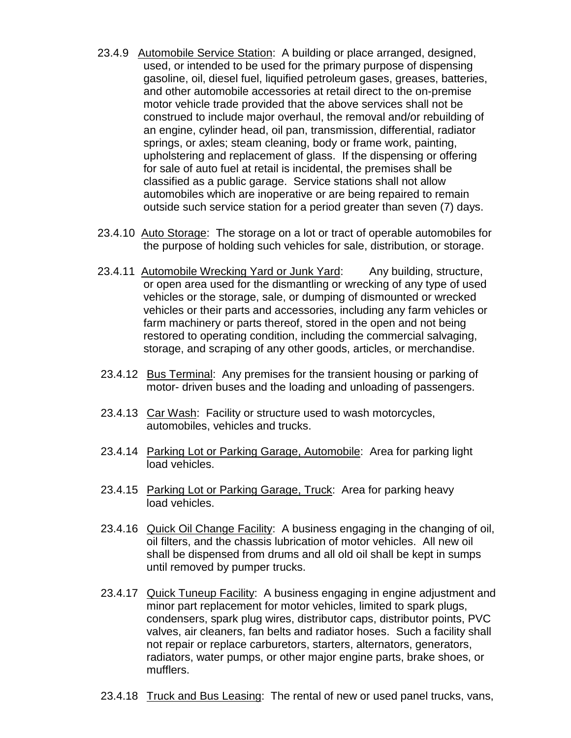- 23.4.9 Automobile Service Station: A building or place arranged, designed, used, or intended to be used for the primary purpose of dispensing gasoline, oil, diesel fuel, liquified petroleum gases, greases, batteries, and other automobile accessories at retail direct to the on-premise motor vehicle trade provided that the above services shall not be construed to include major overhaul, the removal and/or rebuilding of an engine, cylinder head, oil pan, transmission, differential, radiator springs, or axles; steam cleaning, body or frame work, painting, upholstering and replacement of glass. If the dispensing or offering for sale of auto fuel at retail is incidental, the premises shall be classified as a public garage. Service stations shall not allow automobiles which are inoperative or are being repaired to remain outside such service station for a period greater than seven (7) days.
- 23.4.10 Auto Storage: The storage on a lot or tract of operable automobiles for the purpose of holding such vehicles for sale, distribution, or storage.
- 23.4.11 Automobile Wrecking Yard or Junk Yard: Any building, structure, or open area used for the dismantling or wrecking of any type of used vehicles or the storage, sale, or dumping of dismounted or wrecked vehicles or their parts and accessories, including any farm vehicles or farm machinery or parts thereof, stored in the open and not being restored to operating condition, including the commercial salvaging, storage, and scraping of any other goods, articles, or merchandise.
- 23.4.12 Bus Terminal: Any premises for the transient housing or parking of motor- driven buses and the loading and unloading of passengers.
- 23.4.13 Car Wash: Facility or structure used to wash motorcycles, automobiles, vehicles and trucks.
- 23.4.14 Parking Lot or Parking Garage, Automobile: Area for parking light load vehicles.
- 23.4.15 Parking Lot or Parking Garage, Truck: Area for parking heavy load vehicles.
- 23.4.16 Quick Oil Change Facility: A business engaging in the changing of oil, oil filters, and the chassis lubrication of motor vehicles. All new oil shall be dispensed from drums and all old oil shall be kept in sumps until removed by pumper trucks.
- 23.4.17 Quick Tuneup Facility: A business engaging in engine adjustment and minor part replacement for motor vehicles, limited to spark plugs, condensers, spark plug wires, distributor caps, distributor points, PVC valves, air cleaners, fan belts and radiator hoses. Such a facility shall not repair or replace carburetors, starters, alternators, generators, radiators, water pumps, or other major engine parts, brake shoes, or mufflers.
- 23.4.18 Truck and Bus Leasing: The rental of new or used panel trucks, vans,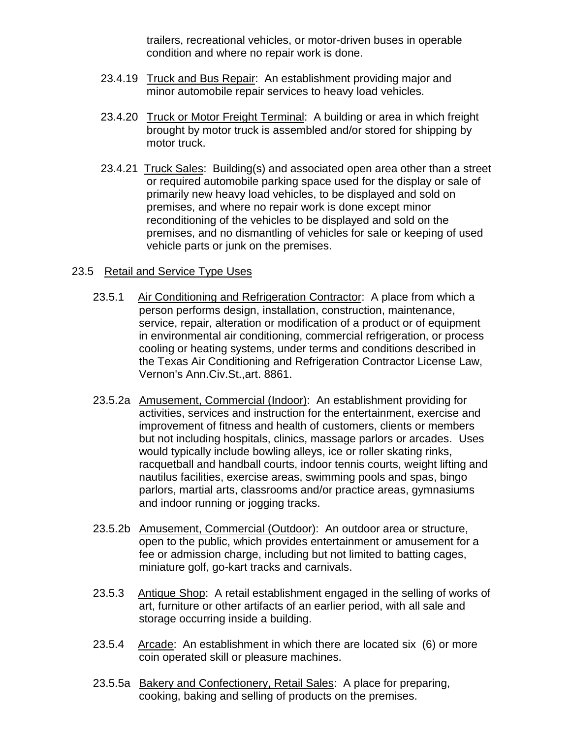trailers, recreational vehicles, or motor-driven buses in operable condition and where no repair work is done.

- 23.4.19 Truck and Bus Repair: An establishment providing major and minor automobile repair services to heavy load vehicles.
- 23.4.20 Truck or Motor Freight Terminal: A building or area in which freight brought by motor truck is assembled and/or stored for shipping by motor truck.
- 23.4.21 Truck Sales: Building(s) and associated open area other than a street or required automobile parking space used for the display or sale of primarily new heavy load vehicles, to be displayed and sold on premises, and where no repair work is done except minor reconditioning of the vehicles to be displayed and sold on the premises, and no dismantling of vehicles for sale or keeping of used vehicle parts or junk on the premises.

### 23.5 Retail and Service Type Uses

- 23.5.1 Air Conditioning and Refrigeration Contractor: A place from which a person performs design, installation, construction, maintenance, service, repair, alteration or modification of a product or of equipment in environmental air conditioning, commercial refrigeration, or process cooling or heating systems, under terms and conditions described in the Texas Air Conditioning and Refrigeration Contractor License Law, Vernon's Ann.Civ.St.,art. 8861.
- 23.5.2a Amusement, Commercial (Indoor): An establishment providing for activities, services and instruction for the entertainment, exercise and improvement of fitness and health of customers, clients or members but not including hospitals, clinics, massage parlors or arcades. Uses would typically include bowling alleys, ice or roller skating rinks, racquetball and handball courts, indoor tennis courts, weight lifting and nautilus facilities, exercise areas, swimming pools and spas, bingo parlors, martial arts, classrooms and/or practice areas, gymnasiums and indoor running or jogging tracks.
- 23.5.2b Amusement, Commercial (Outdoor): An outdoor area or structure, open to the public, which provides entertainment or amusement for a fee or admission charge, including but not limited to batting cages, miniature golf, go-kart tracks and carnivals.
- 23.5.3 Antique Shop: A retail establishment engaged in the selling of works of art, furniture or other artifacts of an earlier period, with all sale and storage occurring inside a building.
- 23.5.4 Arcade: An establishment in which there are located six (6) or more coin operated skill or pleasure machines.
- 23.5.5a Bakery and Confectionery, Retail Sales: A place for preparing, cooking, baking and selling of products on the premises.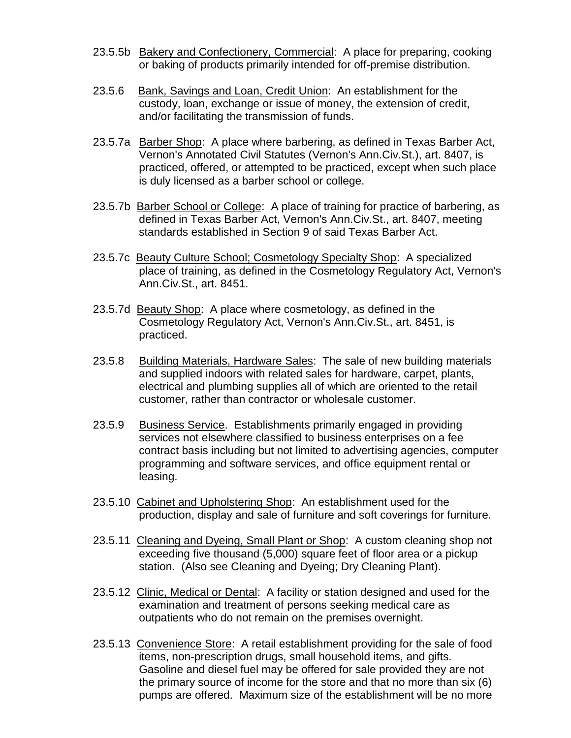- 23.5.5b Bakery and Confectionery, Commercial: A place for preparing, cooking or baking of products primarily intended for off-premise distribution.
- 23.5.6 Bank, Savings and Loan, Credit Union: An establishment for the custody, loan, exchange or issue of money, the extension of credit, and/or facilitating the transmission of funds.
- 23.5.7a Barber Shop: A place where barbering, as defined in Texas Barber Act, Vernon's Annotated Civil Statutes (Vernon's Ann.Civ.St.), art. 8407, is practiced, offered, or attempted to be practiced, except when such place is duly licensed as a barber school or college.
- 23.5.7b Barber School or College: A place of training for practice of barbering, as defined in Texas Barber Act, Vernon's Ann.Civ.St., art. 8407, meeting standards established in Section 9 of said Texas Barber Act.
- 23.5.7c Beauty Culture School; Cosmetology Specialty Shop: A specialized place of training, as defined in the Cosmetology Regulatory Act, Vernon's Ann.Civ.St., art. 8451.
- 23.5.7d Beauty Shop: A place where cosmetology, as defined in the Cosmetology Regulatory Act, Vernon's Ann.Civ.St., art. 8451, is practiced.
- 23.5.8 Building Materials, Hardware Sales: The sale of new building materials and supplied indoors with related sales for hardware, carpet, plants, electrical and plumbing supplies all of which are oriented to the retail customer, rather than contractor or wholesale customer.
- 23.5.9 Business Service. Establishments primarily engaged in providing services not elsewhere classified to business enterprises on a fee contract basis including but not limited to advertising agencies, computer programming and software services, and office equipment rental or leasing.
- 23.5.10 Cabinet and Upholstering Shop: An establishment used for the production, display and sale of furniture and soft coverings for furniture.
- 23.5.11 Cleaning and Dyeing, Small Plant or Shop: A custom cleaning shop not exceeding five thousand (5,000) square feet of floor area or a pickup station. (Also see Cleaning and Dyeing; Dry Cleaning Plant).
- 23.5.12 Clinic, Medical or Dental: A facility or station designed and used for the examination and treatment of persons seeking medical care as outpatients who do not remain on the premises overnight.
- 23.5.13 Convenience Store: A retail establishment providing for the sale of food items, non-prescription drugs, small household items, and gifts. Gasoline and diesel fuel may be offered for sale provided they are not the primary source of income for the store and that no more than six (6) pumps are offered. Maximum size of the establishment will be no more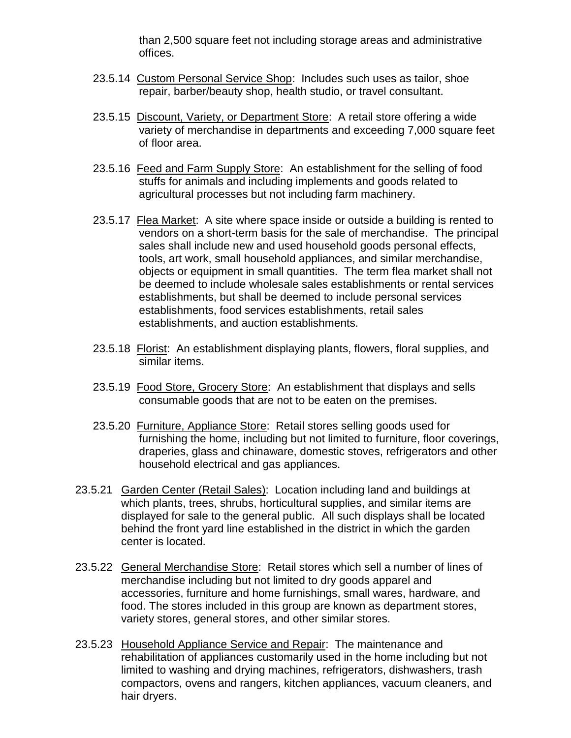than 2,500 square feet not including storage areas and administrative offices.

- 23.5.14 Custom Personal Service Shop: Includes such uses as tailor, shoe repair, barber/beauty shop, health studio, or travel consultant.
- 23.5.15 Discount, Variety, or Department Store: A retail store offering a wide variety of merchandise in departments and exceeding 7,000 square feet of floor area.
- 23.5.16 Feed and Farm Supply Store: An establishment for the selling of food stuffs for animals and including implements and goods related to agricultural processes but not including farm machinery.
- 23.5.17 Flea Market: A site where space inside or outside a building is rented to vendors on a short-term basis for the sale of merchandise. The principal sales shall include new and used household goods personal effects, tools, art work, small household appliances, and similar merchandise, objects or equipment in small quantities. The term flea market shall not be deemed to include wholesale sales establishments or rental services establishments, but shall be deemed to include personal services establishments, food services establishments, retail sales establishments, and auction establishments.
- 23.5.18 Florist: An establishment displaying plants, flowers, floral supplies, and similar items.
- 23.5.19 Food Store, Grocery Store: An establishment that displays and sells consumable goods that are not to be eaten on the premises.
- 23.5.20 Furniture, Appliance Store: Retail stores selling goods used for furnishing the home, including but not limited to furniture, floor coverings, draperies, glass and chinaware, domestic stoves, refrigerators and other household electrical and gas appliances.
- 23.5.21 Garden Center (Retail Sales): Location including land and buildings at which plants, trees, shrubs, horticultural supplies, and similar items are displayed for sale to the general public. All such displays shall be located behind the front yard line established in the district in which the garden center is located.
- 23.5.22 General Merchandise Store: Retail stores which sell a number of lines of merchandise including but not limited to dry goods apparel and accessories, furniture and home furnishings, small wares, hardware, and food. The stores included in this group are known as department stores, variety stores, general stores, and other similar stores.
- 23.5.23 Household Appliance Service and Repair: The maintenance and rehabilitation of appliances customarily used in the home including but not limited to washing and drying machines, refrigerators, dishwashers, trash compactors, ovens and rangers, kitchen appliances, vacuum cleaners, and hair dryers.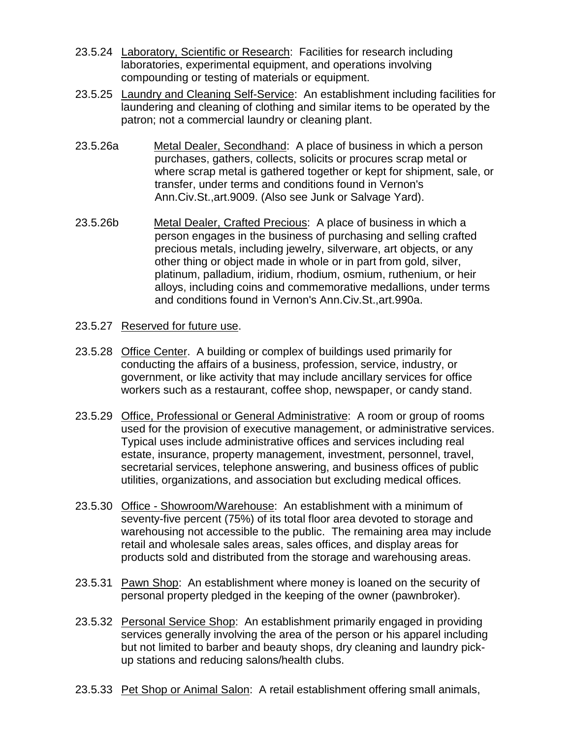- 23.5.24 Laboratory, Scientific or Research: Facilities for research including laboratories, experimental equipment, and operations involving compounding or testing of materials or equipment.
- 23.5.25 Laundry and Cleaning Self-Service: An establishment including facilities for laundering and cleaning of clothing and similar items to be operated by the patron; not a commercial laundry or cleaning plant.
- 23.5.26a Metal Dealer, Secondhand: A place of business in which a person purchases, gathers, collects, solicits or procures scrap metal or where scrap metal is gathered together or kept for shipment, sale, or transfer, under terms and conditions found in Vernon's Ann.Civ.St.,art.9009. (Also see Junk or Salvage Yard).
- 23.5.26b Metal Dealer, Crafted Precious: A place of business in which a person engages in the business of purchasing and selling crafted precious metals, including jewelry, silverware, art objects, or any other thing or object made in whole or in part from gold, silver, platinum, palladium, iridium, rhodium, osmium, ruthenium, or heir alloys, including coins and commemorative medallions, under terms and conditions found in Vernon's Ann.Civ.St.,art.990a.
- 23.5.27 Reserved for future use.
- 23.5.28 Office Center. A building or complex of buildings used primarily for conducting the affairs of a business, profession, service, industry, or government, or like activity that may include ancillary services for office workers such as a restaurant, coffee shop, newspaper, or candy stand.
- 23.5.29 Office, Professional or General Administrative: A room or group of rooms used for the provision of executive management, or administrative services. Typical uses include administrative offices and services including real estate, insurance, property management, investment, personnel, travel, secretarial services, telephone answering, and business offices of public utilities, organizations, and association but excluding medical offices.
- 23.5.30 Office Showroom/Warehouse: An establishment with a minimum of seventy-five percent (75%) of its total floor area devoted to storage and warehousing not accessible to the public. The remaining area may include retail and wholesale sales areas, sales offices, and display areas for products sold and distributed from the storage and warehousing areas.
- 23.5.31 Pawn Shop: An establishment where money is loaned on the security of personal property pledged in the keeping of the owner (pawnbroker).
- 23.5.32 Personal Service Shop: An establishment primarily engaged in providing services generally involving the area of the person or his apparel including but not limited to barber and beauty shops, dry cleaning and laundry pickup stations and reducing salons/health clubs.
- 23.5.33 Pet Shop or Animal Salon: A retail establishment offering small animals,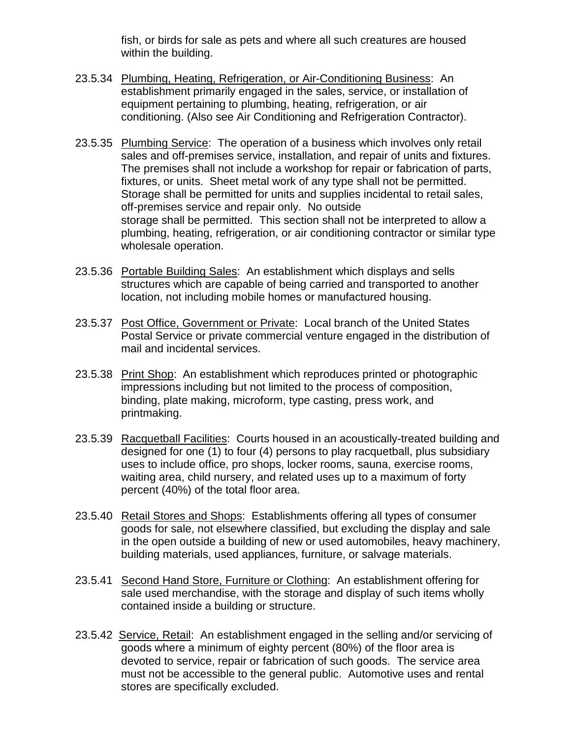fish, or birds for sale as pets and where all such creatures are housed within the building.

- 23.5.34 Plumbing, Heating, Refrigeration, or Air-Conditioning Business: An establishment primarily engaged in the sales, service, or installation of equipment pertaining to plumbing, heating, refrigeration, or air conditioning. (Also see Air Conditioning and Refrigeration Contractor).
- 23.5.35 Plumbing Service: The operation of a business which involves only retail sales and off-premises service, installation, and repair of units and fixtures. The premises shall not include a workshop for repair or fabrication of parts, fixtures, or units. Sheet metal work of any type shall not be permitted. Storage shall be permitted for units and supplies incidental to retail sales, off-premises service and repair only. No outside storage shall be permitted. This section shall not be interpreted to allow a plumbing, heating, refrigeration, or air conditioning contractor or similar type wholesale operation.
- 23.5.36 Portable Building Sales: An establishment which displays and sells structures which are capable of being carried and transported to another location, not including mobile homes or manufactured housing.
- 23.5.37 Post Office, Government or Private: Local branch of the United States Postal Service or private commercial venture engaged in the distribution of mail and incidental services.
- 23.5.38 Print Shop: An establishment which reproduces printed or photographic impressions including but not limited to the process of composition, binding, plate making, microform, type casting, press work, and printmaking.
- 23.5.39 Racquetball Facilities: Courts housed in an acoustically-treated building and designed for one (1) to four (4) persons to play racquetball, plus subsidiary uses to include office, pro shops, locker rooms, sauna, exercise rooms, waiting area, child nursery, and related uses up to a maximum of forty percent (40%) of the total floor area.
- 23.5.40 Retail Stores and Shops: Establishments offering all types of consumer goods for sale, not elsewhere classified, but excluding the display and sale in the open outside a building of new or used automobiles, heavy machinery, building materials, used appliances, furniture, or salvage materials.
- 23.5.41 Second Hand Store, Furniture or Clothing: An establishment offering for sale used merchandise, with the storage and display of such items wholly contained inside a building or structure.
- 23.5.42 Service, Retail: An establishment engaged in the selling and/or servicing of goods where a minimum of eighty percent (80%) of the floor area is devoted to service, repair or fabrication of such goods. The service area must not be accessible to the general public. Automotive uses and rental stores are specifically excluded.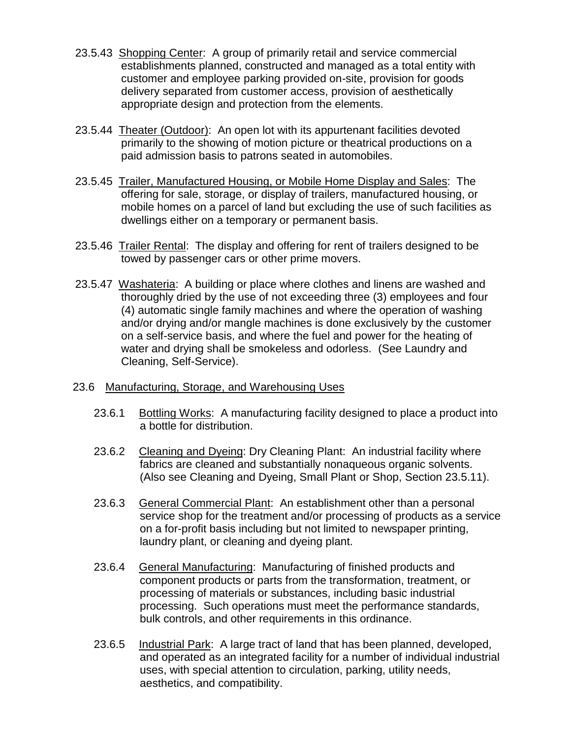- 23.5.43 Shopping Center: A group of primarily retail and service commercial establishments planned, constructed and managed as a total entity with customer and employee parking provided on-site, provision for goods delivery separated from customer access, provision of aesthetically appropriate design and protection from the elements.
- 23.5.44 Theater (Outdoor): An open lot with its appurtenant facilities devoted primarily to the showing of motion picture or theatrical productions on a paid admission basis to patrons seated in automobiles.
- 23.5.45 Trailer, Manufactured Housing, or Mobile Home Display and Sales: The offering for sale, storage, or display of trailers, manufactured housing, or mobile homes on a parcel of land but excluding the use of such facilities as dwellings either on a temporary or permanent basis.
- 23.5.46 Trailer Rental: The display and offering for rent of trailers designed to be towed by passenger cars or other prime movers.
- 23.5.47 Washateria: A building or place where clothes and linens are washed and thoroughly dried by the use of not exceeding three (3) employees and four (4) automatic single family machines and where the operation of washing and/or drying and/or mangle machines is done exclusively by the customer on a self-service basis, and where the fuel and power for the heating of water and drying shall be smokeless and odorless. (See Laundry and Cleaning, Self-Service).
- 23.6 Manufacturing, Storage, and Warehousing Uses
	- 23.6.1 Bottling Works: A manufacturing facility designed to place a product into a bottle for distribution.
	- 23.6.2 Cleaning and Dyeing: Dry Cleaning Plant: An industrial facility where fabrics are cleaned and substantially nonaqueous organic solvents. (Also see Cleaning and Dyeing, Small Plant or Shop, Section 23.5.11).
	- 23.6.3 General Commercial Plant: An establishment other than a personal service shop for the treatment and/or processing of products as a service on a for-profit basis including but not limited to newspaper printing, laundry plant, or cleaning and dyeing plant.
	- 23.6.4 General Manufacturing: Manufacturing of finished products and component products or parts from the transformation, treatment, or processing of materials or substances, including basic industrial processing. Such operations must meet the performance standards, bulk controls, and other requirements in this ordinance.
	- 23.6.5 Industrial Park: A large tract of land that has been planned, developed, and operated as an integrated facility for a number of individual industrial uses, with special attention to circulation, parking, utility needs, aesthetics, and compatibility.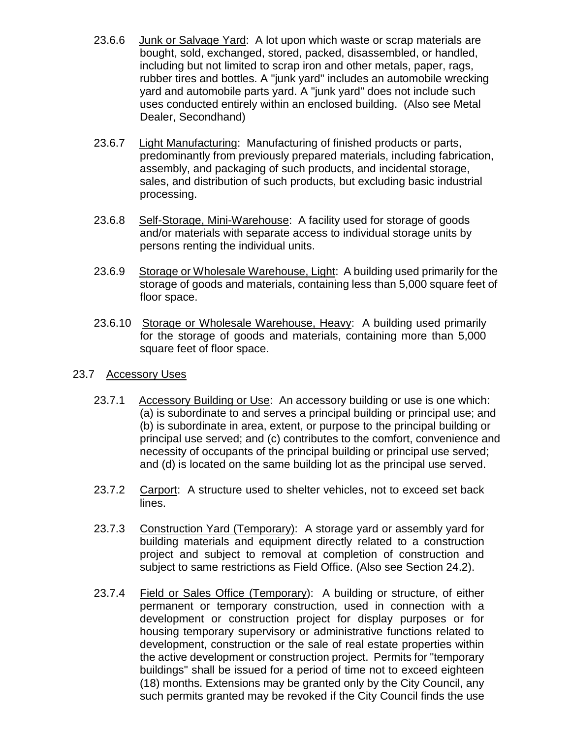- 23.6.6 Junk or Salvage Yard: A lot upon which waste or scrap materials are bought, sold, exchanged, stored, packed, disassembled, or handled, including but not limited to scrap iron and other metals, paper, rags, rubber tires and bottles. A "junk yard" includes an automobile wrecking yard and automobile parts yard. A "junk yard" does not include such uses conducted entirely within an enclosed building. (Also see Metal Dealer, Secondhand)
- 23.6.7 Light Manufacturing: Manufacturing of finished products or parts, predominantly from previously prepared materials, including fabrication, assembly, and packaging of such products, and incidental storage, sales, and distribution of such products, but excluding basic industrial processing.
- 23.6.8 Self-Storage, Mini-Warehouse: A facility used for storage of goods and/or materials with separate access to individual storage units by persons renting the individual units.
- 23.6.9 Storage or Wholesale Warehouse, Light: A building used primarily for the storage of goods and materials, containing less than 5,000 square feet of floor space.
- 23.6.10 Storage or Wholesale Warehouse, Heavy: A building used primarily for the storage of goods and materials, containing more than 5,000 square feet of floor space.
- 23.7 Accessory Uses
	- 23.7.1 Accessory Building or Use: An accessory building or use is one which: (a) is subordinate to and serves a principal building or principal use; and (b) is subordinate in area, extent, or purpose to the principal building or principal use served; and (c) contributes to the comfort, convenience and necessity of occupants of the principal building or principal use served; and (d) is located on the same building lot as the principal use served.
	- 23.7.2 Carport: A structure used to shelter vehicles, not to exceed set back lines.
	- 23.7.3 Construction Yard (Temporary): A storage yard or assembly yard for building materials and equipment directly related to a construction project and subject to removal at completion of construction and subject to same restrictions as Field Office. (Also see Section 24.2).
	- 23.7.4 Field or Sales Office (Temporary): A building or structure, of either permanent or temporary construction, used in connection with a development or construction project for display purposes or for housing temporary supervisory or administrative functions related to development, construction or the sale of real estate properties within the active development or construction project. Permits for "temporary buildings" shall be issued for a period of time not to exceed eighteen (18) months. Extensions may be granted only by the City Council, any such permits granted may be revoked if the City Council finds the use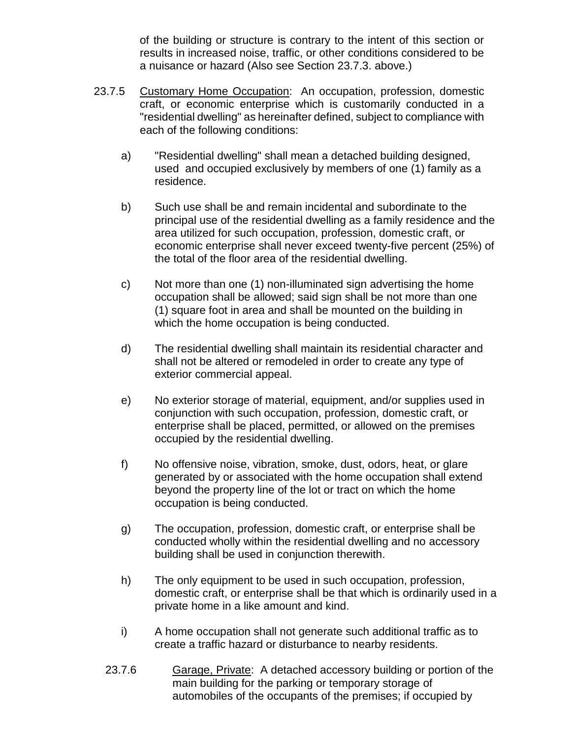of the building or structure is contrary to the intent of this section or results in increased noise, traffic, or other conditions considered to be a nuisance or hazard (Also see Section 23.7.3. above.)

- 23.7.5 Customary Home Occupation: An occupation, profession, domestic craft, or economic enterprise which is customarily conducted in a "residential dwelling" as hereinafter defined, subject to compliance with each of the following conditions:
	- a) "Residential dwelling" shall mean a detached building designed, used and occupied exclusively by members of one (1) family as a residence.
	- b) Such use shall be and remain incidental and subordinate to the principal use of the residential dwelling as a family residence and the area utilized for such occupation, profession, domestic craft, or economic enterprise shall never exceed twenty-five percent (25%) of the total of the floor area of the residential dwelling.
	- c) Not more than one (1) non-illuminated sign advertising the home occupation shall be allowed; said sign shall be not more than one (1) square foot in area and shall be mounted on the building in which the home occupation is being conducted.
	- d) The residential dwelling shall maintain its residential character and shall not be altered or remodeled in order to create any type of exterior commercial appeal.
	- e) No exterior storage of material, equipment, and/or supplies used in conjunction with such occupation, profession, domestic craft, or enterprise shall be placed, permitted, or allowed on the premises occupied by the residential dwelling.
	- f) No offensive noise, vibration, smoke, dust, odors, heat, or glare generated by or associated with the home occupation shall extend beyond the property line of the lot or tract on which the home occupation is being conducted.
	- g) The occupation, profession, domestic craft, or enterprise shall be conducted wholly within the residential dwelling and no accessory building shall be used in conjunction therewith.
	- h) The only equipment to be used in such occupation, profession, domestic craft, or enterprise shall be that which is ordinarily used in a private home in a like amount and kind.
	- i) A home occupation shall not generate such additional traffic as to create a traffic hazard or disturbance to nearby residents.
	- 23.7.6 Garage, Private: A detached accessory building or portion of the main building for the parking or temporary storage of automobiles of the occupants of the premises; if occupied by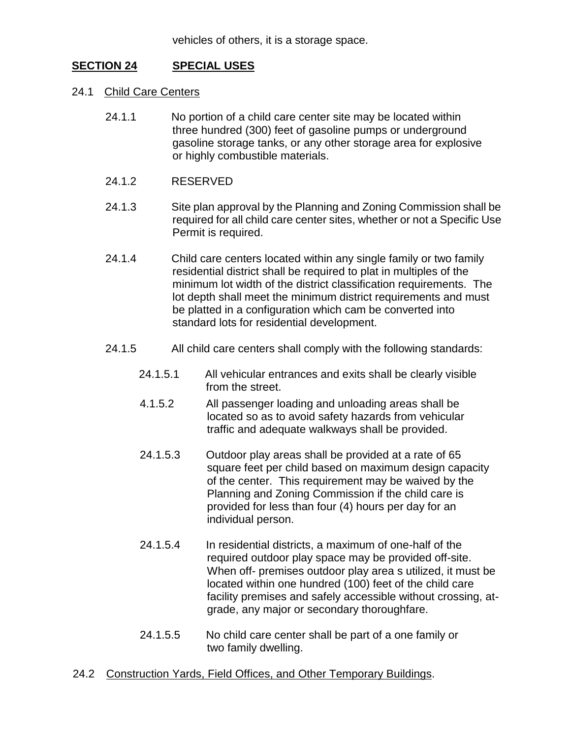# **SECTION 24 SPECIAL USES**

- 24.1 Child Care Centers
	- 24.1.1 No portion of a child care center site may be located within three hundred (300) feet of gasoline pumps or underground gasoline storage tanks, or any other storage area for explosive or highly combustible materials.
	- 24.1.2 RESERVED
	- 24.1.3 Site plan approval by the Planning and Zoning Commission shall be required for all child care center sites, whether or not a Specific Use Permit is required.
	- 24.1.4 Child care centers located within any single family or two family residential district shall be required to plat in multiples of the minimum lot width of the district classification requirements. The lot depth shall meet the minimum district requirements and must be platted in a configuration which cam be converted into standard lots for residential development.
	- 24.1.5 All child care centers shall comply with the following standards:
		- 24.1.5.1 All vehicular entrances and exits shall be clearly visible from the street.
		- 4.1.5.2 All passenger loading and unloading areas shall be located so as to avoid safety hazards from vehicular traffic and adequate walkways shall be provided.
		- 24.1.5.3 Outdoor play areas shall be provided at a rate of 65 square feet per child based on maximum design capacity of the center. This requirement may be waived by the Planning and Zoning Commission if the child care is provided for less than four (4) hours per day for an individual person.
		- 24.1.5.4 In residential districts, a maximum of one-half of the required outdoor play space may be provided off-site. When off- premises outdoor play area s utilized, it must be located within one hundred (100) feet of the child care facility premises and safely accessible without crossing, atgrade, any major or secondary thoroughfare.
		- 24.1.5.5 No child care center shall be part of a one family or two family dwelling.
- 24.2 Construction Yards, Field Offices, and Other Temporary Buildings.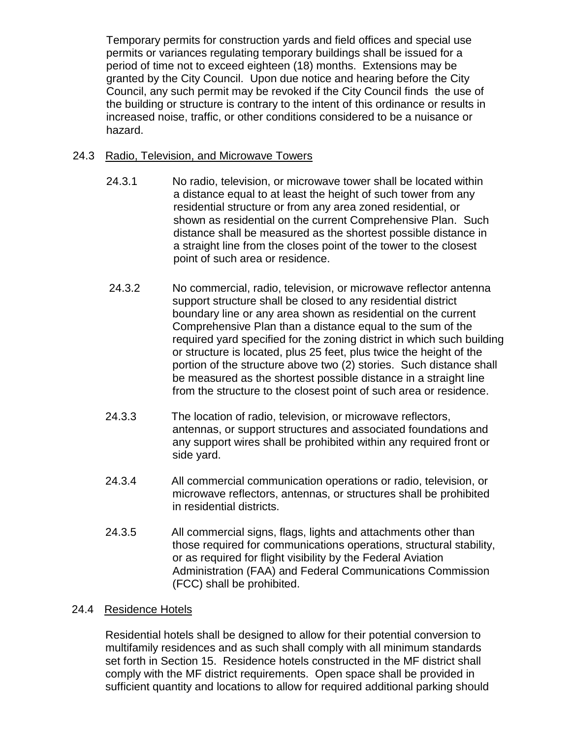Temporary permits for construction yards and field offices and special use permits or variances regulating temporary buildings shall be issued for a period of time not to exceed eighteen (18) months. Extensions may be granted by the City Council. Upon due notice and hearing before the City Council, any such permit may be revoked if the City Council finds the use of the building or structure is contrary to the intent of this ordinance or results in increased noise, traffic, or other conditions considered to be a nuisance or hazard.

## 24.3 Radio, Television, and Microwave Towers

- 24.3.1 No radio, television, or microwave tower shall be located within a distance equal to at least the height of such tower from any residential structure or from any area zoned residential, or shown as residential on the current Comprehensive Plan. Such distance shall be measured as the shortest possible distance in a straight line from the closes point of the tower to the closest point of such area or residence.
- 24.3.2 No commercial, radio, television, or microwave reflector antenna support structure shall be closed to any residential district boundary line or any area shown as residential on the current Comprehensive Plan than a distance equal to the sum of the required yard specified for the zoning district in which such building or structure is located, plus 25 feet, plus twice the height of the portion of the structure above two (2) stories. Such distance shall be measured as the shortest possible distance in a straight line from the structure to the closest point of such area or residence.
- 24.3.3 The location of radio, television, or microwave reflectors, antennas, or support structures and associated foundations and any support wires shall be prohibited within any required front or side yard.
- 24.3.4 All commercial communication operations or radio, television, or microwave reflectors, antennas, or structures shall be prohibited in residential districts.
- 24.3.5 All commercial signs, flags, lights and attachments other than those required for communications operations, structural stability, or as required for flight visibility by the Federal Aviation Administration (FAA) and Federal Communications Commission (FCC) shall be prohibited.

## 24.4 Residence Hotels

Residential hotels shall be designed to allow for their potential conversion to multifamily residences and as such shall comply with all minimum standards set forth in Section 15. Residence hotels constructed in the MF district shall comply with the MF district requirements. Open space shall be provided in sufficient quantity and locations to allow for required additional parking should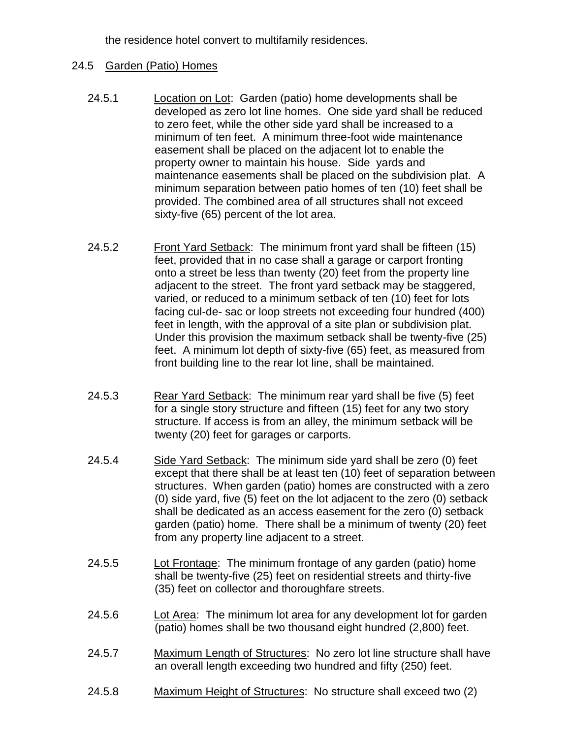the residence hotel convert to multifamily residences.

## 24.5 Garden (Patio) Homes

- 24.5.1 Location on Lot: Garden (patio) home developments shall be developed as zero lot line homes. One side yard shall be reduced to zero feet, while the other side yard shall be increased to a minimum of ten feet. A minimum three-foot wide maintenance easement shall be placed on the adjacent lot to enable the property owner to maintain his house. Side yards and maintenance easements shall be placed on the subdivision plat. A minimum separation between patio homes of ten (10) feet shall be provided. The combined area of all structures shall not exceed sixty-five (65) percent of the lot area.
- 24.5.2 Front Yard Setback: The minimum front yard shall be fifteen (15) feet, provided that in no case shall a garage or carport fronting onto a street be less than twenty (20) feet from the property line adjacent to the street. The front yard setback may be staggered, varied, or reduced to a minimum setback of ten (10) feet for lots facing cul-de- sac or loop streets not exceeding four hundred (400) feet in length, with the approval of a site plan or subdivision plat. Under this provision the maximum setback shall be twenty-five (25) feet. A minimum lot depth of sixty-five (65) feet, as measured from front building line to the rear lot line, shall be maintained.
- 24.5.3 Rear Yard Setback: The minimum rear yard shall be five (5) feet for a single story structure and fifteen (15) feet for any two story structure. If access is from an alley, the minimum setback will be twenty (20) feet for garages or carports.
- 24.5.4 Side Yard Setback: The minimum side yard shall be zero (0) feet except that there shall be at least ten (10) feet of separation between structures. When garden (patio) homes are constructed with a zero (0) side yard, five (5) feet on the lot adjacent to the zero (0) setback shall be dedicated as an access easement for the zero (0) setback garden (patio) home. There shall be a minimum of twenty (20) feet from any property line adjacent to a street.
- 24.5.5 Lot Frontage: The minimum frontage of any garden (patio) home shall be twenty-five (25) feet on residential streets and thirty-five (35) feet on collector and thoroughfare streets.
- 24.5.6 Lot Area: The minimum lot area for any development lot for garden (patio) homes shall be two thousand eight hundred (2,800) feet.
- 24.5.7 Maximum Length of Structures: No zero lot line structure shall have an overall length exceeding two hundred and fifty (250) feet.
- 24.5.8 Maximum Height of Structures: No structure shall exceed two (2)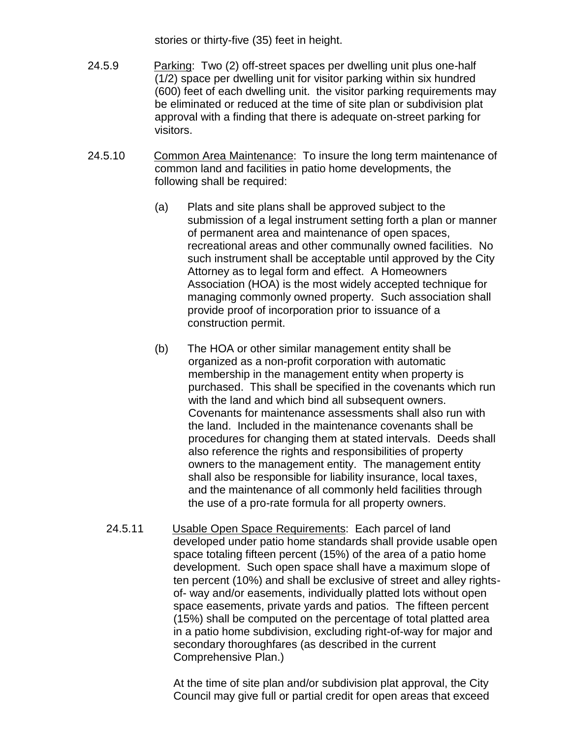stories or thirty-five (35) feet in height.

- 24.5.9 Parking: Two (2) off-street spaces per dwelling unit plus one-half (1/2) space per dwelling unit for visitor parking within six hundred (600) feet of each dwelling unit. the visitor parking requirements may be eliminated or reduced at the time of site plan or subdivision plat approval with a finding that there is adequate on-street parking for visitors.
- 24.5.10 Common Area Maintenance: To insure the long term maintenance of common land and facilities in patio home developments, the following shall be required:
	- (a) Plats and site plans shall be approved subject to the submission of a legal instrument setting forth a plan or manner of permanent area and maintenance of open spaces, recreational areas and other communally owned facilities. No such instrument shall be acceptable until approved by the City Attorney as to legal form and effect. A Homeowners Association (HOA) is the most widely accepted technique for managing commonly owned property. Such association shall provide proof of incorporation prior to issuance of a construction permit.
	- (b) The HOA or other similar management entity shall be organized as a non-profit corporation with automatic membership in the management entity when property is purchased. This shall be specified in the covenants which run with the land and which bind all subsequent owners. Covenants for maintenance assessments shall also run with the land. Included in the maintenance covenants shall be procedures for changing them at stated intervals. Deeds shall also reference the rights and responsibilities of property owners to the management entity. The management entity shall also be responsible for liability insurance, local taxes, and the maintenance of all commonly held facilities through the use of a pro-rate formula for all property owners.
	- 24.5.11 Usable Open Space Requirements: Each parcel of land developed under patio home standards shall provide usable open space totaling fifteen percent (15%) of the area of a patio home development. Such open space shall have a maximum slope of ten percent (10%) and shall be exclusive of street and alley rightsof- way and/or easements, individually platted lots without open space easements, private yards and patios. The fifteen percent (15%) shall be computed on the percentage of total platted area in a patio home subdivision, excluding right-of-way for major and secondary thoroughfares (as described in the current Comprehensive Plan.)

At the time of site plan and/or subdivision plat approval, the City Council may give full or partial credit for open areas that exceed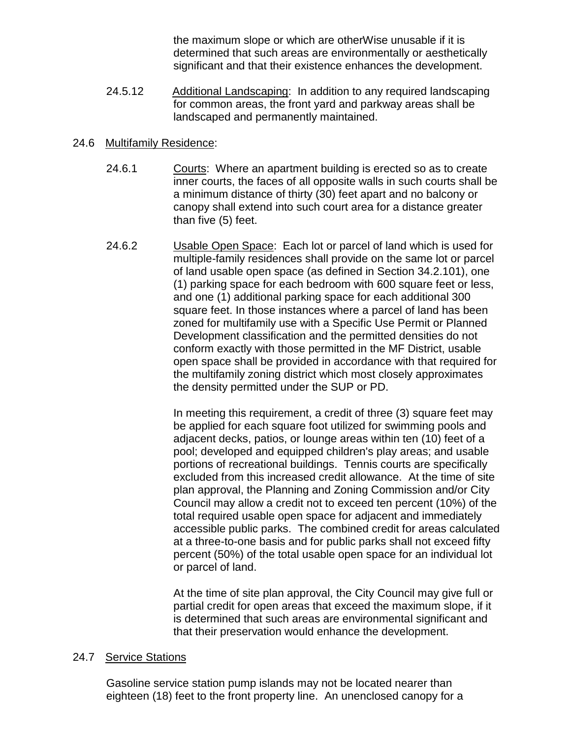the maximum slope or which are otherWise unusable if it is determined that such areas are environmentally or aesthetically significant and that their existence enhances the development.

24.5.12 Additional Landscaping: In addition to any required landscaping for common areas, the front yard and parkway areas shall be landscaped and permanently maintained.

## 24.6 Multifamily Residence:

- 24.6.1 Courts: Where an apartment building is erected so as to create inner courts, the faces of all opposite walls in such courts shall be a minimum distance of thirty (30) feet apart and no balcony or canopy shall extend into such court area for a distance greater than five (5) feet.
- 24.6.2 Usable Open Space: Each lot or parcel of land which is used for multiple-family residences shall provide on the same lot or parcel of land usable open space (as defined in Section 34.2.101), one (1) parking space for each bedroom with 600 square feet or less, and one (1) additional parking space for each additional 300 square feet. In those instances where a parcel of land has been zoned for multifamily use with a Specific Use Permit or Planned Development classification and the permitted densities do not conform exactly with those permitted in the MF District, usable open space shall be provided in accordance with that required for the multifamily zoning district which most closely approximates the density permitted under the SUP or PD.

In meeting this requirement, a credit of three (3) square feet may be applied for each square foot utilized for swimming pools and adjacent decks, patios, or lounge areas within ten (10) feet of a pool; developed and equipped children's play areas; and usable portions of recreational buildings. Tennis courts are specifically excluded from this increased credit allowance. At the time of site plan approval, the Planning and Zoning Commission and/or City Council may allow a credit not to exceed ten percent (10%) of the total required usable open space for adjacent and immediately accessible public parks. The combined credit for areas calculated at a three-to-one basis and for public parks shall not exceed fifty percent (50%) of the total usable open space for an individual lot or parcel of land.

At the time of site plan approval, the City Council may give full or partial credit for open areas that exceed the maximum slope, if it is determined that such areas are environmental significant and that their preservation would enhance the development.

## 24.7 Service Stations

Gasoline service station pump islands may not be located nearer than eighteen (18) feet to the front property line. An unenclosed canopy for a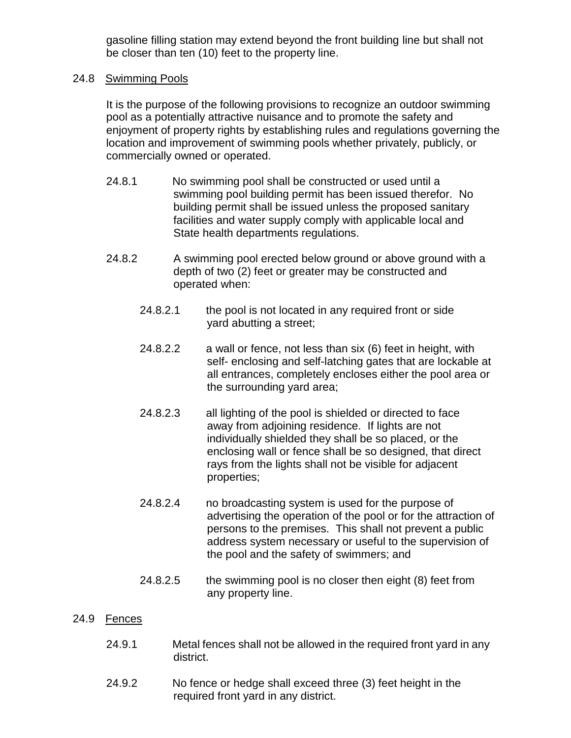gasoline filling station may extend beyond the front building line but shall not be closer than ten (10) feet to the property line.

## 24.8 Swimming Pools

It is the purpose of the following provisions to recognize an outdoor swimming pool as a potentially attractive nuisance and to promote the safety and enjoyment of property rights by establishing rules and regulations governing the location and improvement of swimming pools whether privately, publicly, or commercially owned or operated.

- 24.8.1 No swimming pool shall be constructed or used until a swimming pool building permit has been issued therefor. No building permit shall be issued unless the proposed sanitary facilities and water supply comply with applicable local and State health departments regulations.
- 24.8.2 A swimming pool erected below ground or above ground with a depth of two (2) feet or greater may be constructed and operated when:
	- 24.8.2.1 the pool is not located in any required front or side yard abutting a street;
	- 24.8.2.2 a wall or fence, not less than six (6) feet in height, with self- enclosing and self-latching gates that are lockable at all entrances, completely encloses either the pool area or the surrounding yard area;
	- 24.8.2.3 all lighting of the pool is shielded or directed to face away from adjoining residence. If lights are not individually shielded they shall be so placed, or the enclosing wall or fence shall be so designed, that direct rays from the lights shall not be visible for adjacent properties;
	- 24.8.2.4 no broadcasting system is used for the purpose of advertising the operation of the pool or for the attraction of persons to the premises. This shall not prevent a public address system necessary or useful to the supervision of the pool and the safety of swimmers; and
	- 24.8.2.5 the swimming pool is no closer then eight (8) feet from any property line.

#### 24.9 Fences

- 24.9.1 Metal fences shall not be allowed in the required front yard in any district.
- 24.9.2 No fence or hedge shall exceed three (3) feet height in the required front yard in any district.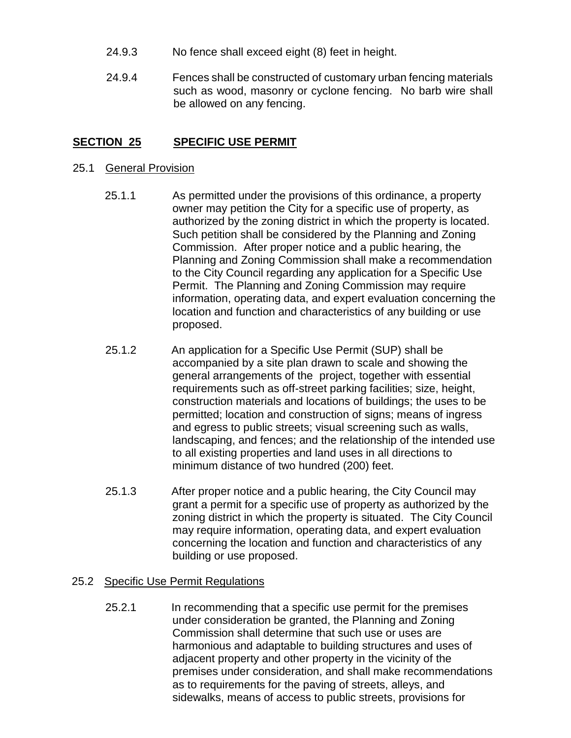- 24.9.3 No fence shall exceed eight (8) feet in height.
- 24.9.4 Fences shall be constructed of customary urban fencing materials such as wood, masonry or cyclone fencing. No barb wire shall be allowed on any fencing.

## **SECTION 25 SPECIFIC USE PERMIT**

#### 25.1 General Provision

- 25.1.1 As permitted under the provisions of this ordinance, a property owner may petition the City for a specific use of property, as authorized by the zoning district in which the property is located. Such petition shall be considered by the Planning and Zoning Commission. After proper notice and a public hearing, the Planning and Zoning Commission shall make a recommendation to the City Council regarding any application for a Specific Use Permit. The Planning and Zoning Commission may require information, operating data, and expert evaluation concerning the location and function and characteristics of any building or use proposed.
- 25.1.2 An application for a Specific Use Permit (SUP) shall be accompanied by a site plan drawn to scale and showing the general arrangements of the project, together with essential requirements such as off-street parking facilities; size, height, construction materials and locations of buildings; the uses to be permitted; location and construction of signs; means of ingress and egress to public streets; visual screening such as walls, landscaping, and fences; and the relationship of the intended use to all existing properties and land uses in all directions to minimum distance of two hundred (200) feet.
- 25.1.3 After proper notice and a public hearing, the City Council may grant a permit for a specific use of property as authorized by the zoning district in which the property is situated. The City Council may require information, operating data, and expert evaluation concerning the location and function and characteristics of any building or use proposed.

## 25.2 Specific Use Permit Regulations

25.2.1 In recommending that a specific use permit for the premises under consideration be granted, the Planning and Zoning Commission shall determine that such use or uses are harmonious and adaptable to building structures and uses of adjacent property and other property in the vicinity of the premises under consideration, and shall make recommendations as to requirements for the paving of streets, alleys, and sidewalks, means of access to public streets, provisions for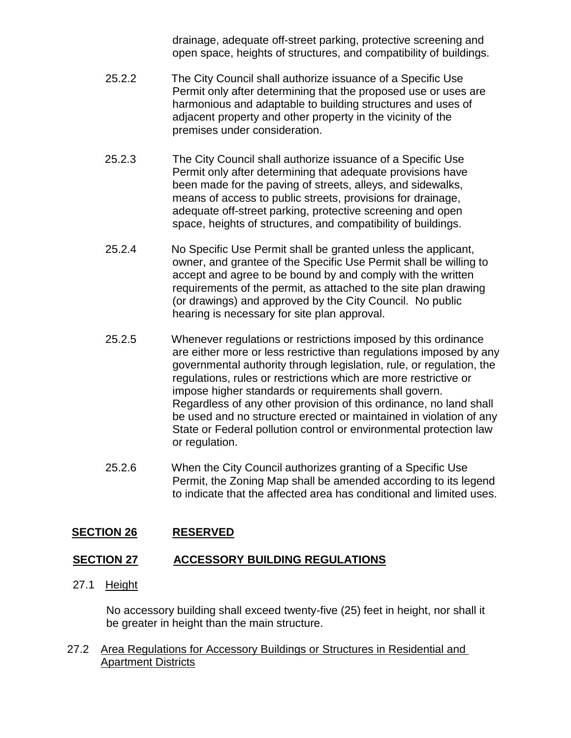drainage, adequate off-street parking, protective screening and open space, heights of structures, and compatibility of buildings.

- 25.2.2 The City Council shall authorize issuance of a Specific Use Permit only after determining that the proposed use or uses are harmonious and adaptable to building structures and uses of adjacent property and other property in the vicinity of the premises under consideration.
- 25.2.3 The City Council shall authorize issuance of a Specific Use Permit only after determining that adequate provisions have been made for the paving of streets, alleys, and sidewalks, means of access to public streets, provisions for drainage, adequate off-street parking, protective screening and open space, heights of structures, and compatibility of buildings.
- 25.2.4 No Specific Use Permit shall be granted unless the applicant, owner, and grantee of the Specific Use Permit shall be willing to accept and agree to be bound by and comply with the written requirements of the permit, as attached to the site plan drawing (or drawings) and approved by the City Council. No public hearing is necessary for site plan approval.
- 25.2.5 Whenever regulations or restrictions imposed by this ordinance are either more or less restrictive than regulations imposed by any governmental authority through legislation, rule, or regulation, the regulations, rules or restrictions which are more restrictive or impose higher standards or requirements shall govern. Regardless of any other provision of this ordinance, no land shall be used and no structure erected or maintained in violation of any State or Federal pollution control or environmental protection law or regulation.
- 25.2.6 When the City Council authorizes granting of a Specific Use Permit, the Zoning Map shall be amended according to its legend to indicate that the affected area has conditional and limited uses.

# **SECTION 26 RESERVED**

# **SECTION 27 ACCESSORY BUILDING REGULATIONS**

27.1 Height

No accessory building shall exceed twenty-five (25) feet in height, nor shall it be greater in height than the main structure.

27.2 Area Regulations for Accessory Buildings or Structures in Residential and Apartment Districts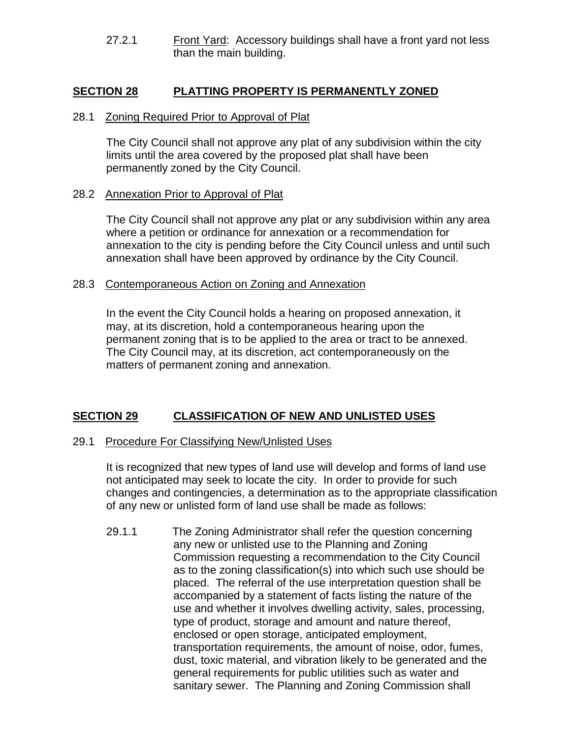27.2.1 Front Yard: Accessory buildings shall have a front yard not less than the main building.

# **SECTION 28 PLATTING PROPERTY IS PERMANENTLY ZONED**

#### 28.1 Zoning Required Prior to Approval of Plat

The City Council shall not approve any plat of any subdivision within the city limits until the area covered by the proposed plat shall have been permanently zoned by the City Council.

### 28.2 Annexation Prior to Approval of Plat

The City Council shall not approve any plat or any subdivision within any area where a petition or ordinance for annexation or a recommendation for annexation to the city is pending before the City Council unless and until such annexation shall have been approved by ordinance by the City Council.

#### 28.3 Contemporaneous Action on Zoning and Annexation

In the event the City Council holds a hearing on proposed annexation, it may, at its discretion, hold a contemporaneous hearing upon the permanent zoning that is to be applied to the area or tract to be annexed. The City Council may, at its discretion, act contemporaneously on the matters of permanent zoning and annexation.

## **SECTION 29 CLASSIFICATION OF NEW AND UNLISTED USES**

#### 29.1 Procedure For Classifying New/Unlisted Uses

It is recognized that new types of land use will develop and forms of land use not anticipated may seek to locate the city. In order to provide for such changes and contingencies, a determination as to the appropriate classification of any new or unlisted form of land use shall be made as follows:

29.1.1 The Zoning Administrator shall refer the question concerning any new or unlisted use to the Planning and Zoning Commission requesting a recommendation to the City Council as to the zoning classification(s) into which such use should be placed. The referral of the use interpretation question shall be accompanied by a statement of facts listing the nature of the use and whether it involves dwelling activity, sales, processing, type of product, storage and amount and nature thereof, enclosed or open storage, anticipated employment, transportation requirements, the amount of noise, odor, fumes, dust, toxic material, and vibration likely to be generated and the general requirements for public utilities such as water and sanitary sewer. The Planning and Zoning Commission shall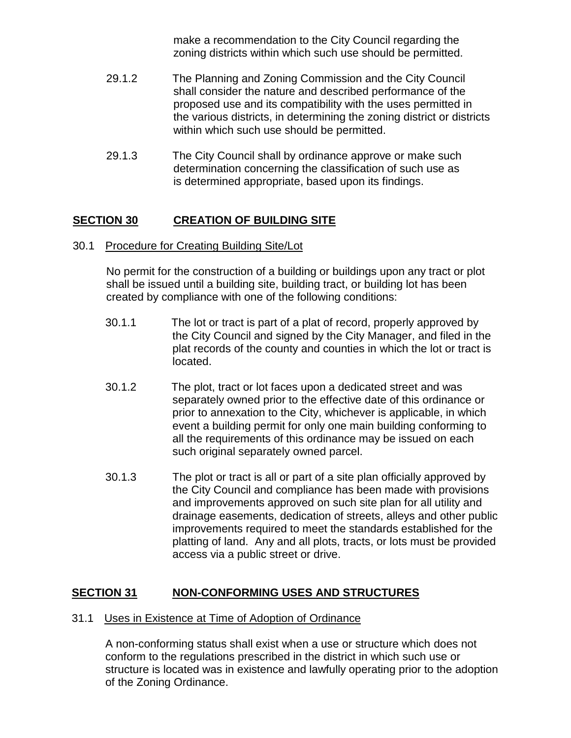make a recommendation to the City Council regarding the zoning districts within which such use should be permitted.

- 29.1.2 The Planning and Zoning Commission and the City Council shall consider the nature and described performance of the proposed use and its compatibility with the uses permitted in the various districts, in determining the zoning district or districts within which such use should be permitted.
- 29.1.3 The City Council shall by ordinance approve or make such determination concerning the classification of such use as is determined appropriate, based upon its findings.

# **SECTION 30 CREATION OF BUILDING SITE**

30.1 Procedure for Creating Building Site/Lot

No permit for the construction of a building or buildings upon any tract or plot shall be issued until a building site, building tract, or building lot has been created by compliance with one of the following conditions:

- 30.1.1 The lot or tract is part of a plat of record, properly approved by the City Council and signed by the City Manager, and filed in the plat records of the county and counties in which the lot or tract is located.
- 30.1.2 The plot, tract or lot faces upon a dedicated street and was separately owned prior to the effective date of this ordinance or prior to annexation to the City, whichever is applicable, in which event a building permit for only one main building conforming to all the requirements of this ordinance may be issued on each such original separately owned parcel.
- 30.1.3 The plot or tract is all or part of a site plan officially approved by the City Council and compliance has been made with provisions and improvements approved on such site plan for all utility and drainage easements, dedication of streets, alleys and other public improvements required to meet the standards established for the platting of land. Any and all plots, tracts, or lots must be provided access via a public street or drive.

# **SECTION 31 NON-CONFORMING USES AND STRUCTURES**

### 31.1 Uses in Existence at Time of Adoption of Ordinance

A non-conforming status shall exist when a use or structure which does not conform to the regulations prescribed in the district in which such use or structure is located was in existence and lawfully operating prior to the adoption of the Zoning Ordinance.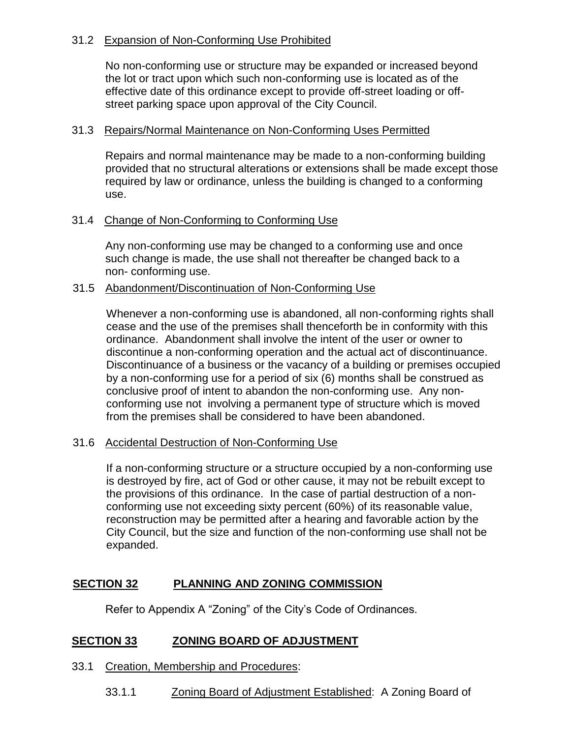## 31.2 Expansion of Non-Conforming Use Prohibited

No non-conforming use or structure may be expanded or increased beyond the lot or tract upon which such non-conforming use is located as of the effective date of this ordinance except to provide off-street loading or offstreet parking space upon approval of the City Council.

### 31.3 Repairs/Normal Maintenance on Non-Conforming Uses Permitted

Repairs and normal maintenance may be made to a non-conforming building provided that no structural alterations or extensions shall be made except those required by law or ordinance, unless the building is changed to a conforming use.

### 31.4 Change of Non-Conforming to Conforming Use

Any non-conforming use may be changed to a conforming use and once such change is made, the use shall not thereafter be changed back to a non- conforming use.

### 31.5 Abandonment/Discontinuation of Non-Conforming Use

Whenever a non-conforming use is abandoned, all non-conforming rights shall cease and the use of the premises shall thenceforth be in conformity with this ordinance. Abandonment shall involve the intent of the user or owner to discontinue a non-conforming operation and the actual act of discontinuance. Discontinuance of a business or the vacancy of a building or premises occupied by a non-conforming use for a period of six (6) months shall be construed as conclusive proof of intent to abandon the non-conforming use. Any nonconforming use not involving a permanent type of structure which is moved from the premises shall be considered to have been abandoned.

## 31.6 Accidental Destruction of Non-Conforming Use

If a non-conforming structure or a structure occupied by a non-conforming use is destroyed by fire, act of God or other cause, it may not be rebuilt except to the provisions of this ordinance. In the case of partial destruction of a nonconforming use not exceeding sixty percent (60%) of its reasonable value, reconstruction may be permitted after a hearing and favorable action by the City Council, but the size and function of the non-conforming use shall not be expanded.

## **SECTION 32 PLANNING AND ZONING COMMISSION**

Refer to Appendix A "Zoning" of the City's Code of Ordinances.

## **SECTION 33 ZONING BOARD OF ADJUSTMENT**

- 33.1 Creation, Membership and Procedures:
	- 33.1.1 Zoning Board of Adjustment Established: A Zoning Board of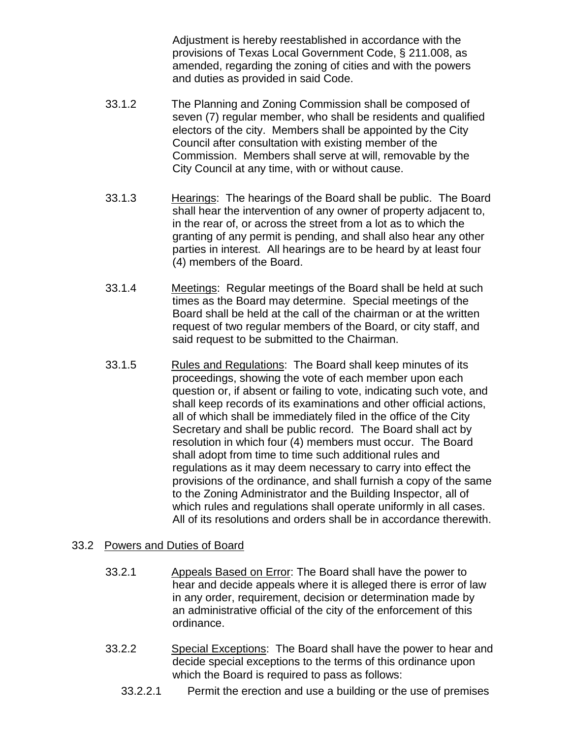Adjustment is hereby reestablished in accordance with the provisions of Texas Local Government Code, § 211.008, as amended, regarding the zoning of cities and with the powers and duties as provided in said Code.

- 33.1.2 The Planning and Zoning Commission shall be composed of seven (7) regular member, who shall be residents and qualified electors of the city. Members shall be appointed by the City Council after consultation with existing member of the Commission. Members shall serve at will, removable by the City Council at any time, with or without cause.
- 33.1.3 Hearings: The hearings of the Board shall be public. The Board shall hear the intervention of any owner of property adjacent to, in the rear of, or across the street from a lot as to which the granting of any permit is pending, and shall also hear any other parties in interest. All hearings are to be heard by at least four (4) members of the Board.
- 33.1.4 Meetings: Regular meetings of the Board shall be held at such times as the Board may determine. Special meetings of the Board shall be held at the call of the chairman or at the written request of two regular members of the Board, or city staff, and said request to be submitted to the Chairman.
- 33.1.5 Rules and Regulations: The Board shall keep minutes of its proceedings, showing the vote of each member upon each question or, if absent or failing to vote, indicating such vote, and shall keep records of its examinations and other official actions, all of which shall be immediately filed in the office of the City Secretary and shall be public record. The Board shall act by resolution in which four (4) members must occur. The Board shall adopt from time to time such additional rules and regulations as it may deem necessary to carry into effect the provisions of the ordinance, and shall furnish a copy of the same to the Zoning Administrator and the Building Inspector, all of which rules and regulations shall operate uniformly in all cases. All of its resolutions and orders shall be in accordance therewith.

## 33.2 Powers and Duties of Board

- 33.2.1 Appeals Based on Error: The Board shall have the power to hear and decide appeals where it is alleged there is error of law in any order, requirement, decision or determination made by an administrative official of the city of the enforcement of this ordinance.
- 33.2.2 Special Exceptions: The Board shall have the power to hear and decide special exceptions to the terms of this ordinance upon which the Board is required to pass as follows:
	- 33.2.2.1 Permit the erection and use a building or the use of premises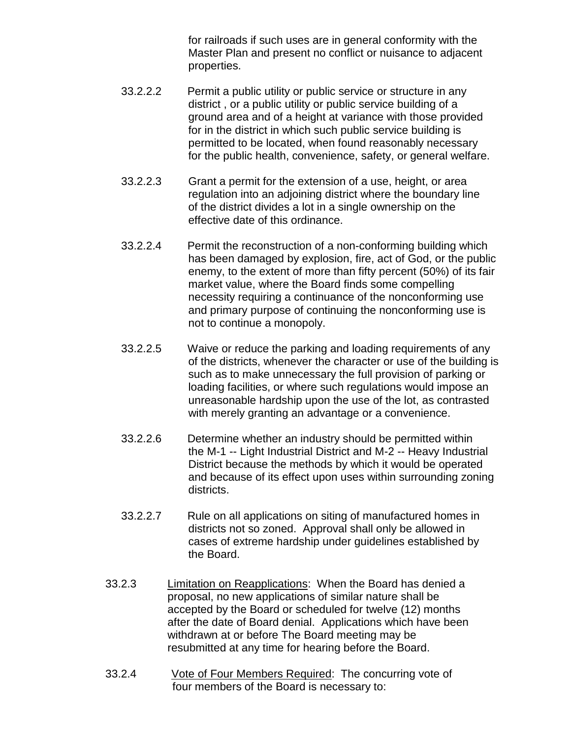for railroads if such uses are in general conformity with the Master Plan and present no conflict or nuisance to adjacent properties.

- 33.2.2.2 Permit a public utility or public service or structure in any district , or a public utility or public service building of a ground area and of a height at variance with those provided for in the district in which such public service building is permitted to be located, when found reasonably necessary for the public health, convenience, safety, or general welfare.
- 33.2.2.3 Grant a permit for the extension of a use, height, or area regulation into an adjoining district where the boundary line of the district divides a lot in a single ownership on the effective date of this ordinance.
- 33.2.2.4 Permit the reconstruction of a non-conforming building which has been damaged by explosion, fire, act of God, or the public enemy, to the extent of more than fifty percent (50%) of its fair market value, where the Board finds some compelling necessity requiring a continuance of the nonconforming use and primary purpose of continuing the nonconforming use is not to continue a monopoly.
- 33.2.2.5 Waive or reduce the parking and loading requirements of any of the districts, whenever the character or use of the building is such as to make unnecessary the full provision of parking or loading facilities, or where such regulations would impose an unreasonable hardship upon the use of the lot, as contrasted with merely granting an advantage or a convenience.
- 33.2.2.6 Determine whether an industry should be permitted within the M-1 -- Light Industrial District and M-2 -- Heavy Industrial District because the methods by which it would be operated and because of its effect upon uses within surrounding zoning districts.
- 33.2.2.7 Rule on all applications on siting of manufactured homes in districts not so zoned. Approval shall only be allowed in cases of extreme hardship under guidelines established by the Board.
- 33.2.3 Limitation on Reapplications: When the Board has denied a proposal, no new applications of similar nature shall be accepted by the Board or scheduled for twelve (12) months after the date of Board denial. Applications which have been withdrawn at or before The Board meeting may be resubmitted at any time for hearing before the Board.
- 33.2.4 Vote of Four Members Required: The concurring vote of four members of the Board is necessary to: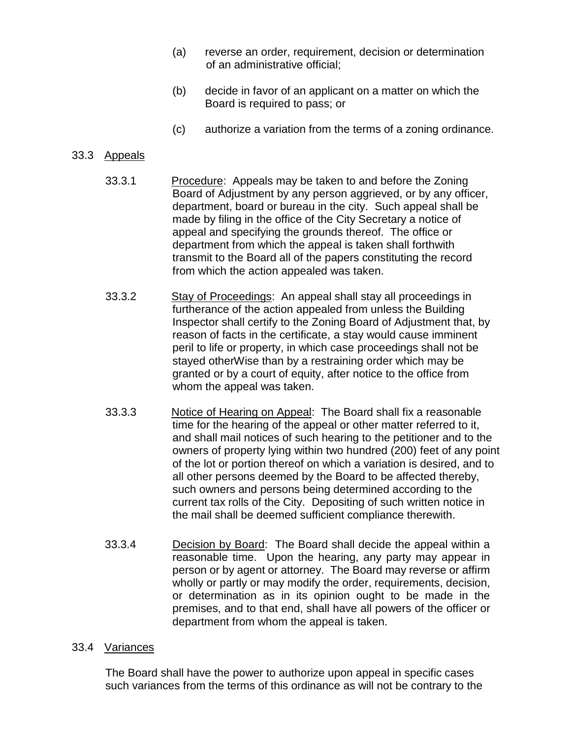- (a) reverse an order, requirement, decision or determination of an administrative official;
- (b) decide in favor of an applicant on a matter on which the Board is required to pass; or
- (c) authorize a variation from the terms of a zoning ordinance.

### 33.3 Appeals

- 33.3.1 Procedure: Appeals may be taken to and before the Zoning Board of Adjustment by any person aggrieved, or by any officer, department, board or bureau in the city. Such appeal shall be made by filing in the office of the City Secretary a notice of appeal and specifying the grounds thereof. The office or department from which the appeal is taken shall forthwith transmit to the Board all of the papers constituting the record from which the action appealed was taken.
- 33.3.2 Stay of Proceedings: An appeal shall stay all proceedings in furtherance of the action appealed from unless the Building Inspector shall certify to the Zoning Board of Adjustment that, by reason of facts in the certificate, a stay would cause imminent peril to life or property, in which case proceedings shall not be stayed otherWise than by a restraining order which may be granted or by a court of equity, after notice to the office from whom the appeal was taken.
- 33.3.3 Notice of Hearing on Appeal: The Board shall fix a reasonable time for the hearing of the appeal or other matter referred to it, and shall mail notices of such hearing to the petitioner and to the owners of property lying within two hundred (200) feet of any point of the lot or portion thereof on which a variation is desired, and to all other persons deemed by the Board to be affected thereby, such owners and persons being determined according to the current tax rolls of the City. Depositing of such written notice in the mail shall be deemed sufficient compliance therewith.
- 33.3.4 Decision by Board: The Board shall decide the appeal within a reasonable time. Upon the hearing, any party may appear in person or by agent or attorney. The Board may reverse or affirm wholly or partly or may modify the order, requirements, decision, or determination as in its opinion ought to be made in the premises, and to that end, shall have all powers of the officer or department from whom the appeal is taken.

#### 33.4 Variances

The Board shall have the power to authorize upon appeal in specific cases such variances from the terms of this ordinance as will not be contrary to the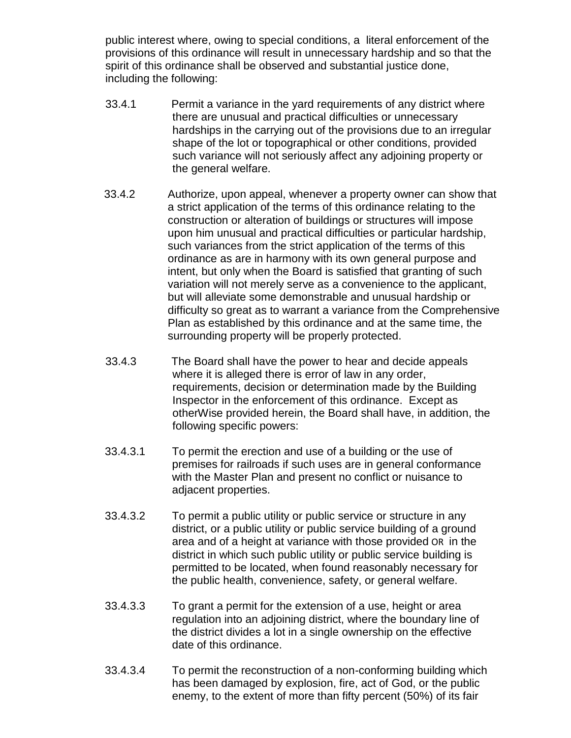public interest where, owing to special conditions, a literal enforcement of the provisions of this ordinance will result in unnecessary hardship and so that the spirit of this ordinance shall be observed and substantial justice done, including the following:

- 33.4.1 Permit a variance in the yard requirements of any district where there are unusual and practical difficulties or unnecessary hardships in the carrying out of the provisions due to an irregular shape of the lot or topographical or other conditions, provided such variance will not seriously affect any adjoining property or the general welfare.
- 33.4.2 Authorize, upon appeal, whenever a property owner can show that a strict application of the terms of this ordinance relating to the construction or alteration of buildings or structures will impose upon him unusual and practical difficulties or particular hardship, such variances from the strict application of the terms of this ordinance as are in harmony with its own general purpose and intent, but only when the Board is satisfied that granting of such variation will not merely serve as a convenience to the applicant, but will alleviate some demonstrable and unusual hardship or difficulty so great as to warrant a variance from the Comprehensive Plan as established by this ordinance and at the same time, the surrounding property will be properly protected.
- 33.4.3 The Board shall have the power to hear and decide appeals where it is alleged there is error of law in any order, requirements, decision or determination made by the Building Inspector in the enforcement of this ordinance. Except as otherWise provided herein, the Board shall have, in addition, the following specific powers:
- 33.4.3.1 To permit the erection and use of a building or the use of premises for railroads if such uses are in general conformance with the Master Plan and present no conflict or nuisance to adjacent properties.
- 33.4.3.2 To permit a public utility or public service or structure in any district, or a public utility or public service building of a ground area and of a height at variance with those provided OR in the district in which such public utility or public service building is permitted to be located, when found reasonably necessary for the public health, convenience, safety, or general welfare.
- 33.4.3.3 To grant a permit for the extension of a use, height or area regulation into an adjoining district, where the boundary line of the district divides a lot in a single ownership on the effective date of this ordinance.
- 33.4.3.4 To permit the reconstruction of a non-conforming building which has been damaged by explosion, fire, act of God, or the public enemy, to the extent of more than fifty percent (50%) of its fair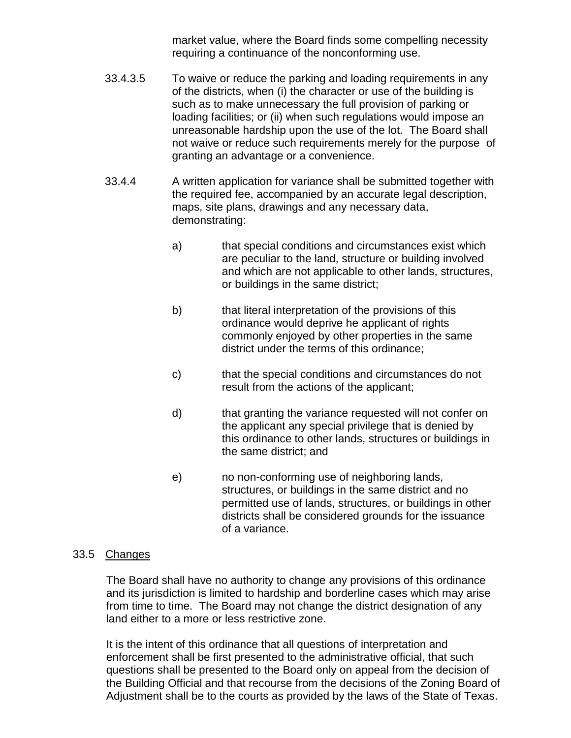market value, where the Board finds some compelling necessity requiring a continuance of the nonconforming use.

- 33.4.3.5 To waive or reduce the parking and loading requirements in any of the districts, when (i) the character or use of the building is such as to make unnecessary the full provision of parking or loading facilities; or (ii) when such regulations would impose an unreasonable hardship upon the use of the lot. The Board shall not waive or reduce such requirements merely for the purpose of granting an advantage or a convenience.
- 33.4.4 A written application for variance shall be submitted together with the required fee, accompanied by an accurate legal description, maps, site plans, drawings and any necessary data, demonstrating:
	- a) that special conditions and circumstances exist which are peculiar to the land, structure or building involved and which are not applicable to other lands, structures, or buildings in the same district;
	- b) that literal interpretation of the provisions of this ordinance would deprive he applicant of rights commonly enjoyed by other properties in the same district under the terms of this ordinance;
	- c) that the special conditions and circumstances do not result from the actions of the applicant;
	- d) that granting the variance requested will not confer on the applicant any special privilege that is denied by this ordinance to other lands, structures or buildings in the same district; and
	- e) no non-conforming use of neighboring lands, structures, or buildings in the same district and no permitted use of lands, structures, or buildings in other districts shall be considered grounds for the issuance of a variance.

#### 33.5 Changes

The Board shall have no authority to change any provisions of this ordinance and its jurisdiction is limited to hardship and borderline cases which may arise from time to time. The Board may not change the district designation of any land either to a more or less restrictive zone.

It is the intent of this ordinance that all questions of interpretation and enforcement shall be first presented to the administrative official, that such questions shall be presented to the Board only on appeal from the decision of the Building Official and that recourse from the decisions of the Zoning Board of Adjustment shall be to the courts as provided by the laws of the State of Texas.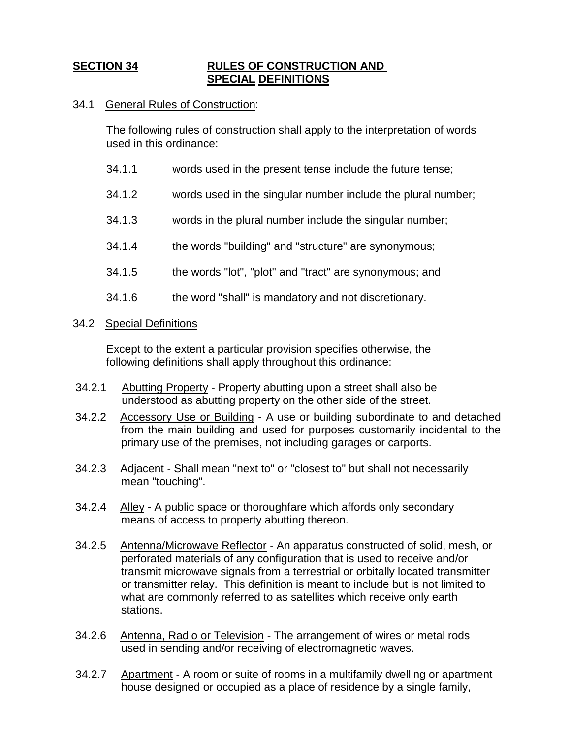# **SECTION 34 RULES OF CONSTRUCTION AND SPECIAL DEFINITIONS**

### 34.1 General Rules of Construction:

The following rules of construction shall apply to the interpretation of words used in this ordinance:

- 34.1.1 words used in the present tense include the future tense;
- 34.1.2 words used in the singular number include the plural number;
- 34.1.3 words in the plural number include the singular number;
- 34.1.4 the words "building" and "structure" are synonymous;
- 34.1.5 the words "lot", "plot" and "tract" are synonymous; and
- 34.1.6 the word "shall" is mandatory and not discretionary.

#### 34.2 Special Definitions

Except to the extent a particular provision specifies otherwise, the following definitions shall apply throughout this ordinance:

- 34.2.1 Abutting Property Property abutting upon a street shall also be understood as abutting property on the other side of the street.
- 34.2.2 Accessory Use or Building A use or building subordinate to and detached from the main building and used for purposes customarily incidental to the primary use of the premises, not including garages or carports.
- 34.2.3 Adjacent Shall mean "next to" or "closest to" but shall not necessarily mean "touching".
- 34.2.4 Alley A public space or thoroughfare which affords only secondary means of access to property abutting thereon.
- 34.2.5 Antenna/Microwave Reflector An apparatus constructed of solid, mesh, or perforated materials of any configuration that is used to receive and/or transmit microwave signals from a terrestrial or orbitally located transmitter or transmitter relay. This definition is meant to include but is not limited to what are commonly referred to as satellites which receive only earth stations.
- 34.2.6 Antenna, Radio or Television The arrangement of wires or metal rods used in sending and/or receiving of electromagnetic waves.
- 34.2.7 Apartment A room or suite of rooms in a multifamily dwelling or apartment house designed or occupied as a place of residence by a single family,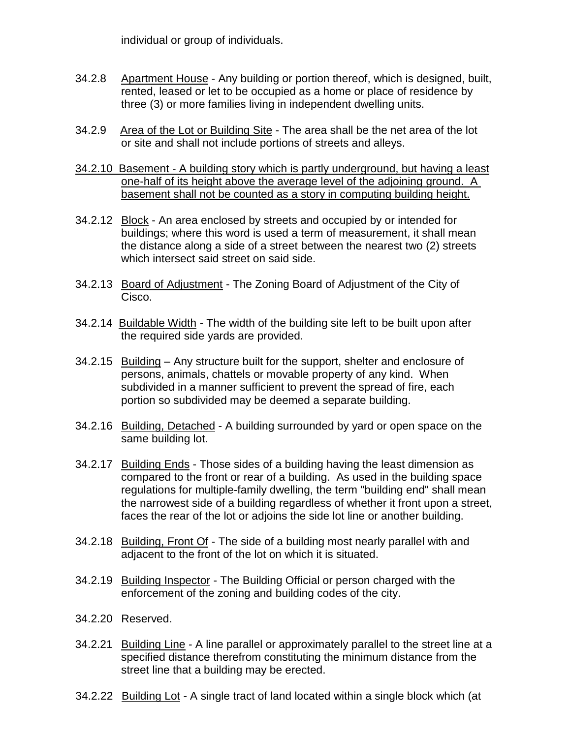individual or group of individuals.

- 34.2.8 Apartment House Any building or portion thereof, which is designed, built, rented, leased or let to be occupied as a home or place of residence by three (3) or more families living in independent dwelling units.
- 34.2.9 Area of the Lot or Building Site The area shall be the net area of the lot or site and shall not include portions of streets and alleys.
- 34.2.10 Basement A building story which is partly underground, but having a least one-half of its height above the average level of the adjoining ground. A basement shall not be counted as a story in computing building height.
- 34.2.12 Block An area enclosed by streets and occupied by or intended for buildings; where this word is used a term of measurement, it shall mean the distance along a side of a street between the nearest two (2) streets which intersect said street on said side.
- 34.2.13 Board of Adjustment The Zoning Board of Adjustment of the City of Cisco.
- 34.2.14 Buildable Width The width of the building site left to be built upon after the required side yards are provided.
- 34.2.15 Building Any structure built for the support, shelter and enclosure of persons, animals, chattels or movable property of any kind. When subdivided in a manner sufficient to prevent the spread of fire, each portion so subdivided may be deemed a separate building.
- 34.2.16 Building, Detached A building surrounded by yard or open space on the same building lot.
- 34.2.17 Building Ends Those sides of a building having the least dimension as compared to the front or rear of a building. As used in the building space regulations for multiple-family dwelling, the term "building end" shall mean the narrowest side of a building regardless of whether it front upon a street, faces the rear of the lot or adjoins the side lot line or another building.
- 34.2.18 Building, Front Of The side of a building most nearly parallel with and adjacent to the front of the lot on which it is situated.
- 34.2.19 Building Inspector The Building Official or person charged with the enforcement of the zoning and building codes of the city.
- 34.2.20 Reserved.
- 34.2.21 Building Line A line parallel or approximately parallel to the street line at a specified distance therefrom constituting the minimum distance from the street line that a building may be erected.
- 34.2.22 Building Lot A single tract of land located within a single block which (at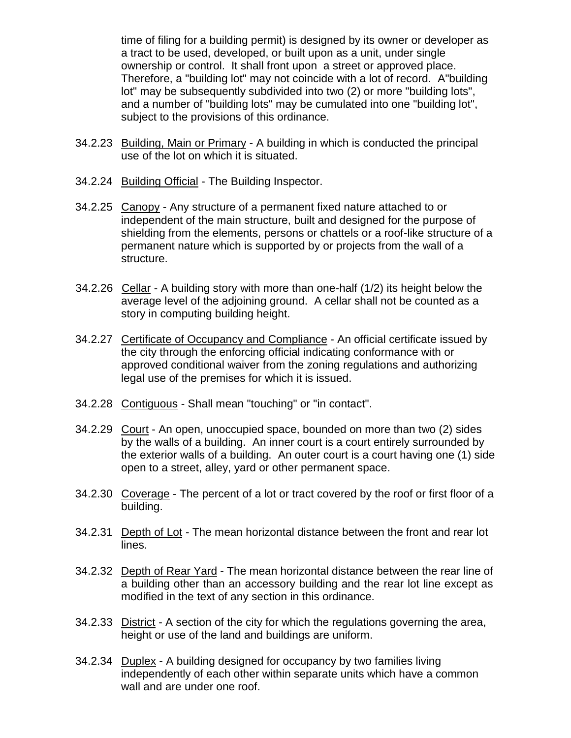time of filing for a building permit) is designed by its owner or developer as a tract to be used, developed, or built upon as a unit, under single ownership or control. It shall front upon a street or approved place. Therefore, a "building lot" may not coincide with a lot of record. A"building lot" may be subsequently subdivided into two (2) or more "building lots", and a number of "building lots" may be cumulated into one "building lot", subject to the provisions of this ordinance.

- 34.2.23 Building, Main or Primary A building in which is conducted the principal use of the lot on which it is situated.
- 34.2.24 Building Official The Building Inspector.
- 34.2.25 Canopy Any structure of a permanent fixed nature attached to or independent of the main structure, built and designed for the purpose of shielding from the elements, persons or chattels or a roof-like structure of a permanent nature which is supported by or projects from the wall of a structure.
- 34.2.26 Cellar A building story with more than one-half (1/2) its height below the average level of the adjoining ground. A cellar shall not be counted as a story in computing building height.
- 34.2.27 Certificate of Occupancy and Compliance An official certificate issued by the city through the enforcing official indicating conformance with or approved conditional waiver from the zoning regulations and authorizing legal use of the premises for which it is issued.
- 34.2.28 Contiguous Shall mean "touching" or "in contact".
- 34.2.29 Court An open, unoccupied space, bounded on more than two (2) sides by the walls of a building. An inner court is a court entirely surrounded by the exterior walls of a building. An outer court is a court having one (1) side open to a street, alley, yard or other permanent space.
- 34.2.30 Coverage The percent of a lot or tract covered by the roof or first floor of a building.
- 34.2.31 Depth of Lot The mean horizontal distance between the front and rear lot lines.
- 34.2.32 Depth of Rear Yard The mean horizontal distance between the rear line of a building other than an accessory building and the rear lot line except as modified in the text of any section in this ordinance.
- 34.2.33 District A section of the city for which the regulations governing the area, height or use of the land and buildings are uniform.
- 34.2.34 Duplex A building designed for occupancy by two families living independently of each other within separate units which have a common wall and are under one roof.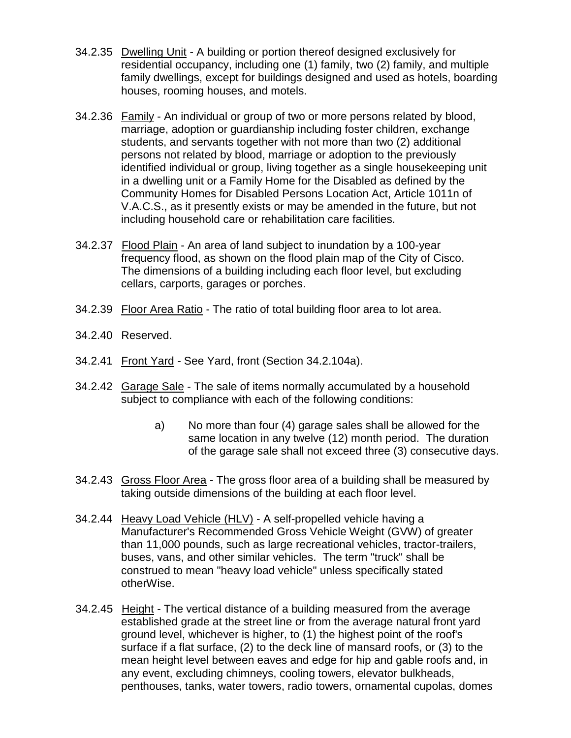- 34.2.35 Dwelling Unit A building or portion thereof designed exclusively for residential occupancy, including one (1) family, two (2) family, and multiple family dwellings, except for buildings designed and used as hotels, boarding houses, rooming houses, and motels.
- 34.2.36 Family An individual or group of two or more persons related by blood, marriage, adoption or guardianship including foster children, exchange students, and servants together with not more than two (2) additional persons not related by blood, marriage or adoption to the previously identified individual or group, living together as a single housekeeping unit in a dwelling unit or a Family Home for the Disabled as defined by the Community Homes for Disabled Persons Location Act, Article 1011n of V.A.C.S., as it presently exists or may be amended in the future, but not including household care or rehabilitation care facilities.
- 34.2.37 Flood Plain An area of land subject to inundation by a 100-year frequency flood, as shown on the flood plain map of the City of Cisco. The dimensions of a building including each floor level, but excluding cellars, carports, garages or porches.
- 34.2.39 Floor Area Ratio The ratio of total building floor area to lot area.
- 34.2.40 Reserved.
- 34.2.41 Front Yard See Yard, front (Section 34.2.104a).
- 34.2.42 Garage Sale The sale of items normally accumulated by a household subject to compliance with each of the following conditions:
	- a) No more than four (4) garage sales shall be allowed for the same location in any twelve (12) month period. The duration of the garage sale shall not exceed three (3) consecutive days.
- 34.2.43 Gross Floor Area The gross floor area of a building shall be measured by taking outside dimensions of the building at each floor level.
- 34.2.44 Heavy Load Vehicle (HLV) A self-propelled vehicle having a Manufacturer's Recommended Gross Vehicle Weight (GVW) of greater than 11,000 pounds, such as large recreational vehicles, tractor-trailers, buses, vans, and other similar vehicles. The term "truck" shall be construed to mean "heavy load vehicle" unless specifically stated otherWise.
- 34.2.45 Height The vertical distance of a building measured from the average established grade at the street line or from the average natural front yard ground level, whichever is higher, to (1) the highest point of the roof's surface if a flat surface, (2) to the deck line of mansard roofs, or (3) to the mean height level between eaves and edge for hip and gable roofs and, in any event, excluding chimneys, cooling towers, elevator bulkheads, penthouses, tanks, water towers, radio towers, ornamental cupolas, domes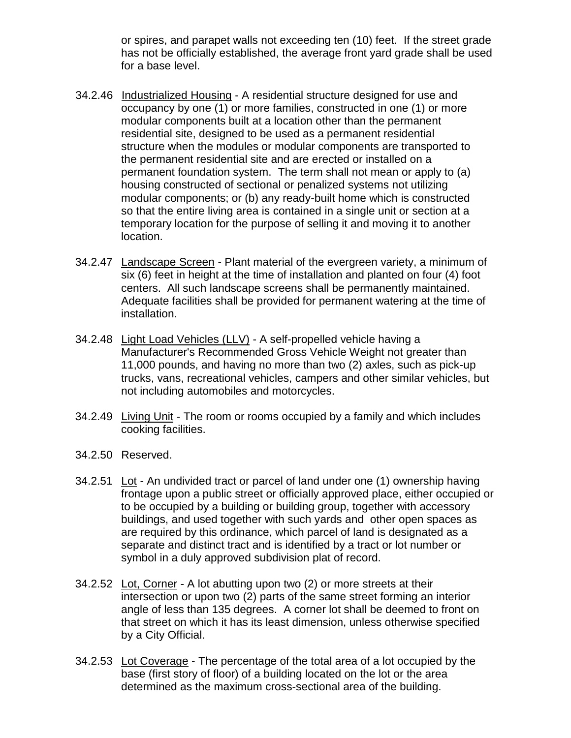or spires, and parapet walls not exceeding ten (10) feet. If the street grade has not be officially established, the average front yard grade shall be used for a base level.

- 34.2.46 Industrialized Housing A residential structure designed for use and occupancy by one (1) or more families, constructed in one (1) or more modular components built at a location other than the permanent residential site, designed to be used as a permanent residential structure when the modules or modular components are transported to the permanent residential site and are erected or installed on a permanent foundation system. The term shall not mean or apply to (a) housing constructed of sectional or penalized systems not utilizing modular components; or (b) any ready-built home which is constructed so that the entire living area is contained in a single unit or section at a temporary location for the purpose of selling it and moving it to another location.
- 34.2.47 Landscape Screen Plant material of the evergreen variety, a minimum of six (6) feet in height at the time of installation and planted on four (4) foot centers. All such landscape screens shall be permanently maintained. Adequate facilities shall be provided for permanent watering at the time of installation.
- 34.2.48 Light Load Vehicles (LLV) A self-propelled vehicle having a Manufacturer's Recommended Gross Vehicle Weight not greater than 11,000 pounds, and having no more than two (2) axles, such as pick-up trucks, vans, recreational vehicles, campers and other similar vehicles, but not including automobiles and motorcycles.
- 34.2.49 Living Unit The room or rooms occupied by a family and which includes cooking facilities.
- 34.2.50 Reserved.
- 34.2.51 Lot An undivided tract or parcel of land under one (1) ownership having frontage upon a public street or officially approved place, either occupied or to be occupied by a building or building group, together with accessory buildings, and used together with such yards and other open spaces as are required by this ordinance, which parcel of land is designated as a separate and distinct tract and is identified by a tract or lot number or symbol in a duly approved subdivision plat of record.
- 34.2.52 Lot, Corner A lot abutting upon two (2) or more streets at their intersection or upon two (2) parts of the same street forming an interior angle of less than 135 degrees. A corner lot shall be deemed to front on that street on which it has its least dimension, unless otherwise specified by a City Official.
- 34.2.53 Lot Coverage The percentage of the total area of a lot occupied by the base (first story of floor) of a building located on the lot or the area determined as the maximum cross-sectional area of the building.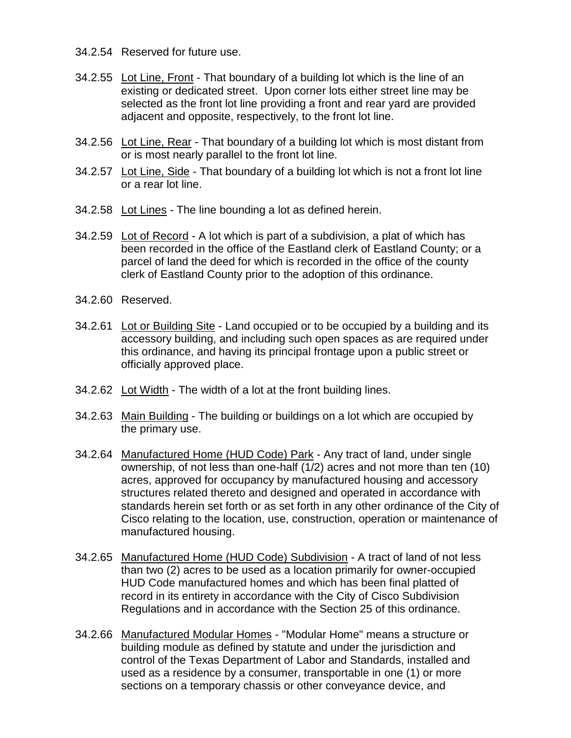- 34.2.54 Reserved for future use.
- 34.2.55 Lot Line, Front That boundary of a building lot which is the line of an existing or dedicated street. Upon corner lots either street line may be selected as the front lot line providing a front and rear yard are provided adjacent and opposite, respectively, to the front lot line.
- 34.2.56 Lot Line, Rear That boundary of a building lot which is most distant from or is most nearly parallel to the front lot line.
- 34.2.57 Lot Line, Side That boundary of a building lot which is not a front lot line or a rear lot line.
- 34.2.58 Lot Lines The line bounding a lot as defined herein.
- 34.2.59 Lot of Record A lot which is part of a subdivision, a plat of which has been recorded in the office of the Eastland clerk of Eastland County; or a parcel of land the deed for which is recorded in the office of the county clerk of Eastland County prior to the adoption of this ordinance.
- 34.2.60 Reserved.
- 34.2.61 Lot or Building Site Land occupied or to be occupied by a building and its accessory building, and including such open spaces as are required under this ordinance, and having its principal frontage upon a public street or officially approved place.
- 34.2.62 Lot Width The width of a lot at the front building lines.
- 34.2.63 Main Building The building or buildings on a lot which are occupied by the primary use.
- 34.2.64 Manufactured Home (HUD Code) Park Any tract of land, under single ownership, of not less than one-half (1/2) acres and not more than ten (10) acres, approved for occupancy by manufactured housing and accessory structures related thereto and designed and operated in accordance with standards herein set forth or as set forth in any other ordinance of the City of Cisco relating to the location, use, construction, operation or maintenance of manufactured housing.
- 34.2.65 Manufactured Home (HUD Code) Subdivision A tract of land of not less than two (2) acres to be used as a location primarily for owner-occupied HUD Code manufactured homes and which has been final platted of record in its entirety in accordance with the City of Cisco Subdivision Regulations and in accordance with the Section 25 of this ordinance.
- 34.2.66 Manufactured Modular Homes "Modular Home" means a structure or building module as defined by statute and under the jurisdiction and control of the Texas Department of Labor and Standards, installed and used as a residence by a consumer, transportable in one (1) or more sections on a temporary chassis or other conveyance device, and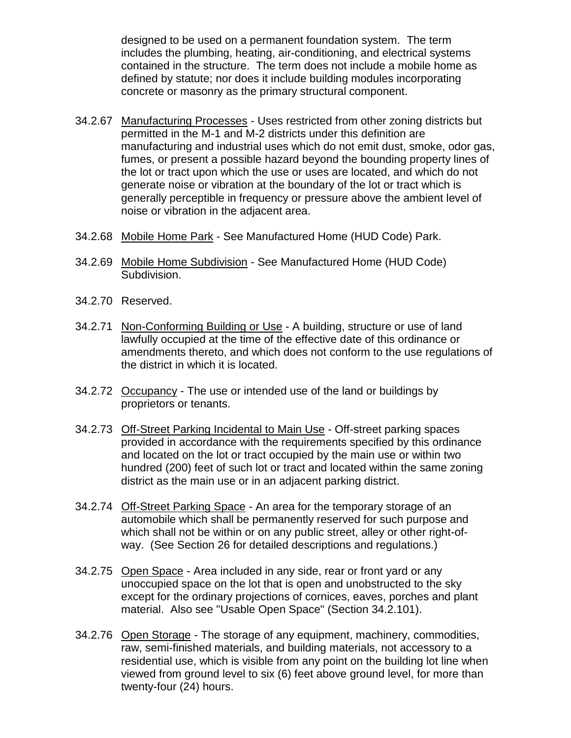designed to be used on a permanent foundation system. The term includes the plumbing, heating, air-conditioning, and electrical systems contained in the structure. The term does not include a mobile home as defined by statute; nor does it include building modules incorporating concrete or masonry as the primary structural component.

- 34.2.67 Manufacturing Processes Uses restricted from other zoning districts but permitted in the M-1 and M-2 districts under this definition are manufacturing and industrial uses which do not emit dust, smoke, odor gas, fumes, or present a possible hazard beyond the bounding property lines of the lot or tract upon which the use or uses are located, and which do not generate noise or vibration at the boundary of the lot or tract which is generally perceptible in frequency or pressure above the ambient level of noise or vibration in the adjacent area.
- 34.2.68 Mobile Home Park See Manufactured Home (HUD Code) Park.
- 34.2.69 Mobile Home Subdivision See Manufactured Home (HUD Code) Subdivision.
- 34.2.70 Reserved.
- 34.2.71 Non-Conforming Building or Use A building, structure or use of land lawfully occupied at the time of the effective date of this ordinance or amendments thereto, and which does not conform to the use regulations of the district in which it is located.
- 34.2.72 Occupancy The use or intended use of the land or buildings by proprietors or tenants.
- 34.2.73 Off-Street Parking Incidental to Main Use Off-street parking spaces provided in accordance with the requirements specified by this ordinance and located on the lot or tract occupied by the main use or within two hundred (200) feet of such lot or tract and located within the same zoning district as the main use or in an adjacent parking district.
- 34.2.74 Off-Street Parking Space An area for the temporary storage of an automobile which shall be permanently reserved for such purpose and which shall not be within or on any public street, alley or other right-ofway. (See Section 26 for detailed descriptions and regulations.)
- 34.2.75 Open Space Area included in any side, rear or front yard or any unoccupied space on the lot that is open and unobstructed to the sky except for the ordinary projections of cornices, eaves, porches and plant material. Also see "Usable Open Space" (Section 34.2.101).
- 34.2.76 Open Storage The storage of any equipment, machinery, commodities, raw, semi-finished materials, and building materials, not accessory to a residential use, which is visible from any point on the building lot line when viewed from ground level to six (6) feet above ground level, for more than twenty-four (24) hours.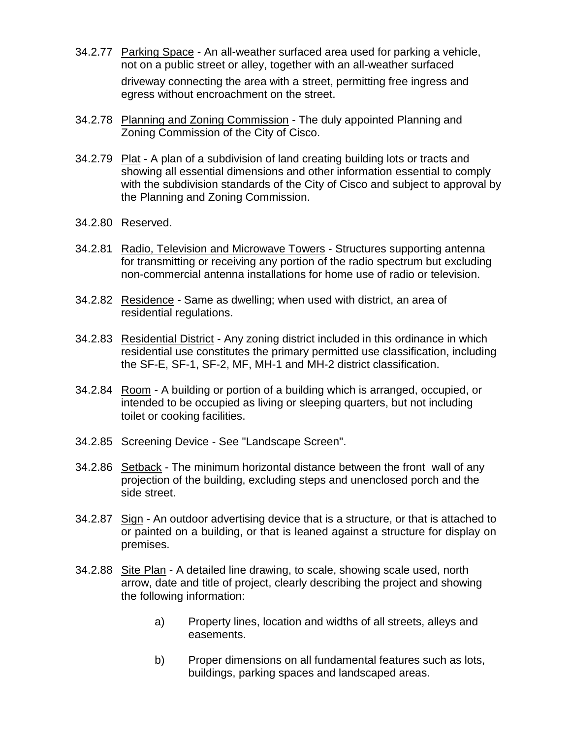- 34.2.77 Parking Space An all-weather surfaced area used for parking a vehicle, not on a public street or alley, together with an all-weather surfaced driveway connecting the area with a street, permitting free ingress and egress without encroachment on the street.
- 34.2.78 Planning and Zoning Commission The duly appointed Planning and Zoning Commission of the City of Cisco.
- 34.2.79 Plat A plan of a subdivision of land creating building lots or tracts and showing all essential dimensions and other information essential to comply with the subdivision standards of the City of Cisco and subject to approval by the Planning and Zoning Commission.
- 34.2.80 Reserved.
- 34.2.81 Radio, Television and Microwave Towers Structures supporting antenna for transmitting or receiving any portion of the radio spectrum but excluding non-commercial antenna installations for home use of radio or television.
- 34.2.82 Residence Same as dwelling; when used with district, an area of residential regulations.
- 34.2.83 Residential District Any zoning district included in this ordinance in which residential use constitutes the primary permitted use classification, including the SF-E, SF-1, SF-2, MF, MH-1 and MH-2 district classification.
- 34.2.84 Room A building or portion of a building which is arranged, occupied, or intended to be occupied as living or sleeping quarters, but not including toilet or cooking facilities.
- 34.2.85 Screening Device See "Landscape Screen".
- 34.2.86 Setback The minimum horizontal distance between the front wall of any projection of the building, excluding steps and unenclosed porch and the side street.
- 34.2.87 Sign An outdoor advertising device that is a structure, or that is attached to or painted on a building, or that is leaned against a structure for display on premises.
- 34.2.88 Site Plan A detailed line drawing, to scale, showing scale used, north arrow, date and title of project, clearly describing the project and showing the following information:
	- a) Property lines, location and widths of all streets, alleys and easements.
	- b) Proper dimensions on all fundamental features such as lots, buildings, parking spaces and landscaped areas.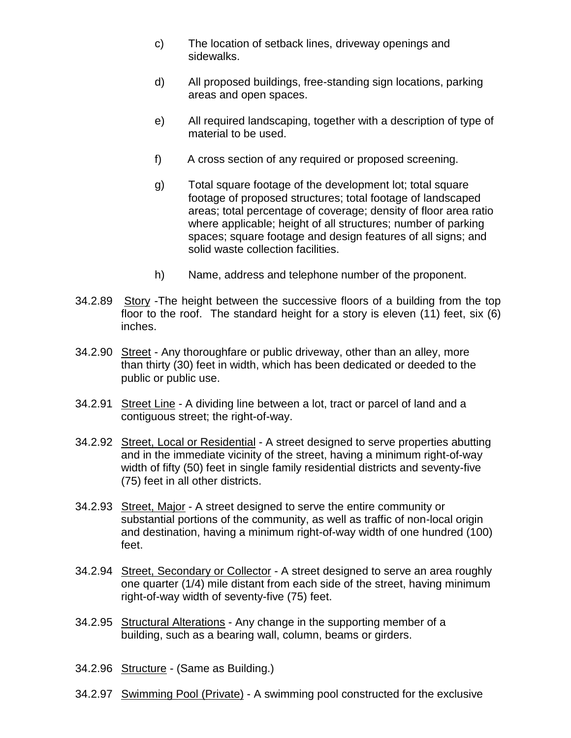- c) The location of setback lines, driveway openings and sidewalks.
- d) All proposed buildings, free-standing sign locations, parking areas and open spaces.
- e) All required landscaping, together with a description of type of material to be used.
- f) A cross section of any required or proposed screening.
- g) Total square footage of the development lot; total square footage of proposed structures; total footage of landscaped areas; total percentage of coverage; density of floor area ratio where applicable; height of all structures; number of parking spaces; square footage and design features of all signs; and solid waste collection facilities.
- h) Name, address and telephone number of the proponent.
- 34.2.89 Story -The height between the successive floors of a building from the top floor to the roof. The standard height for a story is eleven (11) feet, six (6) inches.
- 34.2.90 Street Any thoroughfare or public driveway, other than an alley, more than thirty (30) feet in width, which has been dedicated or deeded to the public or public use.
- 34.2.91 Street Line A dividing line between a lot, tract or parcel of land and a contiguous street; the right-of-way.
- 34.2.92 Street, Local or Residential A street designed to serve properties abutting and in the immediate vicinity of the street, having a minimum right-of-way width of fifty (50) feet in single family residential districts and seventy-five (75) feet in all other districts.
- 34.2.93 Street, Major A street designed to serve the entire community or substantial portions of the community, as well as traffic of non-local origin and destination, having a minimum right-of-way width of one hundred (100) feet.
- 34.2.94 Street, Secondary or Collector A street designed to serve an area roughly one quarter (1/4) mile distant from each side of the street, having minimum right-of-way width of seventy-five (75) feet.
- 34.2.95 Structural Alterations Any change in the supporting member of a building, such as a bearing wall, column, beams or girders.
- 34.2.96 Structure (Same as Building.)
- 34.2.97 Swimming Pool (Private) A swimming pool constructed for the exclusive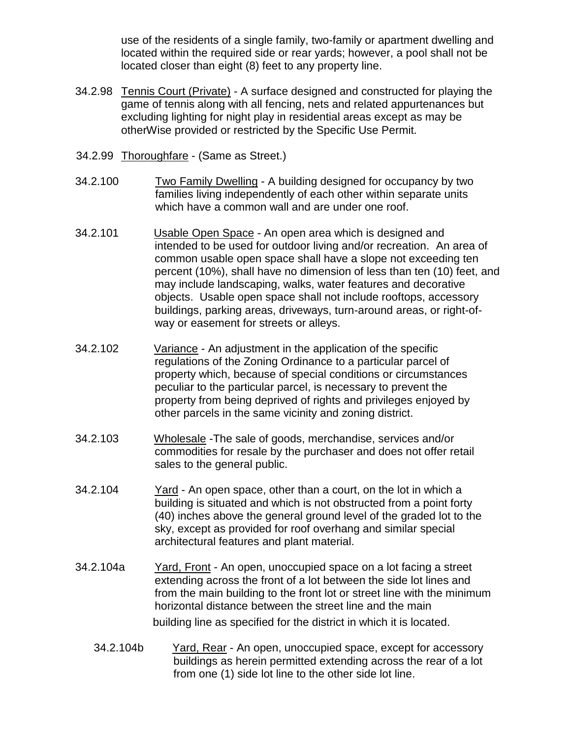use of the residents of a single family, two-family or apartment dwelling and located within the required side or rear yards; however, a pool shall not be located closer than eight (8) feet to any property line.

- 34.2.98 Tennis Court (Private) A surface designed and constructed for playing the game of tennis along with all fencing, nets and related appurtenances but excluding lighting for night play in residential areas except as may be otherWise provided or restricted by the Specific Use Permit.
- 34.2.99 Thoroughfare (Same as Street.)
- 34.2.100 Two Family Dwelling A building designed for occupancy by two families living independently of each other within separate units which have a common wall and are under one roof.
- 34.2.101 Usable Open Space An open area which is designed and intended to be used for outdoor living and/or recreation. An area of common usable open space shall have a slope not exceeding ten percent (10%), shall have no dimension of less than ten (10) feet, and may include landscaping, walks, water features and decorative objects. Usable open space shall not include rooftops, accessory buildings, parking areas, driveways, turn-around areas, or right-ofway or easement for streets or alleys.
- 34.2.102 Variance An adjustment in the application of the specific regulations of the Zoning Ordinance to a particular parcel of property which, because of special conditions or circumstances peculiar to the particular parcel, is necessary to prevent the property from being deprived of rights and privileges enjoyed by other parcels in the same vicinity and zoning district.
- 34.2.103 Wholesale -The sale of goods, merchandise, services and/or commodities for resale by the purchaser and does not offer retail sales to the general public.
- 34.2.104 Yard An open space, other than a court, on the lot in which a building is situated and which is not obstructed from a point forty (40) inches above the general ground level of the graded lot to the sky, except as provided for roof overhang and similar special architectural features and plant material.
- 34.2.104a Yard, Front An open, unoccupied space on a lot facing a street extending across the front of a lot between the side lot lines and from the main building to the front lot or street line with the minimum horizontal distance between the street line and the main building line as specified for the district in which it is located.
	- 34.2.104b Yard, Rear An open, unoccupied space, except for accessory buildings as herein permitted extending across the rear of a lot from one (1) side lot line to the other side lot line.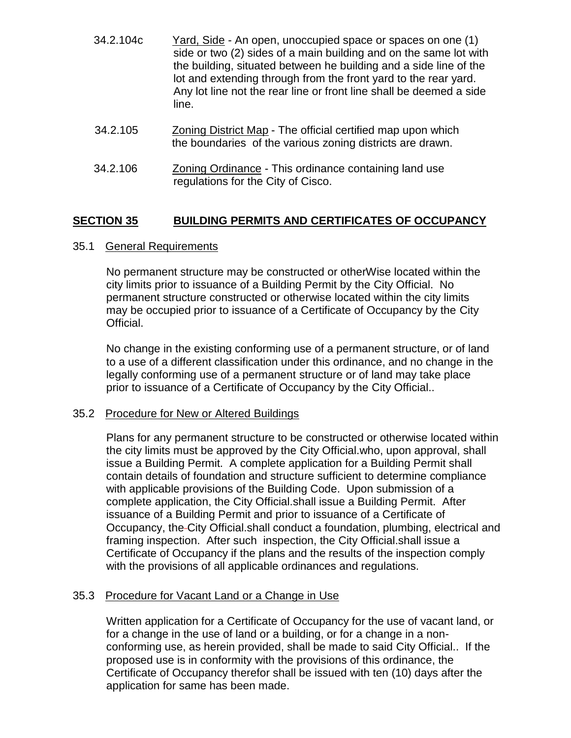- 34.2.104c Yard, Side An open, unoccupied space or spaces on one (1) side or two (2) sides of a main building and on the same lot with the building, situated between he building and a side line of the lot and extending through from the front yard to the rear yard. Any lot line not the rear line or front line shall be deemed a side line.
- 34.2.105 Zoning District Map The official certified map upon which the boundaries of the various zoning districts are drawn.
- 34.2.106 Zoning Ordinance This ordinance containing land use regulations for the City of Cisco.

# **SECTION 35 BUILDING PERMITS AND CERTIFICATES OF OCCUPANCY**

#### 35.1 General Requirements

No permanent structure may be constructed or otherWise located within the city limits prior to issuance of a Building Permit by the City Official. No permanent structure constructed or otherwise located within the city limits may be occupied prior to issuance of a Certificate of Occupancy by the City Official.

No change in the existing conforming use of a permanent structure, or of land to a use of a different classification under this ordinance, and no change in the legally conforming use of a permanent structure or of land may take place prior to issuance of a Certificate of Occupancy by the City Official..

#### 35.2 Procedure for New or Altered Buildings

Plans for any permanent structure to be constructed or otherwise located within the city limits must be approved by the City Official.who, upon approval, shall issue a Building Permit. A complete application for a Building Permit shall contain details of foundation and structure sufficient to determine compliance with applicable provisions of the Building Code. Upon submission of a complete application, the City Official.shall issue a Building Permit. After issuance of a Building Permit and prior to issuance of a Certificate of Occupancy, the City Official.shall conduct a foundation, plumbing, electrical and framing inspection. After such inspection, the City Official.shall issue a Certificate of Occupancy if the plans and the results of the inspection comply with the provisions of all applicable ordinances and regulations.

## 35.3 Procedure for Vacant Land or a Change in Use

Written application for a Certificate of Occupancy for the use of vacant land, or for a change in the use of land or a building, or for a change in a nonconforming use, as herein provided, shall be made to said City Official.. If the proposed use is in conformity with the provisions of this ordinance, the Certificate of Occupancy therefor shall be issued with ten (10) days after the application for same has been made.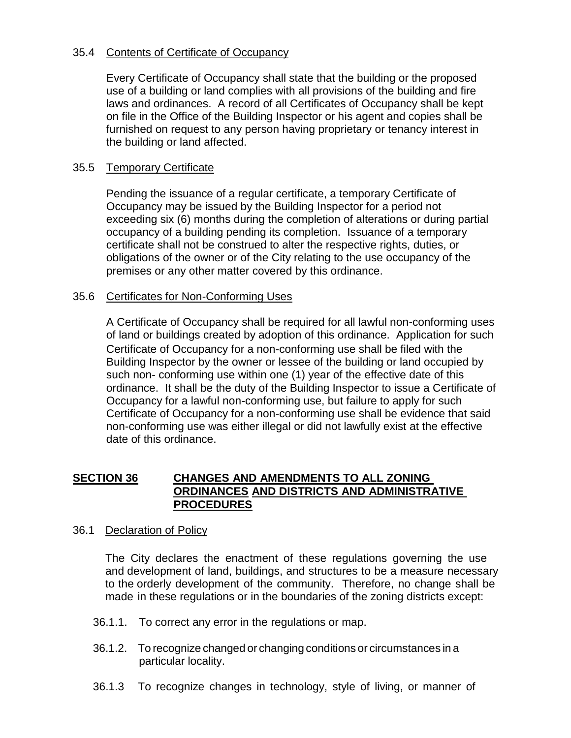## 35.4 Contents of Certificate of Occupancy

Every Certificate of Occupancy shall state that the building or the proposed use of a building or land complies with all provisions of the building and fire laws and ordinances. A record of all Certificates of Occupancy shall be kept on file in the Office of the Building Inspector or his agent and copies shall be furnished on request to any person having proprietary or tenancy interest in the building or land affected.

### 35.5 Temporary Certificate

Pending the issuance of a regular certificate, a temporary Certificate of Occupancy may be issued by the Building Inspector for a period not exceeding six (6) months during the completion of alterations or during partial occupancy of a building pending its completion. Issuance of a temporary certificate shall not be construed to alter the respective rights, duties, or obligations of the owner or of the City relating to the use occupancy of the premises or any other matter covered by this ordinance.

### 35.6 Certificates for Non-Conforming Uses

A Certificate of Occupancy shall be required for all lawful non-conforming uses of land or buildings created by adoption of this ordinance. Application for such Certificate of Occupancy for a non-conforming use shall be filed with the Building Inspector by the owner or lessee of the building or land occupied by such non- conforming use within one (1) year of the effective date of this ordinance. It shall be the duty of the Building Inspector to issue a Certificate of Occupancy for a lawful non-conforming use, but failure to apply for such Certificate of Occupancy for a non-conforming use shall be evidence that said non-conforming use was either illegal or did not lawfully exist at the effective date of this ordinance.

### **SECTION 36 CHANGES AND AMENDMENTS TO ALL ZONING ORDINANCES AND DISTRICTS AND ADMINISTRATIVE PROCEDURES**

#### 36.1 Declaration of Policy

The City declares the enactment of these regulations governing the use and development of land, buildings, and structures to be a measure necessary to the orderly development of the community. Therefore, no change shall be made in these regulations or in the boundaries of the zoning districts except:

- 36.1.1. To correct any error in the regulations or map.
- 36.1.2. To recognize changed or changing conditions or circumstances in a particular locality.
- 36.1.3 To recognize changes in technology, style of living, or manner of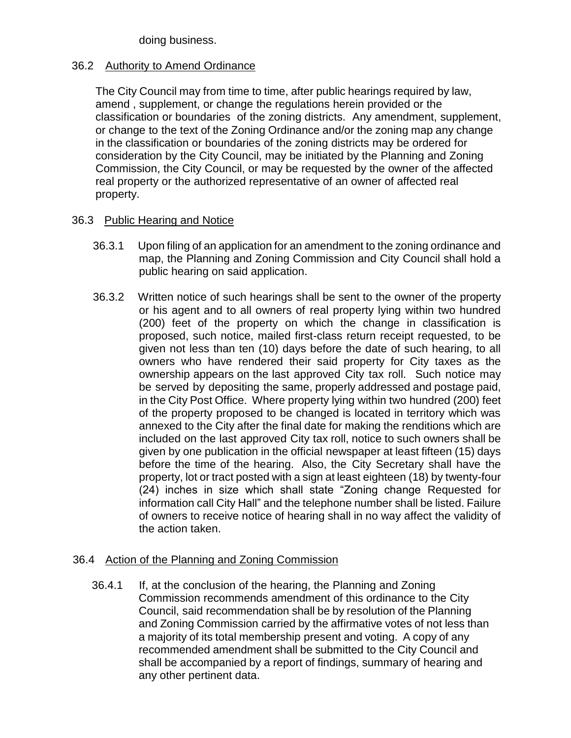doing business.

# 36.2 Authority to Amend Ordinance

The City Council may from time to time, after public hearings required by law, amend , supplement, or change the regulations herein provided or the classification or boundaries of the zoning districts. Any amendment, supplement, or change to the text of the Zoning Ordinance and/or the zoning map any change in the classification or boundaries of the zoning districts may be ordered for consideration by the City Council, may be initiated by the Planning and Zoning Commission, the City Council, or may be requested by the owner of the affected real property or the authorized representative of an owner of affected real property.

# 36.3 Public Hearing and Notice

- 36.3.1 Upon filing of an application for an amendment to the zoning ordinance and map, the Planning and Zoning Commission and City Council shall hold a public hearing on said application.
- 36.3.2 Written notice of such hearings shall be sent to the owner of the property or his agent and to all owners of real property lying within two hundred (200) feet of the property on which the change in classification is proposed, such notice, mailed first-class return receipt requested, to be given not less than ten (10) days before the date of such hearing, to all owners who have rendered their said property for City taxes as the ownership appears on the last approved City tax roll. Such notice may be served by depositing the same, properly addressed and postage paid, in the City Post Office. Where property lying within two hundred (200) feet of the property proposed to be changed is located in territory which was annexed to the City after the final date for making the renditions which are included on the last approved City tax roll, notice to such owners shall be given by one publication in the official newspaper at least fifteen (15) days before the time of the hearing. Also, the City Secretary shall have the property, lot or tract posted with a sign at least eighteen (18) by twenty-four (24) inches in size which shall state "Zoning change Requested for information call City Hall" and the telephone number shall be listed. Failure of owners to receive notice of hearing shall in no way affect the validity of the action taken.

# 36.4 Action of the Planning and Zoning Commission

36.4.1 If, at the conclusion of the hearing, the Planning and Zoning Commission recommends amendment of this ordinance to the City Council, said recommendation shall be by resolution of the Planning and Zoning Commission carried by the affirmative votes of not less than a majority of its total membership present and voting. A copy of any recommended amendment shall be submitted to the City Council and shall be accompanied by a report of findings, summary of hearing and any other pertinent data.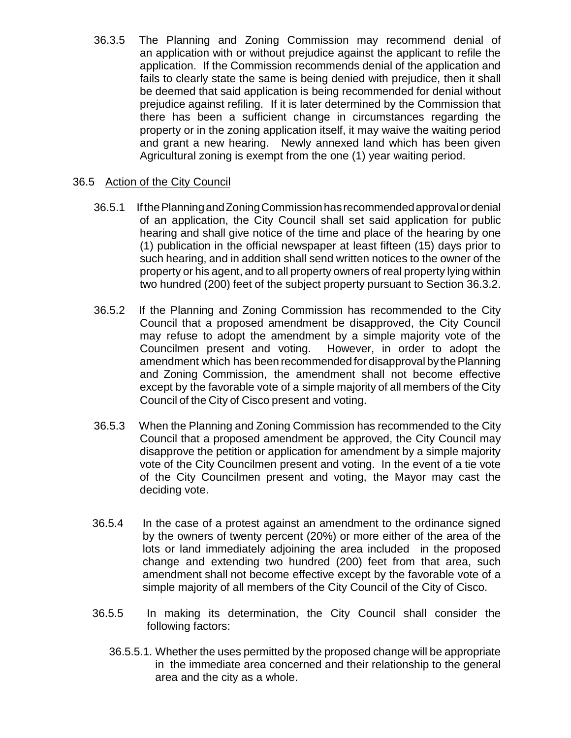36.3.5 The Planning and Zoning Commission may recommend denial of an application with or without prejudice against the applicant to refile the application. If the Commission recommends denial of the application and fails to clearly state the same is being denied with prejudice, then it shall be deemed that said application is being recommended for denial without prejudice against refiling. If it is later determined by the Commission that there has been a sufficient change in circumstances regarding the property or in the zoning application itself, it may waive the waiting period and grant a new hearing. Newly annexed land which has been given Agricultural zoning is exempt from the one (1) year waiting period.

## 36.5 Action of the City Council

- 36.5.1 If thePlanningandZoningCommissionhasrecommendedapprovalordenial of an application, the City Council shall set said application for public hearing and shall give notice of the time and place of the hearing by one (1) publication in the official newspaper at least fifteen (15) days prior to such hearing, and in addition shall send written notices to the owner of the property or his agent, and to all property owners of real property lying within two hundred (200) feet of the subject property pursuant to Section 36.3.2.
- 36.5.2 If the Planning and Zoning Commission has recommended to the City Council that a proposed amendment be disapproved, the City Council may refuse to adopt the amendment by a simple majority vote of the Councilmen present and voting. However, in order to adopt the amendment which has been recommended for disapproval by the Planning and Zoning Commission, the amendment shall not become effective except by the favorable vote of a simple majority of all members of the City Council of the City of Cisco present and voting.
- 36.5.3 When the Planning and Zoning Commission has recommended to the City Council that a proposed amendment be approved, the City Council may disapprove the petition or application for amendment by a simple majority vote of the City Councilmen present and voting. In the event of a tie vote of the City Councilmen present and voting, the Mayor may cast the deciding vote.
- 36.5.4 In the case of a protest against an amendment to the ordinance signed by the owners of twenty percent (20%) or more either of the area of the lots or land immediately adjoining the area included in the proposed change and extending two hundred (200) feet from that area, such amendment shall not become effective except by the favorable vote of a simple majority of all members of the City Council of the City of Cisco.
- 36.5.5 In making its determination, the City Council shall consider the following factors:
	- 36.5.5.1. Whether the uses permitted by the proposed change will be appropriate in the immediate area concerned and their relationship to the general area and the city as a whole.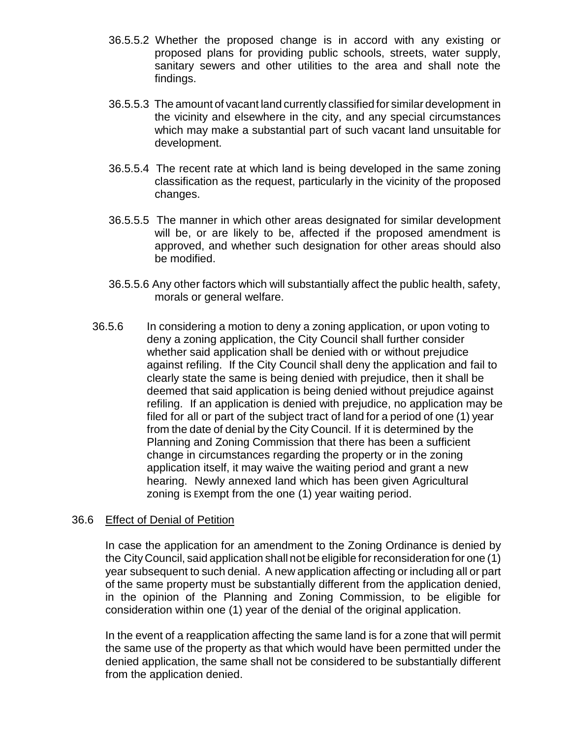- 36.5.5.2 Whether the proposed change is in accord with any existing or proposed plans for providing public schools, streets, water supply, sanitary sewers and other utilities to the area and shall note the findings.
- 36.5.5.3 The amount of vacant land currently classified for similar development in the vicinity and elsewhere in the city, and any special circumstances which may make a substantial part of such vacant land unsuitable for development.
- 36.5.5.4 The recent rate at which land is being developed in the same zoning classification as the request, particularly in the vicinity of the proposed changes.
- 36.5.5.5 The manner in which other areas designated for similar development will be, or are likely to be, affected if the proposed amendment is approved, and whether such designation for other areas should also be modified.
- 36.5.5.6 Any other factors which will substantially affect the public health, safety, morals or general welfare.
- 36.5.6 In considering a motion to deny a zoning application, or upon voting to deny a zoning application, the City Council shall further consider whether said application shall be denied with or without prejudice against refiling. If the City Council shall deny the application and fail to clearly state the same is being denied with prejudice, then it shall be deemed that said application is being denied without prejudice against refiling. If an application is denied with prejudice, no application may be filed for all or part of the subject tract of land for a period of one (1) year from the date of denial by the City Council. If it is determined by the Planning and Zoning Commission that there has been a sufficient change in circumstances regarding the property or in the zoning application itself, it may waive the waiting period and grant a new hearing. Newly annexed land which has been given Agricultural zoning is EXempt from the one (1) year waiting period.

#### 36.6 Effect of Denial of Petition

In case the application for an amendment to the Zoning Ordinance is denied by the City Council, said application shall not be eligible for reconsideration for one (1) year subsequent to such denial. A new application affecting or including all or part of the same property must be substantially different from the application denied, in the opinion of the Planning and Zoning Commission, to be eligible for consideration within one (1) year of the denial of the original application.

In the event of a reapplication affecting the same land is for a zone that will permit the same use of the property as that which would have been permitted under the denied application, the same shall not be considered to be substantially different from the application denied.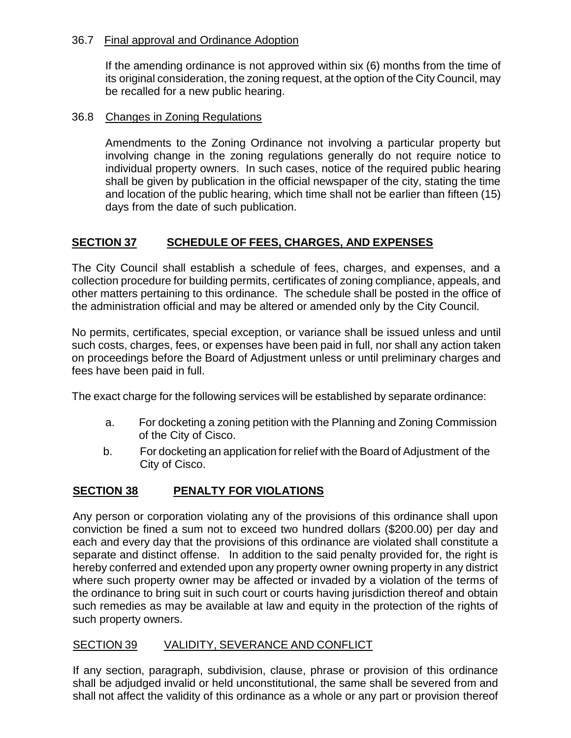### 36.7 Final approval and Ordinance Adoption

If the amending ordinance is not approved within six (6) months from the time of its original consideration, the zoning request, at the option of the City Council, may be recalled for a new public hearing.

### 36.8 Changes in Zoning Regulations

Amendments to the Zoning Ordinance not involving a particular property but involving change in the zoning regulations generally do not require notice to individual property owners. In such cases, notice of the required public hearing shall be given by publication in the official newspaper of the city, stating the time and location of the public hearing, which time shall not be earlier than fifteen (15) days from the date of such publication.

# **SECTION 37 SCHEDULE OF FEES, CHARGES, AND EXPENSES**

The City Council shall establish a schedule of fees, charges, and expenses, and a collection procedure for building permits, certificates of zoning compliance, appeals, and other matters pertaining to this ordinance. The schedule shall be posted in the office of the administration official and may be altered or amended only by the City Council.

No permits, certificates, special exception, or variance shall be issued unless and until such costs, charges, fees, or expenses have been paid in full, nor shall any action taken on proceedings before the Board of Adjustment unless or until preliminary charges and fees have been paid in full.

The exact charge for the following services will be established by separate ordinance:

- a. For docketing a zoning petition with the Planning and Zoning Commission of the City of Cisco.
- b. For docketing an application for relief with the Board of Adjustment of the City of Cisco.

# **SECTION 38 PENALTY FOR VIOLATIONS**

Any person or corporation violating any of the provisions of this ordinance shall upon conviction be fined a sum not to exceed two hundred dollars (\$200.00) per day and each and every day that the provisions of this ordinance are violated shall constitute a separate and distinct offense. In addition to the said penalty provided for, the right is hereby conferred and extended upon any property owner owning property in any district where such property owner may be affected or invaded by a violation of the terms of the ordinance to bring suit in such court or courts having jurisdiction thereof and obtain such remedies as may be available at law and equity in the protection of the rights of such property owners.

# SECTION 39 VALIDITY, SEVERANCE AND CONFLICT

If any section, paragraph, subdivision, clause, phrase or provision of this ordinance shall be adjudged invalid or held unconstitutional, the same shall be severed from and shall not affect the validity of this ordinance as a whole or any part or provision thereof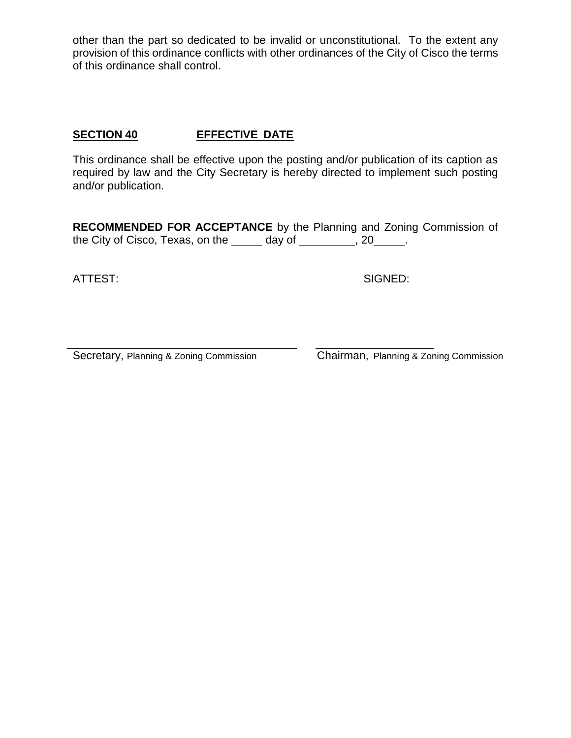other than the part so dedicated to be invalid or unconstitutional. To the extent any provision of this ordinance conflicts with other ordinances of the City of Cisco the terms of this ordinance shall control.

## **SECTION 40 EFFECTIVE DATE**

This ordinance shall be effective upon the posting and/or publication of its caption as required by law and the City Secretary is hereby directed to implement such posting and/or publication.

**RECOMMENDED FOR ACCEPTANCE** by the Planning and Zoning Commission of the City of Cisco, Texas, on the  $\_\_\_\_$  day of  $\_\_\_\_\_\$ , 20  $\_\_\_\_\$ .

ATTEST: SIGNED:

Secretary, Planning & Zoning Commission Chairman, Planning & Zoning Commission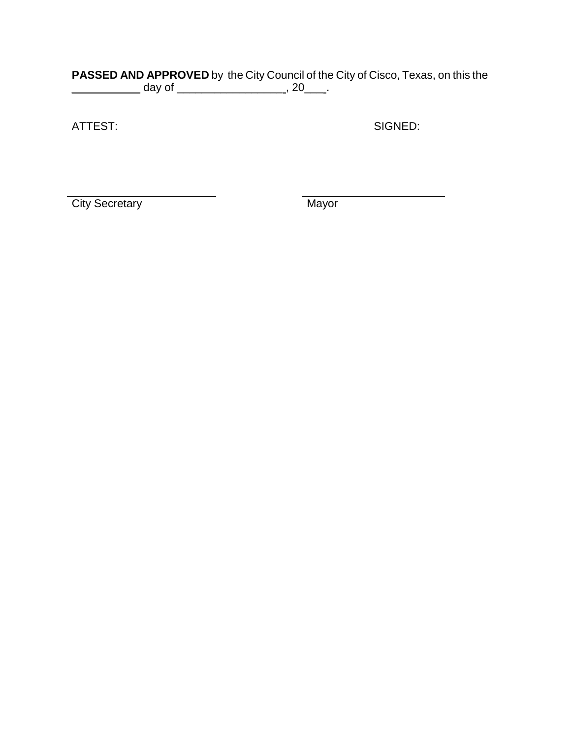#### **PASSED AND APPROVED** by the City Council of the City of Cisco, Texas, on this the \_\_\_\_\_\_\_\_\_\_\_\_\_\_\_\_ day of \_\_\_\_\_\_\_\_\_\_\_\_\_\_\_\_\_\_\_\_\_\_\_\_\_\_\_, 20\_\_\_\_\_.

ATTEST: SIGNED:

City Secretary Mayor